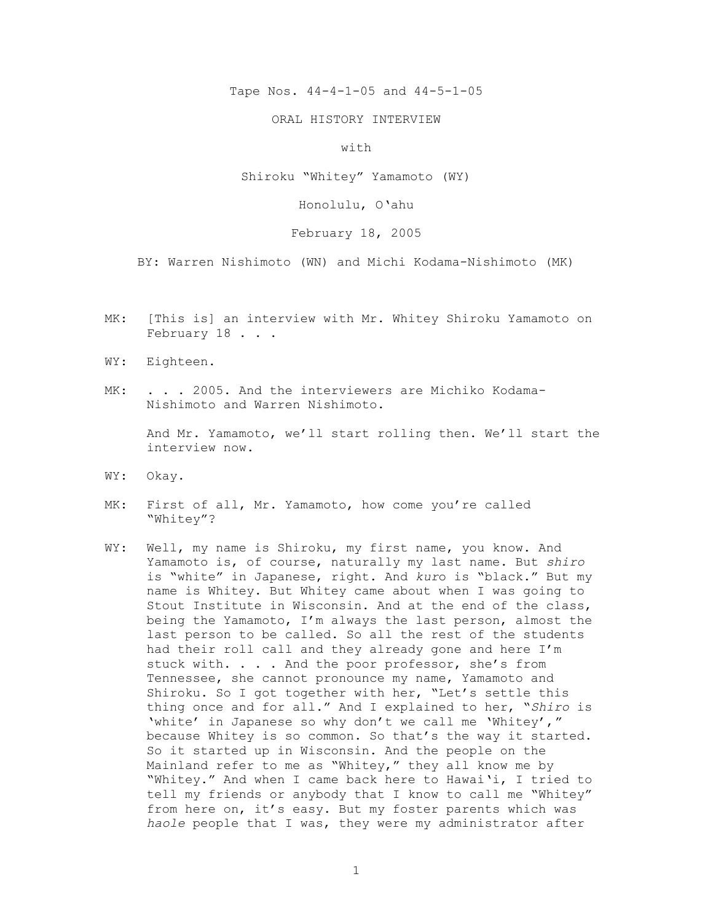Tape Nos. 44-4-1-05 and 44-5-1-05

ORAL HISTORY INTERVIEW

with

Shiroku "Whitey" Yamamoto (WY)

Honolulu, O'ahu

February 18, 2005

BY: Warren Nishimoto (WN) and Michi Kodama-Nishimoto (MK)

- MK: [This is] an interview with Mr. Whitey Shiroku Yamamoto on February 18 . . .
- WY: Eighteen.
- MK: . . . 2005. And the interviewers are Michiko Kodama-Nishimoto and Warren Nishimoto.

And Mr. Yamamoto, we'll start rolling then. We'll start the interview now.

- WY: Okay.
- MK: First of all, Mr. Yamamoto, how come you're called "Whitey"?
- WY: Well, my name is Shiroku, my first name, you know. And Yamamoto is, of course, naturally my last name. But *shiro* is "white" in Japanese, right. And *kur*o is "black." But my name is Whitey. But Whitey came about when I was going to Stout Institute in Wisconsin. And at the end of the class, being the Yamamoto, I'm always the last person, almost the last person to be called. So all the rest of the students had their roll call and they already gone and here I'm stuck with. . . . And the poor professor, she's from Tennessee, she cannot pronounce my name, Yamamoto and Shiroku. So I got together with her, "Let's settle this thing once and for all." And I explained to her, "*Shiro* is 'white' in Japanese so why don't we call me 'Whitey'," because Whitey is so common. So that's the way it started. So it started up in Wisconsin. And the people on the Mainland refer to me as "Whitey," they all know me by "Whitey." And when I came back here to Hawai'i, I tried to tell my friends or anybody that I know to call me "Whitey" from here on, it's easy. But my foster parents which was *haole* people that I was, they were my administrator after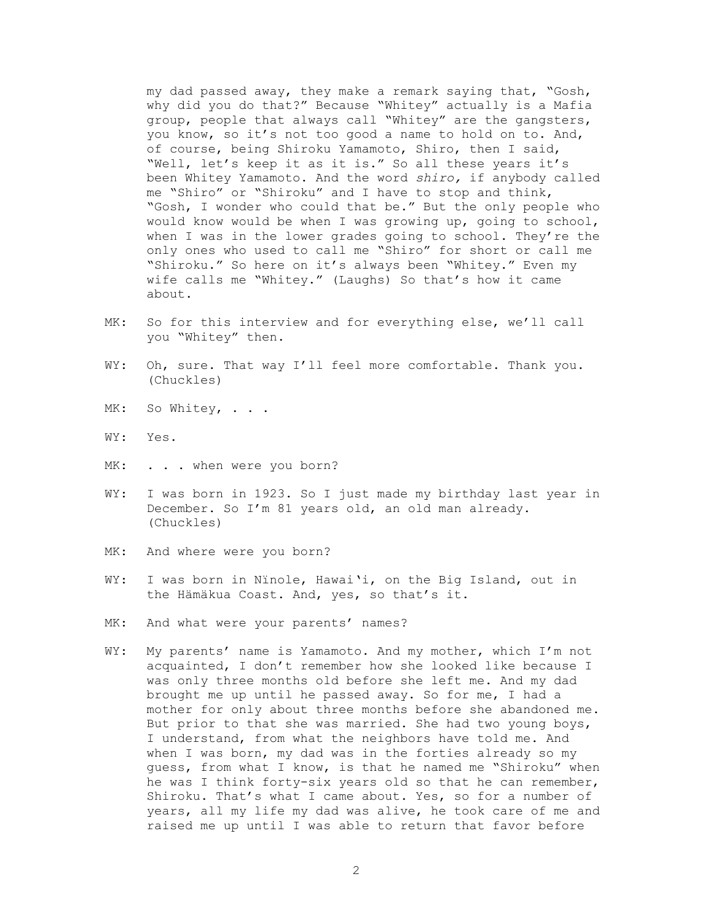my dad passed away, they make a remark saying that, "Gosh, why did you do that?" Because "Whitey" actually is a Mafia group, people that always call "Whitey" are the gangsters, you know, so it's not too good a name to hold on to. And, of course, being Shiroku Yamamoto, Shiro, then I said, "Well, let's keep it as it is." So all these years it's been Whitey Yamamoto. And the word *shiro,* if anybody called me "Shiro" or "Shiroku" and I have to stop and think, "Gosh, I wonder who could that be." But the only people who would know would be when I was growing up, going to school, when I was in the lower grades going to school. They're the only ones who used to call me "Shiro" for short or call me "Shiroku." So here on it's always been "Whitey." Even my wife calls me "Whitey." (Laughs) So that's how it came about.

- MK: So for this interview and for everything else, we'll call you "Whitey" then.
- WY: Oh, sure. That way I'll feel more comfortable. Thank you. (Chuckles)
- MK: So Whitey, . . .
- WY: Yes.
- MK: . . . when were you born?
- WY: I was born in 1923. So I just made my birthday last year in December. So I'm 81 years old, an old man already. (Chuckles)
- MK: And where were you born?
- WY: I was born in Nïnole, Hawai'i, on the Big Island, out in the Hämäkua Coast. And, yes, so that's it.
- MK: And what were your parents' names?
- WY: My parents' name is Yamamoto. And my mother, which I'm not acquainted, I don't remember how she looked like because I was only three months old before she left me. And my dad brought me up until he passed away. So for me, I had a mother for only about three months before she abandoned me. But prior to that she was married. She had two young boys, I understand, from what the neighbors have told me. And when I was born, my dad was in the forties already so my guess, from what I know, is that he named me "Shiroku" when he was I think forty-six years old so that he can remember, Shiroku. That's what I came about. Yes, so for a number of years, all my life my dad was alive, he took care of me and raised me up until I was able to return that favor before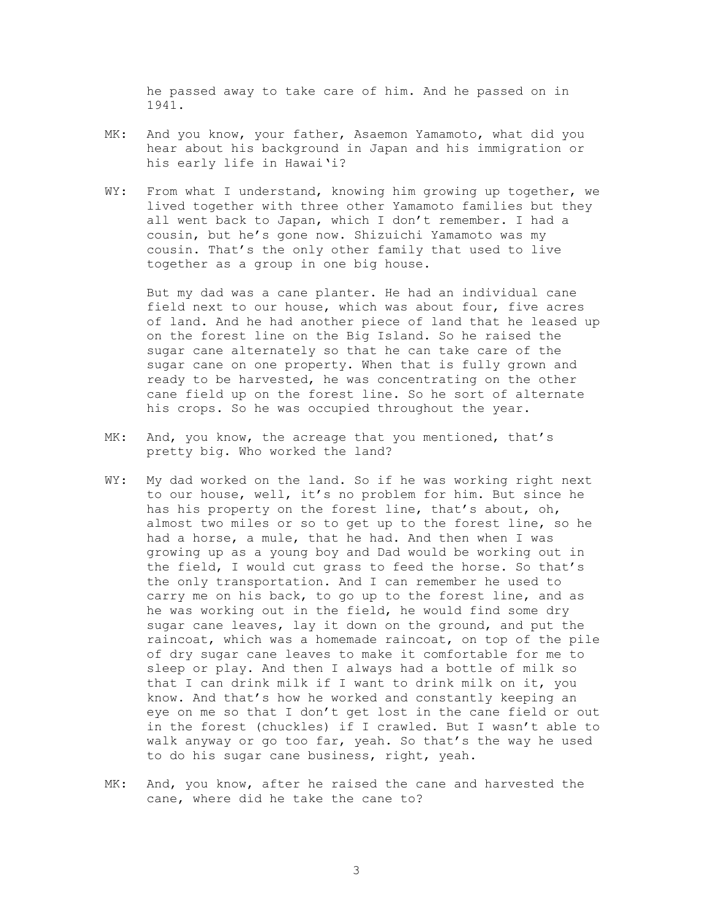he passed away to take care of him. And he passed on in 1941.

- MK: And you know, your father, Asaemon Yamamoto, what did you hear about his background in Japan and his immigration or his early life in Hawai'i?
- WY: From what I understand, knowing him growing up together, we lived together with three other Yamamoto families but they all went back to Japan, which I don't remember. I had a cousin, but he's gone now. Shizuichi Yamamoto was my cousin. That's the only other family that used to live together as a group in one big house.

But my dad was a cane planter. He had an individual cane field next to our house, which was about four, five acres of land. And he had another piece of land that he leased up on the forest line on the Big Island. So he raised the sugar cane alternately so that he can take care of the sugar cane on one property. When that is fully grown and ready to be harvested, he was concentrating on the other cane field up on the forest line. So he sort of alternate his crops. So he was occupied throughout the year.

- MK: And, you know, the acreage that you mentioned, that's pretty big. Who worked the land?
- WY: My dad worked on the land. So if he was working right next to our house, well, it's no problem for him. But since he has his property on the forest line, that's about, oh, almost two miles or so to get up to the forest line, so he had a horse, a mule, that he had. And then when I was growing up as a young boy and Dad would be working out in the field, I would cut grass to feed the horse. So that's the only transportation. And I can remember he used to carry me on his back, to go up to the forest line, and as he was working out in the field, he would find some dry sugar cane leaves, lay it down on the ground, and put the raincoat, which was a homemade raincoat, on top of the pile of dry sugar cane leaves to make it comfortable for me to sleep or play. And then I always had a bottle of milk so that I can drink milk if I want to drink milk on it, you know. And that's how he worked and constantly keeping an eye on me so that I don't get lost in the cane field or out in the forest (chuckles) if I crawled. But I wasn't able to walk anyway or go too far, yeah. So that's the way he used to do his sugar cane business, right, yeah.
- MK: And, you know, after he raised the cane and harvested the cane, where did he take the cane to?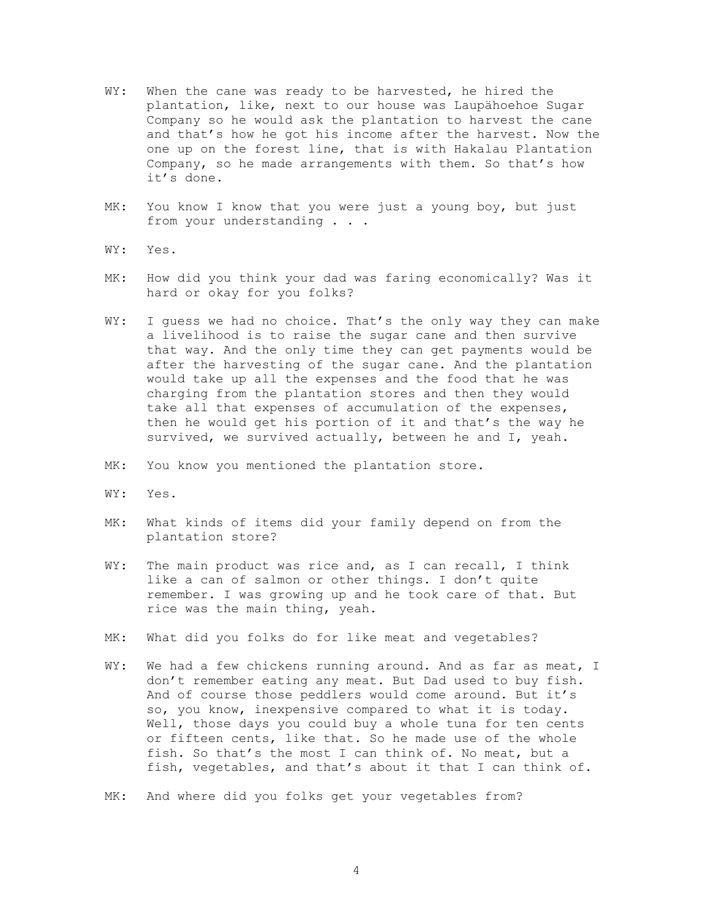- WY: When the cane was ready to be harvested, he hired the plantation, like, next to our house was Laupähoehoe Sugar Company so he would ask the plantation to harvest the cane and that's how he got his income after the harvest. Now the one up on the forest line, that is with Hakalau Plantation Company, so he made arrangements with them. So that's how it's done.
- MK: You know I know that you were just a young boy, but just from your understanding . . .
- WY: Yes.
- MK: How did you think your dad was faring economically? Was it hard or okay for you folks?
- WY: I guess we had no choice. That's the only way they can make a livelihood is to raise the sugar cane and then survive that way. And the only time they can get payments would be after the harvesting of the sugar cane. And the plantation would take up all the expenses and the food that he was charging from the plantation stores and then they would take all that expenses of accumulation of the expenses, then he would get his portion of it and that's the way he survived, we survived actually, between he and I, yeah.
- MK: You know you mentioned the plantation store.
- WY: Yes.
- MK: What kinds of items did your family depend on from the plantation store?
- WY: The main product was rice and, as I can recall, I think like a can of salmon or other things. I don't quite remember. I was growing up and he took care of that. But rice was the main thing, yeah.
- MK: What did you folks do for like meat and vegetables?
- WY: We had a few chickens running around. And as far as meat, I don't remember eating any meat. But Dad used to buy fish. And of course those peddlers would come around. But it's so, you know, inexpensive compared to what it is today. Well, those days you could buy a whole tuna for ten cents or fifteen cents, like that. So he made use of the whole fish. So that's the most I can think of. No meat, but a fish, vegetables, and that's about it that I can think of.
- MK: And where did you folks get your vegetables from?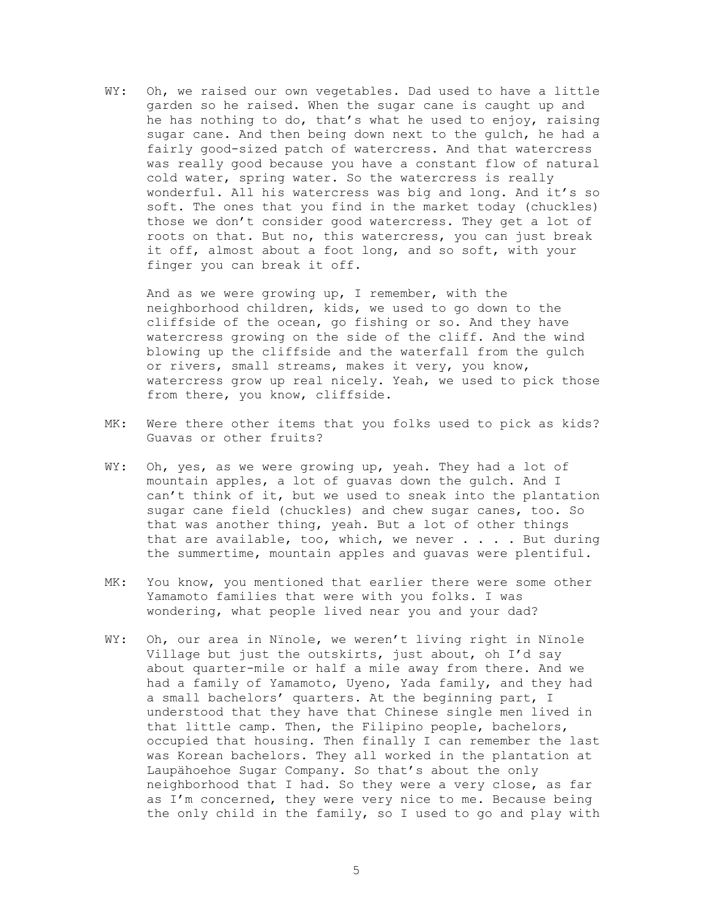WY: Oh, we raised our own vegetables. Dad used to have a little garden so he raised. When the sugar cane is caught up and he has nothing to do, that's what he used to enjoy, raising sugar cane. And then being down next to the gulch, he had a fairly good-sized patch of watercress. And that watercress was really good because you have a constant flow of natural cold water, spring water. So the watercress is really wonderful. All his watercress was big and long. And it's so soft. The ones that you find in the market today (chuckles) those we don't consider good watercress. They get a lot of roots on that. But no, this watercress, you can just break it off, almost about a foot long, and so soft, with your finger you can break it off.

And as we were growing up, I remember, with the neighborhood children, kids, we used to go down to the cliffside of the ocean, go fishing or so. And they have watercress growing on the side of the cliff. And the wind blowing up the cliffside and the waterfall from the gulch or rivers, small streams, makes it very, you know, watercress grow up real nicely. Yeah, we used to pick those from there, you know, cliffside.

- MK: Were there other items that you folks used to pick as kids? Guavas or other fruits?
- WY: Oh, yes, as we were growing up, yeah. They had a lot of mountain apples, a lot of guavas down the gulch. And I can't think of it, but we used to sneak into the plantation sugar cane field (chuckles) and chew sugar canes, too. So that was another thing, yeah. But a lot of other things that are available, too, which, we never  $\ldots$  . But during the summertime, mountain apples and guavas were plentiful.
- MK: You know, you mentioned that earlier there were some other Yamamoto families that were with you folks. I was wondering, what people lived near you and your dad?
- WY: Oh, our area in Nïnole, we weren't living right in Nïnole Village but just the outskirts, just about, oh I'd say about quarter-mile or half a mile away from there. And we had a family of Yamamoto, Uyeno, Yada family, and they had a small bachelors' quarters. At the beginning part, I understood that they have that Chinese single men lived in that little camp. Then, the Filipino people, bachelors, occupied that housing. Then finally I can remember the last was Korean bachelors. They all worked in the plantation at Laupähoehoe Sugar Company. So that's about the only neighborhood that I had. So they were a very close, as far as I'm concerned, they were very nice to me. Because being the only child in the family, so I used to go and play with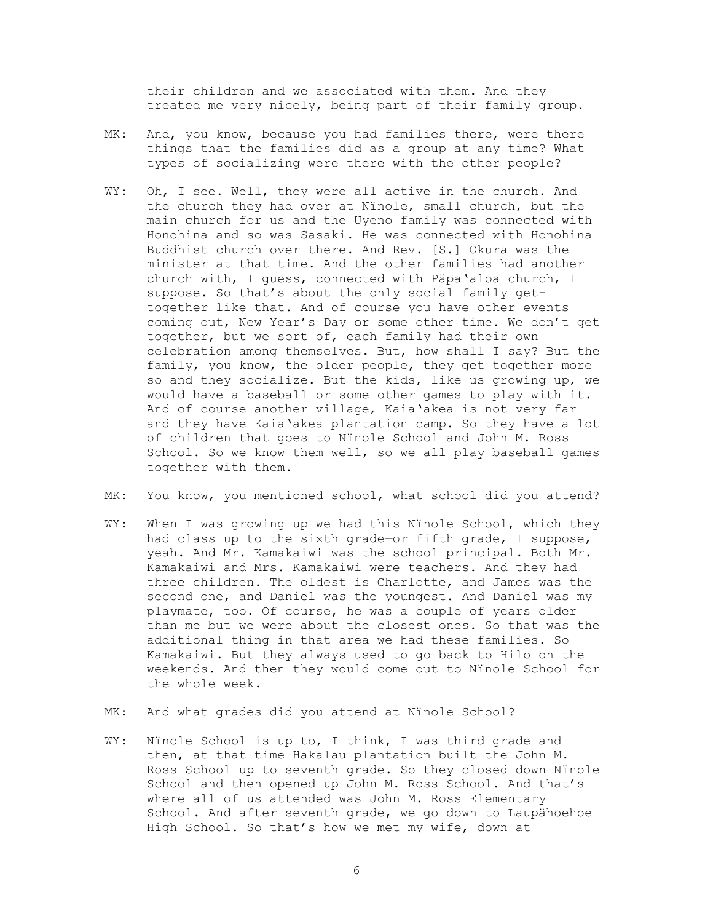their children and we associated with them. And they treated me very nicely, being part of their family group.

- MK: And, you know, because you had families there, were there things that the families did as a group at any time? What types of socializing were there with the other people?
- WY: Oh, I see. Well, they were all active in the church. And the church they had over at Nïnole, small church, but the main church for us and the Uyeno family was connected with Honohina and so was Sasaki. He was connected with Honohina Buddhist church over there. And Rev. [S.] Okura was the minister at that time. And the other families had another church with, I guess, connected with Päpa'aloa church, I suppose. So that's about the only social family gettogether like that. And of course you have other events coming out, New Year's Day or some other time. We don't get together, but we sort of, each family had their own celebration among themselves. But, how shall I say? But the family, you know, the older people, they get together more so and they socialize. But the kids, like us growing up, we would have a baseball or some other games to play with it. And of course another village, Kaia'akea is not very far and they have Kaia'akea plantation camp. So they have a lot of children that goes to Nïnole School and John M. Ross School. So we know them well, so we all play baseball games together with them.

MK: You know, you mentioned school, what school did you attend?

- WY: When I was growing up we had this Nïnole School, which they had class up to the sixth grade—or fifth grade, I suppose, yeah. And Mr. Kamakaiwi was the school principal. Both Mr. Kamakaiwi and Mrs. Kamakaiwi were teachers. And they had three children. The oldest is Charlotte, and James was the second one, and Daniel was the youngest. And Daniel was my playmate, too. Of course, he was a couple of years older than me but we were about the closest ones. So that was the additional thing in that area we had these families. So Kamakaiwi. But they always used to go back to Hilo on the weekends. And then they would come out to Nïnole School for the whole week.
- MK: And what grades did you attend at Nïnole School?
- WY: Ninole School is up to, I think, I was third grade and then, at that time Hakalau plantation built the John M. Ross School up to seventh grade. So they closed down Nïnole School and then opened up John M. Ross School. And that's where all of us attended was John M. Ross Elementary School. And after seventh grade, we go down to Laupähoehoe High School. So that's how we met my wife, down at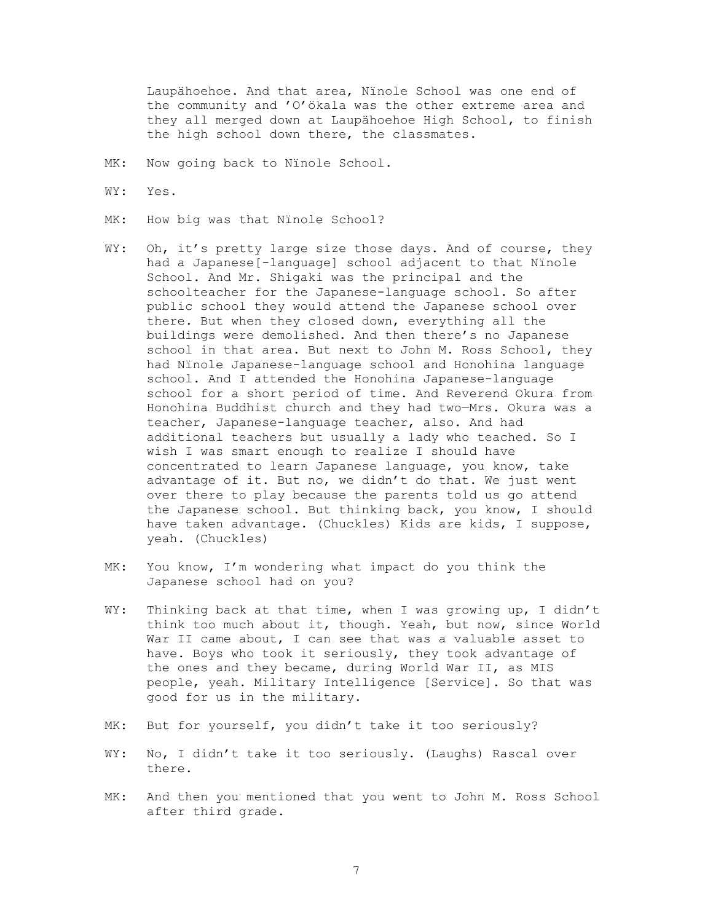Laupähoehoe. And that area, Nïnole School was one end of the community and 'O'ökala was the other extreme area and they all merged down at Laupähoehoe High School, to finish the high school down there, the classmates.

- MK: Now going back to Ninole School.
- WY: Yes.
- MK: How big was that Ninole School?
- WY: Oh, it's pretty large size those days. And of course, they had a Japanese[-language] school adjacent to that Nïnole School. And Mr. Shigaki was the principal and the schoolteacher for the Japanese-language school. So after public school they would attend the Japanese school over there. But when they closed down, everything all the buildings were demolished. And then there's no Japanese school in that area. But next to John M. Ross School, they had Nïnole Japanese-language school and Honohina language school. And I attended the Honohina Japanese-language school for a short period of time. And Reverend Okura from Honohina Buddhist church and they had two—Mrs. Okura was a teacher, Japanese-language teacher, also. And had additional teachers but usually a lady who teached. So I wish I was smart enough to realize I should have concentrated to learn Japanese language, you know, take advantage of it. But no, we didn't do that. We just went over there to play because the parents told us go attend the Japanese school. But thinking back, you know, I should have taken advantage. (Chuckles) Kids are kids, I suppose, yeah. (Chuckles)
- MK: You know, I'm wondering what impact do you think the Japanese school had on you?
- WY: Thinking back at that time, when I was growing up, I didn't think too much about it, though. Yeah, but now, since World War II came about, I can see that was a valuable asset to have. Boys who took it seriously, they took advantage of the ones and they became, during World War II, as MIS people, yeah. Military Intelligence [Service]. So that was good for us in the military.
- MK: But for yourself, you didn't take it too seriously?
- WY: No, I didn't take it too seriously. (Laughs) Rascal over there.
- MK: And then you mentioned that you went to John M. Ross School after third grade.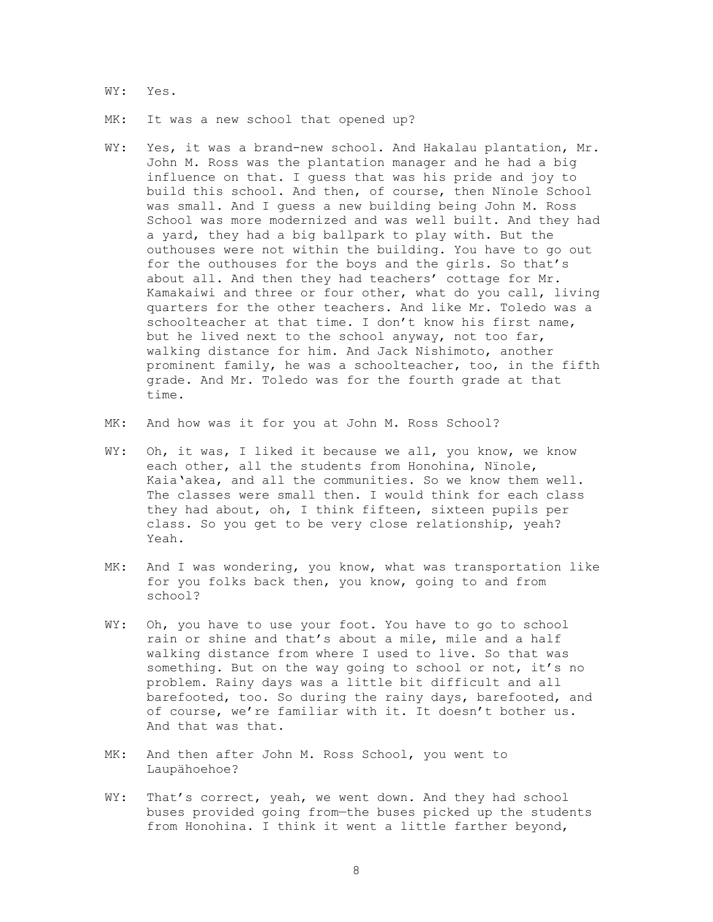WY: Yes.

MK: It was a new school that opened up?

- WY: Yes, it was a brand-new school. And Hakalau plantation, Mr. John M. Ross was the plantation manager and he had a big influence on that. I guess that was his pride and joy to build this school. And then, of course, then Nïnole School was small. And I guess a new building being John M. Ross School was more modernized and was well built. And they had a yard, they had a big ballpark to play with. But the outhouses were not within the building. You have to go out for the outhouses for the boys and the girls. So that's about all. And then they had teachers' cottage for Mr. Kamakaiwi and three or four other, what do you call, living quarters for the other teachers. And like Mr. Toledo was a schoolteacher at that time. I don't know his first name, but he lived next to the school anyway, not too far, walking distance for him. And Jack Nishimoto, another prominent family, he was a schoolteacher, too, in the fifth grade. And Mr. Toledo was for the fourth grade at that time.
- MK: And how was it for you at John M. Ross School?
- WY: Oh, it was, I liked it because we all, you know, we know each other, all the students from Honohina, Nïnole, Kaia'akea, and all the communities. So we know them well. The classes were small then. I would think for each class they had about, oh, I think fifteen, sixteen pupils per class. So you get to be very close relationship, yeah? Yeah.
- MK: And I was wondering, you know, what was transportation like for you folks back then, you know, going to and from school?
- WY: Oh, you have to use your foot. You have to go to school rain or shine and that's about a mile, mile and a half walking distance from where I used to live. So that was something. But on the way going to school or not, it's no problem. Rainy days was a little bit difficult and all barefooted, too. So during the rainy days, barefooted, and of course, we're familiar with it. It doesn't bother us. And that was that.
- MK: And then after John M. Ross School, you went to Laupähoehoe?
- WY: That's correct, yeah, we went down. And they had school buses provided going from—the buses picked up the students from Honohina. I think it went a little farther beyond,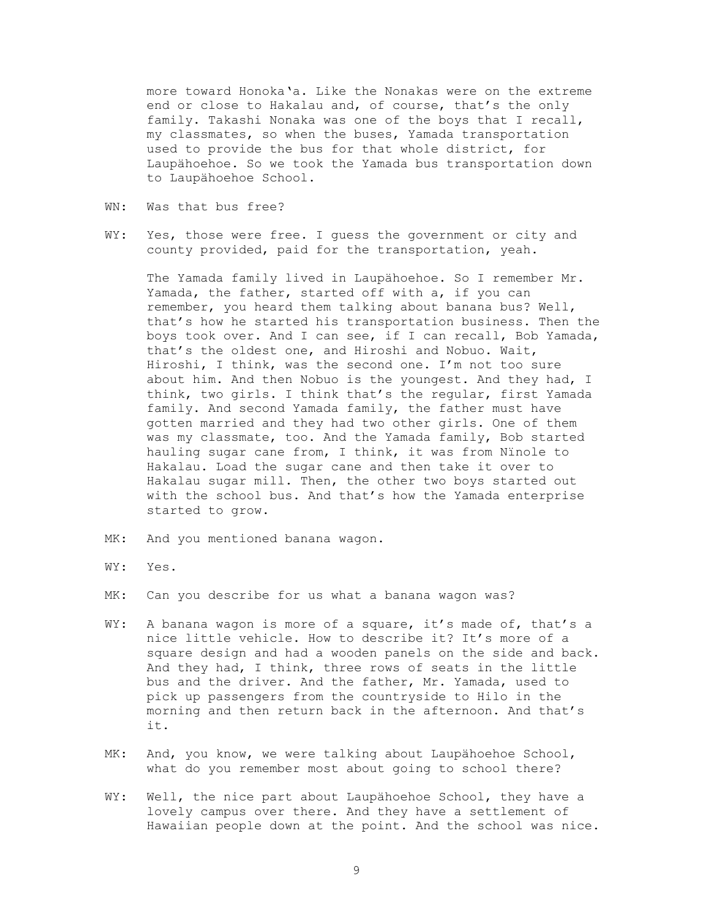more toward Honoka'a. Like the Nonakas were on the extreme end or close to Hakalau and, of course, that's the only family. Takashi Nonaka was one of the boys that I recall, my classmates, so when the buses, Yamada transportation used to provide the bus for that whole district, for Laupähoehoe. So we took the Yamada bus transportation down to Laupähoehoe School.

- WN: Was that bus free?
- WY: Yes, those were free. I quess the government or city and county provided, paid for the transportation, yeah.

The Yamada family lived in Laupähoehoe. So I remember Mr. Yamada, the father, started off with a, if you can remember, you heard them talking about banana bus? Well, that's how he started his transportation business. Then the boys took over. And I can see, if I can recall, Bob Yamada, that's the oldest one, and Hiroshi and Nobuo. Wait, Hiroshi, I think, was the second one. I'm not too sure about him. And then Nobuo is the youngest. And they had, I think, two girls. I think that's the regular, first Yamada family. And second Yamada family, the father must have gotten married and they had two other girls. One of them was my classmate, too. And the Yamada family, Bob started hauling sugar cane from, I think, it was from Nïnole to Hakalau. Load the sugar cane and then take it over to Hakalau sugar mill. Then, the other two boys started out with the school bus. And that's how the Yamada enterprise started to grow.

- MK: And you mentioned banana wagon.
- WY: Yes.
- MK: Can you describe for us what a banana wagon was?
- WY: A banana wagon is more of a square, it's made of, that's a nice little vehicle. How to describe it? It's more of a square design and had a wooden panels on the side and back. And they had, I think, three rows of seats in the little bus and the driver. And the father, Mr. Yamada, used to pick up passengers from the countryside to Hilo in the morning and then return back in the afternoon. And that's it.
- MK: And, you know, we were talking about Laupähoehoe School, what do you remember most about going to school there?
- WY: Well, the nice part about Laupähoehoe School, they have a lovely campus over there. And they have a settlement of Hawaiian people down at the point. And the school was nice.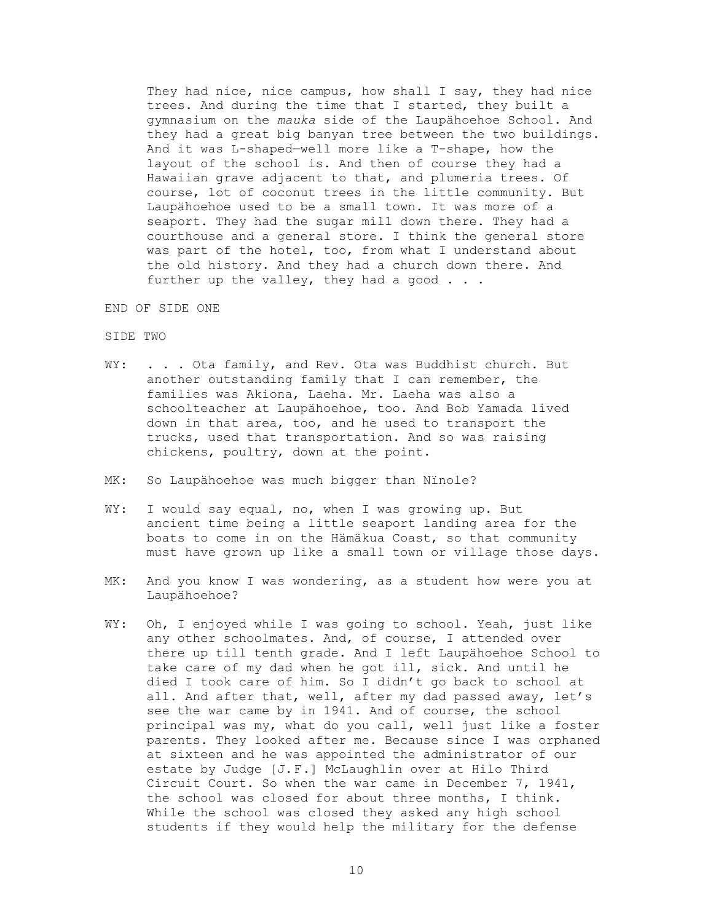They had nice, nice campus, how shall I say, they had nice trees. And during the time that I started, they built a gymnasium on the *mauka* side of the Laupähoehoe School. And they had a great big banyan tree between the two buildings. And it was L-shaped—well more like a T-shape, how the layout of the school is. And then of course they had a Hawaiian grave adjacent to that, and plumeria trees. Of course, lot of coconut trees in the little community. But Laupähoehoe used to be a small town. It was more of a seaport. They had the sugar mill down there. They had a courthouse and a general store. I think the general store was part of the hotel, too, from what I understand about the old history. And they had a church down there. And further up the valley, they had a good . . .

END OF SIDE ONE

### SIDE TWO

- WY: . . . Ota family, and Rev. Ota was Buddhist church. But another outstanding family that I can remember, the families was Akiona, Laeha. Mr. Laeha was also a schoolteacher at Laupähoehoe, too. And Bob Yamada lived down in that area, too, and he used to transport the trucks, used that transportation. And so was raising chickens, poultry, down at the point.
- MK: So Laupähoehoe was much bigger than Nïnole?
- WY: I would say equal, no, when I was growing up. But ancient time being a little seaport landing area for the boats to come in on the Hämäkua Coast, so that community must have grown up like a small town or village those days.
- MK: And you know I was wondering, as a student how were you at Laupähoehoe?
- WY: Oh, I enjoyed while I was going to school. Yeah, just like any other schoolmates. And, of course, I attended over there up till tenth grade. And I left Laupähoehoe School to take care of my dad when he got ill, sick. And until he died I took care of him. So I didn't go back to school at all. And after that, well, after my dad passed away, let's see the war came by in 1941. And of course, the school principal was my, what do you call, well just like a foster parents. They looked after me. Because since I was orphaned at sixteen and he was appointed the administrator of our estate by Judge [J.F.] McLaughlin over at Hilo Third Circuit Court. So when the war came in December 7, 1941, the school was closed for about three months, I think. While the school was closed they asked any high school students if they would help the military for the defense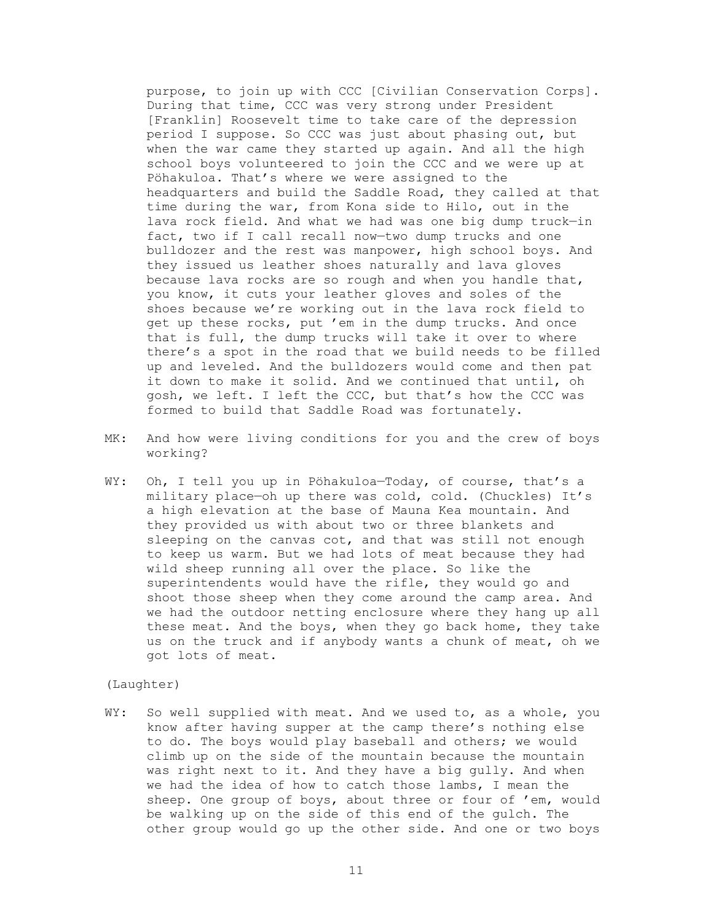purpose, to join up with CCC [Civilian Conservation Corps]. During that time, CCC was very strong under President [Franklin] Roosevelt time to take care of the depression period I suppose. So CCC was just about phasing out, but when the war came they started up again. And all the high school boys volunteered to join the CCC and we were up at Pöhakuloa. That's where we were assigned to the headquarters and build the Saddle Road, they called at that time during the war, from Kona side to Hilo, out in the lava rock field. And what we had was one big dump truck—in fact, two if I call recall now—two dump trucks and one bulldozer and the rest was manpower, high school boys. And they issued us leather shoes naturally and lava gloves because lava rocks are so rough and when you handle that, you know, it cuts your leather gloves and soles of the shoes because we're working out in the lava rock field to get up these rocks, put 'em in the dump trucks. And once that is full, the dump trucks will take it over to where there's a spot in the road that we build needs to be filled up and leveled. And the bulldozers would come and then pat it down to make it solid. And we continued that until, oh gosh, we left. I left the CCC, but that's how the CCC was formed to build that Saddle Road was fortunately.

- MK: And how were living conditions for you and the crew of boys working?
- WY: Oh, I tell you up in Pöhakuloa-Today, of course, that's a military place—oh up there was cold, cold. (Chuckles) It's a high elevation at the base of Mauna Kea mountain. And they provided us with about two or three blankets and sleeping on the canvas cot, and that was still not enough to keep us warm. But we had lots of meat because they had wild sheep running all over the place. So like the superintendents would have the rifle, they would go and shoot those sheep when they come around the camp area. And we had the outdoor netting enclosure where they hang up all these meat. And the boys, when they go back home, they take us on the truck and if anybody wants a chunk of meat, oh we got lots of meat.

# (Laughter)

WY: So well supplied with meat. And we used to, as a whole, you know after having supper at the camp there's nothing else to do. The boys would play baseball and others; we would climb up on the side of the mountain because the mountain was right next to it. And they have a big gully. And when we had the idea of how to catch those lambs, I mean the sheep. One group of boys, about three or four of 'em, would be walking up on the side of this end of the gulch. The other group would go up the other side. And one or two boys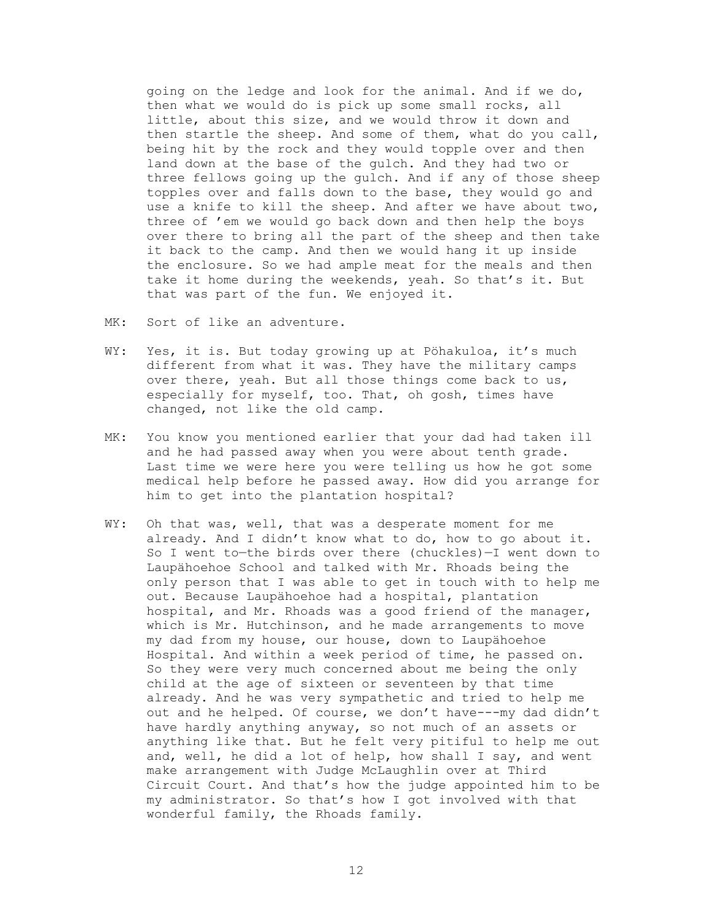going on the ledge and look for the animal. And if we do, then what we would do is pick up some small rocks, all little, about this size, and we would throw it down and then startle the sheep. And some of them, what do you call, being hit by the rock and they would topple over and then land down at the base of the gulch. And they had two or three fellows going up the gulch. And if any of those sheep topples over and falls down to the base, they would go and use a knife to kill the sheep. And after we have about two, three of 'em we would go back down and then help the boys over there to bring all the part of the sheep and then take it back to the camp. And then we would hang it up inside the enclosure. So we had ample meat for the meals and then take it home during the weekends, yeah. So that's it. But that was part of the fun. We enjoyed it.

- MK: Sort of like an adventure.
- WY: Yes, it is. But today growing up at Pöhakuloa, it's much different from what it was. They have the military camps over there, yeah. But all those things come back to us, especially for myself, too. That, oh gosh, times have changed, not like the old camp.
- MK: You know you mentioned earlier that your dad had taken ill and he had passed away when you were about tenth grade. Last time we were here you were telling us how he got some medical help before he passed away. How did you arrange for him to get into the plantation hospital?
- WY: Oh that was, well, that was a desperate moment for me already. And I didn't know what to do, how to go about it. So I went to—the birds over there (chuckles)—I went down to Laupähoehoe School and talked with Mr. Rhoads being the only person that I was able to get in touch with to help me out. Because Laupähoehoe had a hospital, plantation hospital, and Mr. Rhoads was a good friend of the manager, which is Mr. Hutchinson, and he made arrangements to move my dad from my house, our house, down to Laupähoehoe Hospital. And within a week period of time, he passed on. So they were very much concerned about me being the only child at the age of sixteen or seventeen by that time already. And he was very sympathetic and tried to help me out and he helped. Of course, we don't have---my dad didn't have hardly anything anyway, so not much of an assets or anything like that. But he felt very pitiful to help me out and, well, he did a lot of help, how shall I say, and went make arrangement with Judge McLaughlin over at Third Circuit Court. And that's how the judge appointed him to be my administrator. So that's how I got involved with that wonderful family, the Rhoads family.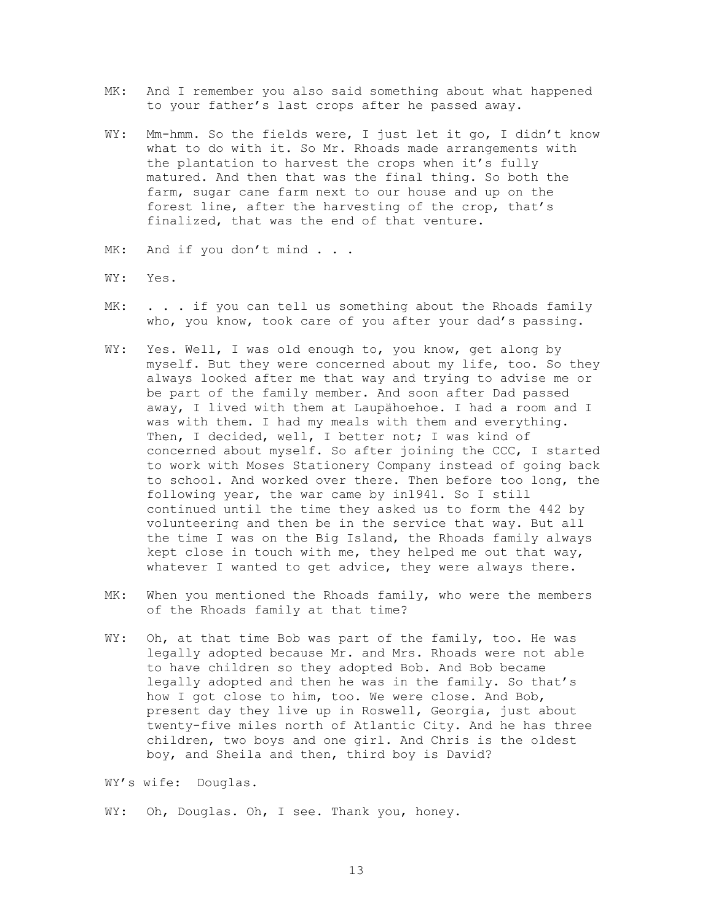- MK: And I remember you also said something about what happened to your father's last crops after he passed away.
- WY: Mm-hmm. So the fields were, I just let it go, I didn't know what to do with it. So Mr. Rhoads made arrangements with the plantation to harvest the crops when it's fully matured. And then that was the final thing. So both the farm, sugar cane farm next to our house and up on the forest line, after the harvesting of the crop, that's finalized, that was the end of that venture.
- MK: And if you don't mind . . .
- WY: Yes.
- MK: . . . if you can tell us something about the Rhoads family who, you know, took care of you after your dad's passing.
- WY: Yes. Well, I was old enough to, you know, get along by myself. But they were concerned about my life, too. So they always looked after me that way and trying to advise me or be part of the family member. And soon after Dad passed away, I lived with them at Laupähoehoe. I had a room and I was with them. I had my meals with them and everything. Then, I decided, well, I better not; I was kind of concerned about myself. So after joining the CCC, I started to work with Moses Stationery Company instead of going back to school. And worked over there. Then before too long, the following year, the war came by in1941. So I still continued until the time they asked us to form the 442 by volunteering and then be in the service that way. But all the time I was on the Big Island, the Rhoads family always kept close in touch with me, they helped me out that way, whatever I wanted to get advice, they were always there.
- MK: When you mentioned the Rhoads family, who were the members of the Rhoads family at that time?
- WY: Oh, at that time Bob was part of the family, too. He was legally adopted because Mr. and Mrs. Rhoads were not able to have children so they adopted Bob. And Bob became legally adopted and then he was in the family. So that's how I got close to him, too. We were close. And Bob, present day they live up in Roswell, Georgia, just about twenty-five miles north of Atlantic City. And he has three children, two boys and one girl. And Chris is the oldest boy, and Sheila and then, third boy is David?

WY's wife: Douglas.

WY: Oh, Douglas. Oh, I see. Thank you, honey.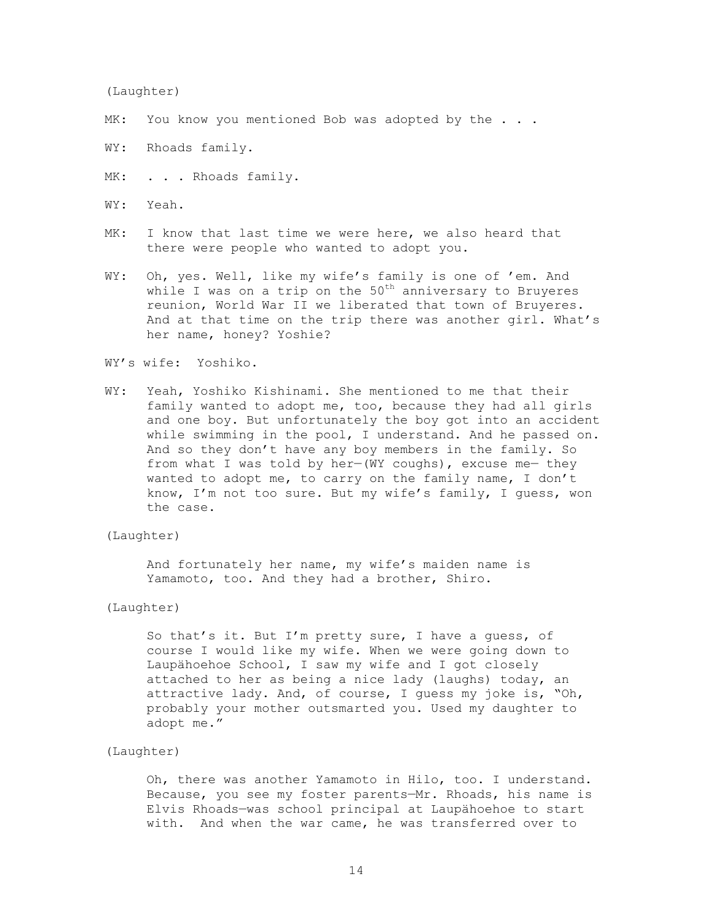#### (Laughter)

- MK: You know you mentioned Bob was adopted by the . . .
- WY: Rhoads family.
- MK: . . . Rhoads family.
- WY: Yeah.
- MK: I know that last time we were here, we also heard that there were people who wanted to adopt you.
- WY: Oh, yes. Well, like my wife's family is one of 'em. And while I was on a trip on the  $50<sup>th</sup>$  anniversary to Bruyeres reunion, World War II we liberated that town of Bruyeres. And at that time on the trip there was another girl. What's her name, honey? Yoshie?

# WY's wife: Yoshiko.

WY: Yeah, Yoshiko Kishinami. She mentioned to me that their family wanted to adopt me, too, because they had all girls and one boy. But unfortunately the boy got into an accident while swimming in the pool, I understand. And he passed on. And so they don't have any boy members in the family. So from what I was told by her-(WY coughs), excuse me- they wanted to adopt me, to carry on the family name, I don't know, I'm not too sure. But my wife's family, I guess, won the case.

## (Laughter)

 And fortunately her name, my wife's maiden name is Yamamoto, too. And they had a brother, Shiro.

### (Laughter)

 So that's it. But I'm pretty sure, I have a guess, of course I would like my wife. When we were going down to Laupähoehoe School, I saw my wife and I got closely attached to her as being a nice lady (laughs) today, an attractive lady. And, of course, I guess my joke is, "Oh, probably your mother outsmarted you. Used my daughter to adopt me."

## (Laughter)

 Oh, there was another Yamamoto in Hilo, too. I understand. Because, you see my foster parents—Mr. Rhoads, his name is Elvis Rhoads—was school principal at Laupähoehoe to start with. And when the war came, he was transferred over to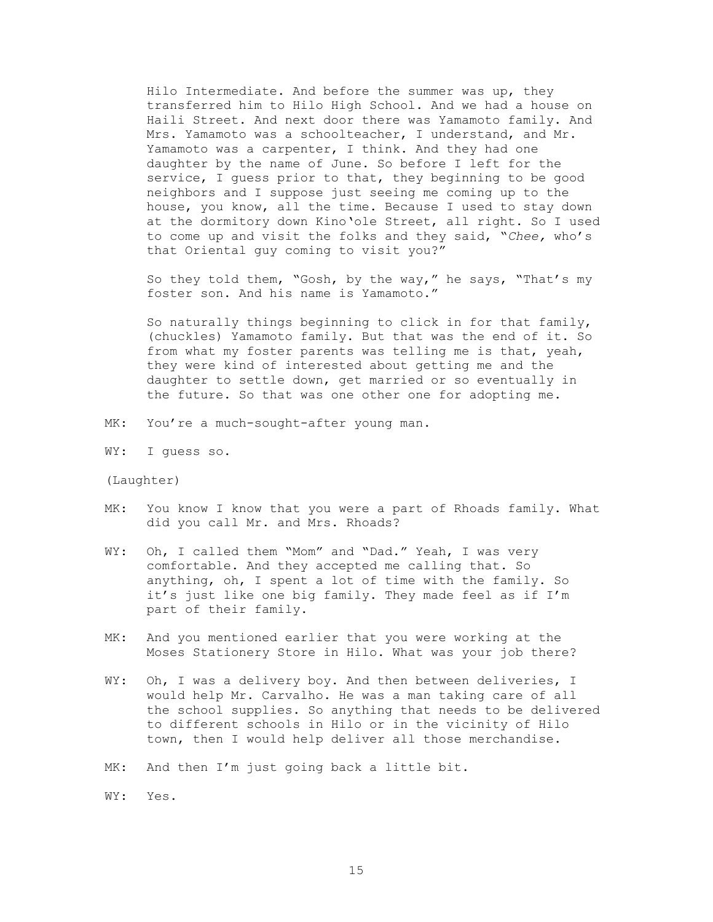Hilo Intermediate. And before the summer was up, they transferred him to Hilo High School. And we had a house on Haili Street. And next door there was Yamamoto family. And Mrs. Yamamoto was a schoolteacher, I understand, and Mr. Yamamoto was a carpenter, I think. And they had one daughter by the name of June. So before I left for the service, I guess prior to that, they beginning to be good neighbors and I suppose just seeing me coming up to the house, you know, all the time. Because I used to stay down at the dormitory down Kino'ole Street, all right. So I used to come up and visit the folks and they said, "*Chee,* who's that Oriental guy coming to visit you?"

So they told them, "Gosh, by the way," he says, "That's my foster son. And his name is Yamamoto."

So naturally things beginning to click in for that family, (chuckles) Yamamoto family. But that was the end of it. So from what my foster parents was telling me is that, yeah, they were kind of interested about getting me and the daughter to settle down, get married or so eventually in the future. So that was one other one for adopting me.

- MK: You're a much-sought-after young man.
- WY: I guess so.

(Laughter)

- MK: You know I know that you were a part of Rhoads family. What did you call Mr. and Mrs. Rhoads?
- WY: Oh, I called them "Mom" and "Dad." Yeah, I was very comfortable. And they accepted me calling that. So anything, oh, I spent a lot of time with the family. So it's just like one big family. They made feel as if I'm part of their family.
- MK: And you mentioned earlier that you were working at the Moses Stationery Store in Hilo. What was your job there?
- WY: Oh, I was a delivery boy. And then between deliveries, I would help Mr. Carvalho. He was a man taking care of all the school supplies. So anything that needs to be delivered to different schools in Hilo or in the vicinity of Hilo town, then I would help deliver all those merchandise.
- MK: And then I'm just going back a little bit.

WY: Yes.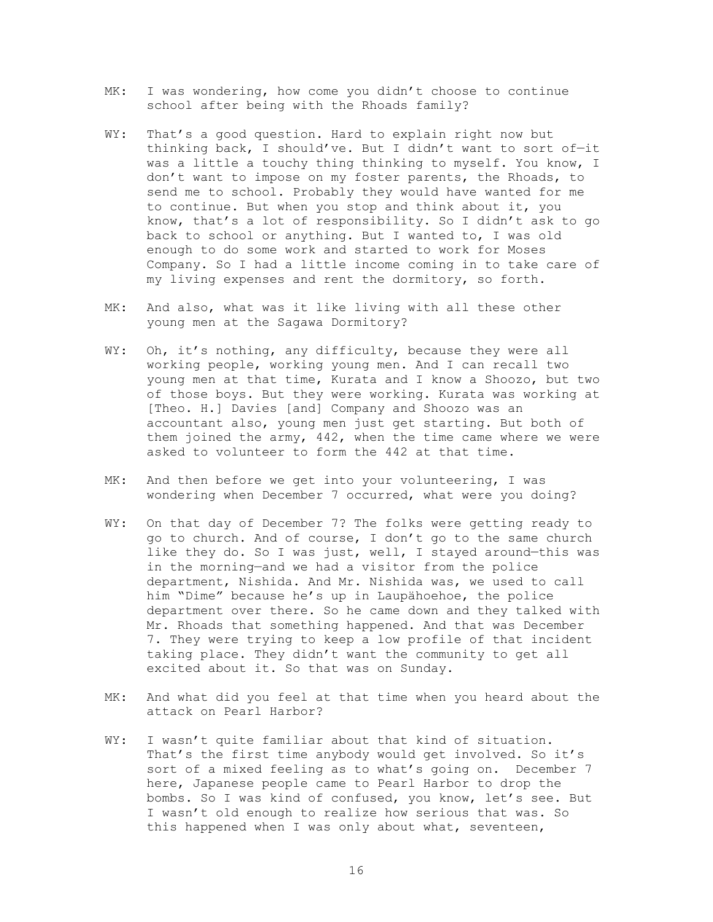- MK: I was wondering, how come you didn't choose to continue school after being with the Rhoads family?
- WY: That's a good question. Hard to explain right now but thinking back, I should've. But I didn't want to sort of—it was a little a touchy thing thinking to myself. You know, I don't want to impose on my foster parents, the Rhoads, to send me to school. Probably they would have wanted for me to continue. But when you stop and think about it, you know, that's a lot of responsibility. So I didn't ask to go back to school or anything. But I wanted to, I was old enough to do some work and started to work for Moses Company. So I had a little income coming in to take care of my living expenses and rent the dormitory, so forth.
- MK: And also, what was it like living with all these other young men at the Sagawa Dormitory?
- WY: Oh, it's nothing, any difficulty, because they were all working people, working young men. And I can recall two young men at that time, Kurata and I know a Shoozo, but two of those boys. But they were working. Kurata was working at [Theo. H.] Davies [and] Company and Shoozo was an accountant also, young men just get starting. But both of them joined the army, 442, when the time came where we were asked to volunteer to form the 442 at that time.
- MK: And then before we get into your volunteering, I was wondering when December 7 occurred, what were you doing?
- WY: On that day of December 7? The folks were getting ready to go to church. And of course, I don't go to the same church like they do. So I was just, well, I stayed around-this was in the morning—and we had a visitor from the police department, Nishida. And Mr. Nishida was, we used to call him "Dime" because he's up in Laupähoehoe, the police department over there. So he came down and they talked with Mr. Rhoads that something happened. And that was December 7. They were trying to keep a low profile of that incident taking place. They didn't want the community to get all excited about it. So that was on Sunday.
- MK: And what did you feel at that time when you heard about the attack on Pearl Harbor?
- WY: I wasn't quite familiar about that kind of situation. That's the first time anybody would get involved. So it's sort of a mixed feeling as to what's going on. December 7 here, Japanese people came to Pearl Harbor to drop the bombs. So I was kind of confused, you know, let's see. But I wasn't old enough to realize how serious that was. So this happened when I was only about what, seventeen,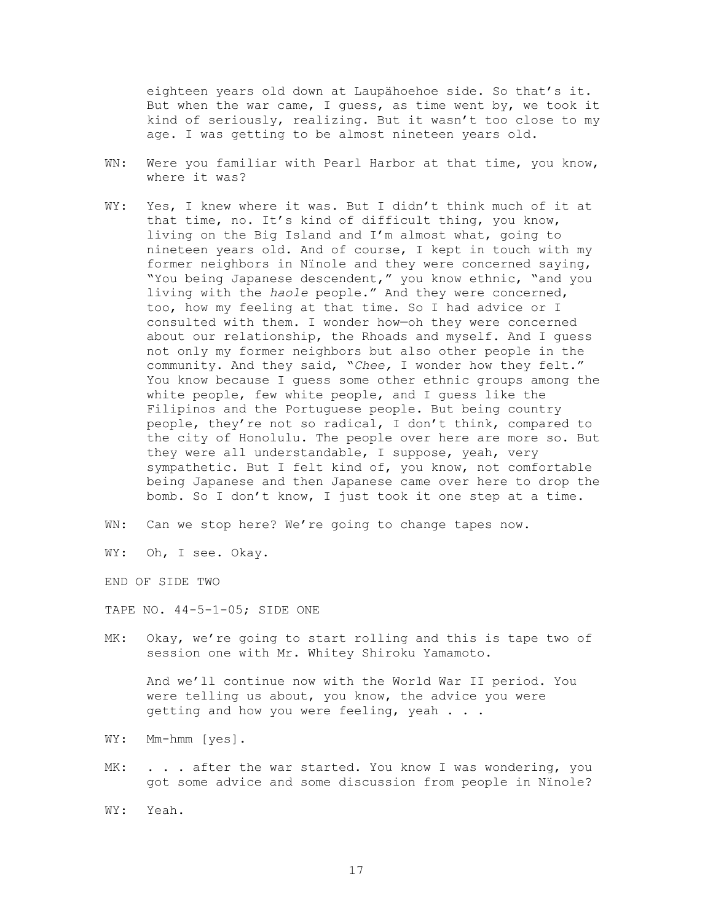eighteen years old down at Laupähoehoe side. So that's it. But when the war came, I guess, as time went by, we took it kind of seriously, realizing. But it wasn't too close to my age. I was getting to be almost nineteen years old.

- WN: Were you familiar with Pearl Harbor at that time, you know, where it was?
- WY: Yes, I knew where it was. But I didn't think much of it at that time, no. It's kind of difficult thing, you know, living on the Big Island and I'm almost what, going to nineteen years old. And of course, I kept in touch with my former neighbors in Nïnole and they were concerned saying, "You being Japanese descendent," you know ethnic, "and you living with the *haole* people." And they were concerned, too, how my feeling at that time. So I had advice or I consulted with them. I wonder how—oh they were concerned about our relationship, the Rhoads and myself. And I guess not only my former neighbors but also other people in the community. And they said, "*Chee,* I wonder how they felt." You know because I guess some other ethnic groups among the white people, few white people, and I guess like the Filipinos and the Portuguese people. But being country people, they're not so radical, I don't think, compared to the city of Honolulu. The people over here are more so. But they were all understandable, I suppose, yeah, very sympathetic. But I felt kind of, you know, not comfortable being Japanese and then Japanese came over here to drop the bomb. So I don't know, I just took it one step at a time.
- WN: Can we stop here? We're going to change tapes now.

WY: Oh, I see. Okay.

END OF SIDE TWO

TAPE NO. 44-5-1-05; SIDE ONE

MK: Okay, we're going to start rolling and this is tape two of session one with Mr. Whitey Shiroku Yamamoto.

And we'll continue now with the World War II period. You were telling us about, you know, the advice you were getting and how you were feeling, yeah . . .

- WY: Mm-hmm [yes].
- MK: . . . after the war started. You know I was wondering, you got some advice and some discussion from people in Nïnole?
- WY: Yeah.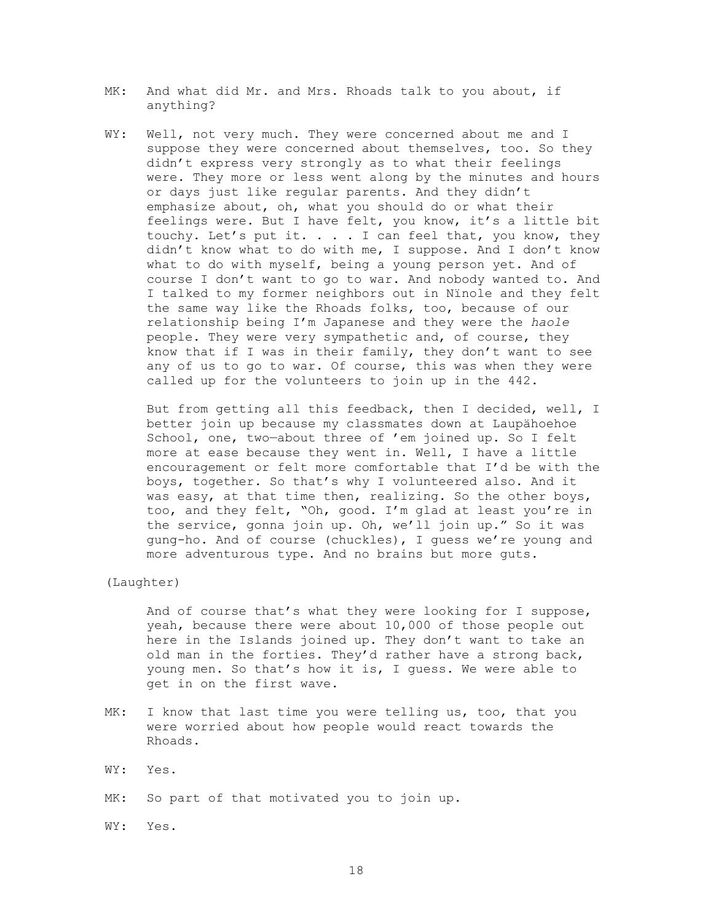- MK: And what did Mr. and Mrs. Rhoads talk to you about, if anything?
- WY: Well, not very much. They were concerned about me and I suppose they were concerned about themselves, too. So they didn't express very strongly as to what their feelings were. They more or less went along by the minutes and hours or days just like regular parents. And they didn't emphasize about, oh, what you should do or what their feelings were. But I have felt, you know, it's a little bit touchy. Let's put it. . . . I can feel that, you know, they didn't know what to do with me, I suppose. And I don't know what to do with myself, being a young person yet. And of course I don't want to go to war. And nobody wanted to. And I talked to my former neighbors out in Nïnole and they felt the same way like the Rhoads folks, too, because of our relationship being I'm Japanese and they were the *haole* people. They were very sympathetic and, of course, they know that if I was in their family, they don't want to see any of us to go to war. Of course, this was when they were called up for the volunteers to join up in the 442.

But from getting all this feedback, then I decided, well, I better join up because my classmates down at Laupähoehoe School, one, two—about three of 'em joined up. So I felt more at ease because they went in. Well, I have a little encouragement or felt more comfortable that I'd be with the boys, together. So that's why I volunteered also. And it was easy, at that time then, realizing. So the other boys, too, and they felt, "Oh, good. I'm glad at least you're in the service, gonna join up. Oh, we'll join up." So it was gung-ho. And of course (chuckles), I guess we're young and more adventurous type. And no brains but more guts.

(Laughter)

 And of course that's what they were looking for I suppose, yeah, because there were about 10,000 of those people out here in the Islands joined up. They don't want to take an old man in the forties. They'd rather have a strong back, young men. So that's how it is, I guess. We were able to get in on the first wave.

- MK: I know that last time you were telling us, too, that you were worried about how people would react towards the Rhoads.
- WY: Yes.
- MK: So part of that motivated you to join up.

WY: Yes.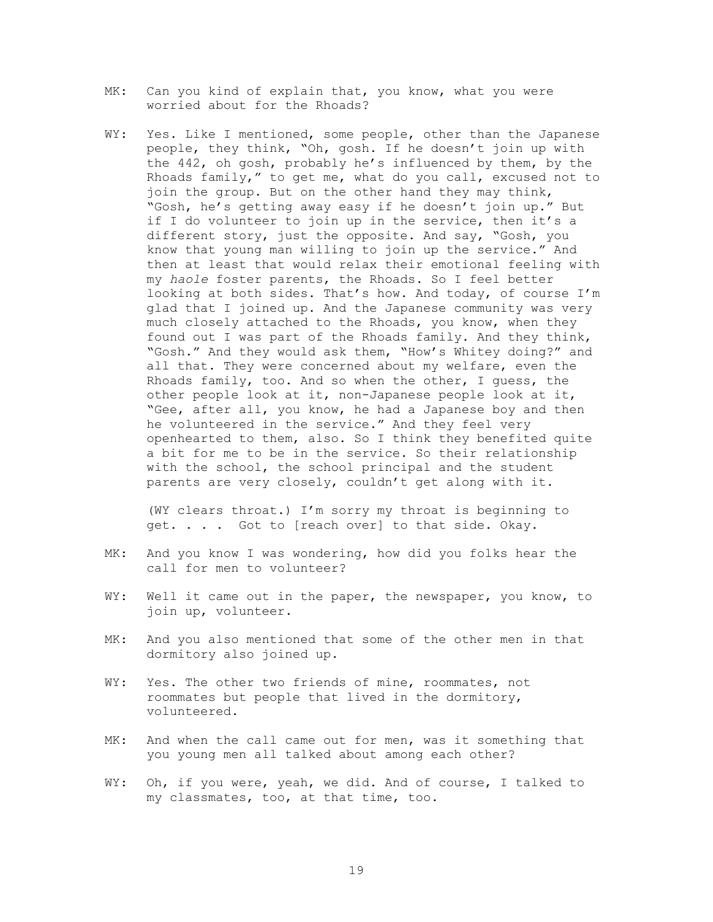- MK: Can you kind of explain that, you know, what you were worried about for the Rhoads?
- WY: Yes. Like I mentioned, some people, other than the Japanese people, they think, "Oh, gosh. If he doesn't join up with the 442, oh gosh, probably he's influenced by them, by the Rhoads family," to get me, what do you call, excused not to join the group. But on the other hand they may think, "Gosh, he's getting away easy if he doesn't join up." But if I do volunteer to join up in the service, then it's a different story, just the opposite. And say, "Gosh, you know that young man willing to join up the service." And then at least that would relax their emotional feeling with my *haole* foster parents, the Rhoads. So I feel better looking at both sides. That's how. And today, of course I'm glad that I joined up. And the Japanese community was very much closely attached to the Rhoads, you know, when they found out I was part of the Rhoads family. And they think, "Gosh." And they would ask them, "How's Whitey doing?" and all that. They were concerned about my welfare, even the Rhoads family, too. And so when the other, I guess, the other people look at it, non-Japanese people look at it, "Gee, after all, you know, he had a Japanese boy and then he volunteered in the service." And they feel very openhearted to them, also. So I think they benefited quite a bit for me to be in the service. So their relationship with the school, the school principal and the student parents are very closely, couldn't get along with it.

 (WY clears throat.) I'm sorry my throat is beginning to get. . . . Got to [reach over] to that side. Okay.

- MK: And you know I was wondering, how did you folks hear the call for men to volunteer?
- WY: Well it came out in the paper, the newspaper, you know, to join up, volunteer.
- MK: And you also mentioned that some of the other men in that dormitory also joined up.
- WY: Yes. The other two friends of mine, roommates, not roommates but people that lived in the dormitory, volunteered.
- MK: And when the call came out for men, was it something that you young men all talked about among each other?
- WY: Oh, if you were, yeah, we did. And of course, I talked to my classmates, too, at that time, too.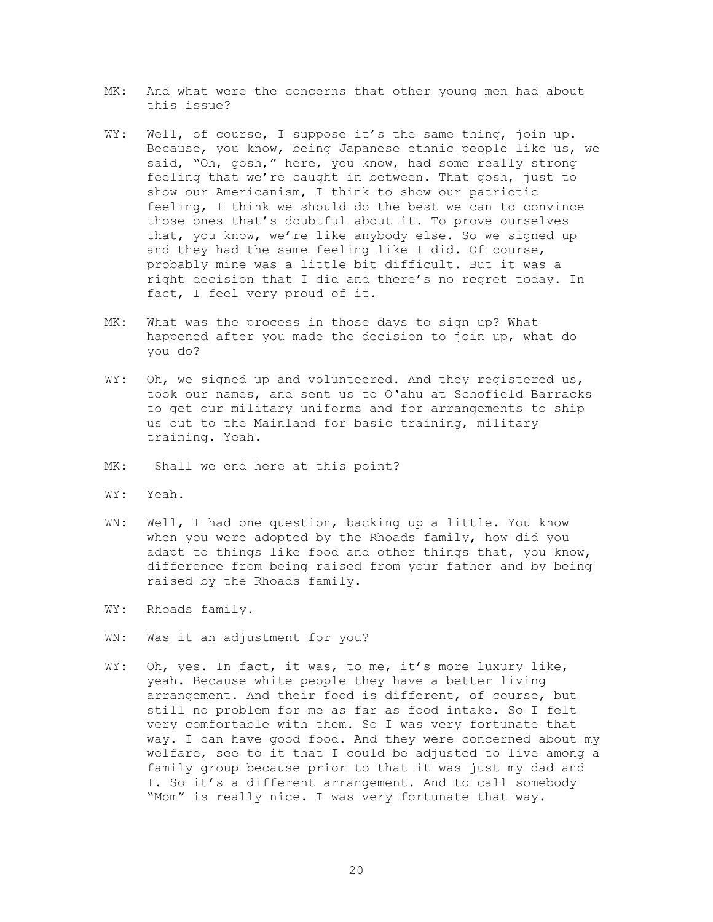- MK: And what were the concerns that other young men had about this issue?
- WY: Well, of course, I suppose it's the same thing, join up. Because, you know, being Japanese ethnic people like us, we said, "Oh, gosh," here, you know, had some really strong feeling that we're caught in between. That gosh, just to show our Americanism, I think to show our patriotic feeling, I think we should do the best we can to convince those ones that's doubtful about it. To prove ourselves that, you know, we're like anybody else. So we signed up and they had the same feeling like I did. Of course, probably mine was a little bit difficult. But it was a right decision that I did and there's no regret today. In fact, I feel very proud of it.
- MK: What was the process in those days to sign up? What happened after you made the decision to join up, what do you do?
- WY: Oh, we signed up and volunteered. And they registered us, took our names, and sent us to O'ahu at Schofield Barracks to get our military uniforms and for arrangements to ship us out to the Mainland for basic training, military training. Yeah.
- MK: Shall we end here at this point?
- WY: Yeah.
- WN: Well, I had one question, backing up a little. You know when you were adopted by the Rhoads family, how did you adapt to things like food and other things that, you know, difference from being raised from your father and by being raised by the Rhoads family.
- WY: Rhoads family.
- WN: Was it an adjustment for you?
- WY: Oh, yes. In fact, it was, to me, it's more luxury like, yeah. Because white people they have a better living arrangement. And their food is different, of course, but still no problem for me as far as food intake. So I felt very comfortable with them. So I was very fortunate that way. I can have good food. And they were concerned about my welfare, see to it that I could be adjusted to live among a family group because prior to that it was just my dad and I. So it's a different arrangement. And to call somebody "Mom" is really nice. I was very fortunate that way.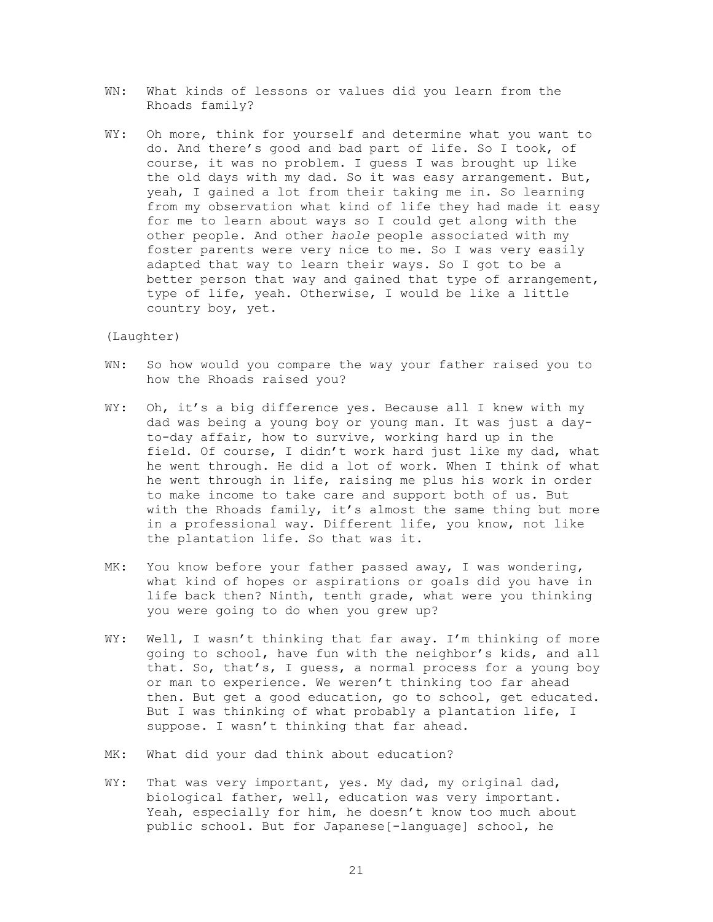- WN: What kinds of lessons or values did you learn from the Rhoads family?
- WY: Oh more, think for yourself and determine what you want to do. And there's good and bad part of life. So I took, of course, it was no problem. I guess I was brought up like the old days with my dad. So it was easy arrangement. But, yeah, I gained a lot from their taking me in. So learning from my observation what kind of life they had made it easy for me to learn about ways so I could get along with the other people. And other *haole* people associated with my foster parents were very nice to me. So I was very easily adapted that way to learn their ways. So I got to be a better person that way and gained that type of arrangement, type of life, yeah. Otherwise, I would be like a little country boy, yet.

#### (Laughter)

- WN: So how would you compare the way your father raised you to how the Rhoads raised you?
- WY: Oh, it's a big difference yes. Because all I knew with my dad was being a young boy or young man. It was just a dayto-day affair, how to survive, working hard up in the field. Of course, I didn't work hard just like my dad, what he went through. He did a lot of work. When I think of what he went through in life, raising me plus his work in order to make income to take care and support both of us. But with the Rhoads family, it's almost the same thing but more in a professional way. Different life, you know, not like the plantation life. So that was it.
- MK: You know before your father passed away, I was wondering, what kind of hopes or aspirations or goals did you have in life back then? Ninth, tenth grade, what were you thinking you were going to do when you grew up?
- WY: Well, I wasn't thinking that far away. I'm thinking of more going to school, have fun with the neighbor's kids, and all that. So, that's, I guess, a normal process for a young boy or man to experience. We weren't thinking too far ahead then. But get a good education, go to school, get educated. But I was thinking of what probably a plantation life, I suppose. I wasn't thinking that far ahead.
- MK: What did your dad think about education?
- WY: That was very important, yes. My dad, my original dad, biological father, well, education was very important. Yeah, especially for him, he doesn't know too much about public school. But for Japanese[-language] school, he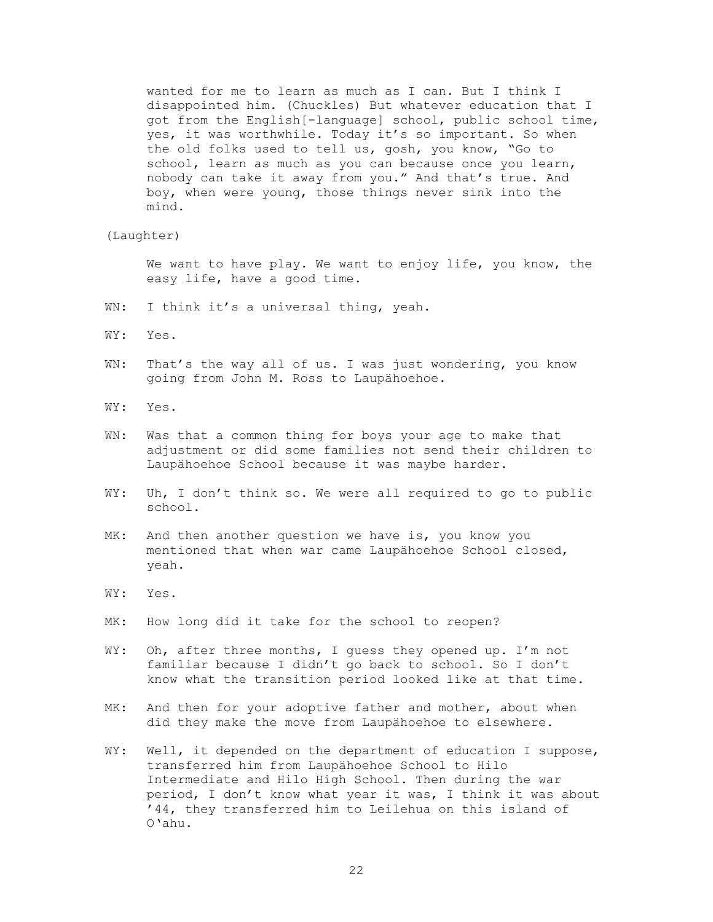wanted for me to learn as much as I can. But I think I disappointed him. (Chuckles) But whatever education that I got from the English[-language] school, public school time, yes, it was worthwhile. Today it's so important. So when the old folks used to tell us, gosh, you know, "Go to school, learn as much as you can because once you learn, nobody can take it away from you." And that's true. And boy, when were young, those things never sink into the mind.

(Laughter)

 We want to have play. We want to enjoy life, you know, the easy life, have a good time.

- WN: I think it's a universal thing, yeah.
- WY: Yes.
- WN: That's the way all of us. I was just wondering, you know going from John M. Ross to Laupähoehoe.
- WY: Yes.
- WN: Was that a common thing for boys your age to make that adjustment or did some families not send their children to Laupähoehoe School because it was maybe harder.
- WY: Uh, I don't think so. We were all required to go to public school.
- MK: And then another question we have is, you know you mentioned that when war came Laupähoehoe School closed, yeah.
- WY: Yes.
- MK: How long did it take for the school to reopen?
- WY: Oh, after three months, I guess they opened up. I'm not familiar because I didn't go back to school. So I don't know what the transition period looked like at that time.
- MK: And then for your adoptive father and mother, about when did they make the move from Laupähoehoe to elsewhere.
- WY: Well, it depended on the department of education I suppose, transferred him from Laupähoehoe School to Hilo Intermediate and Hilo High School. Then during the war period, I don't know what year it was, I think it was about '44, they transferred him to Leilehua on this island of O'ahu.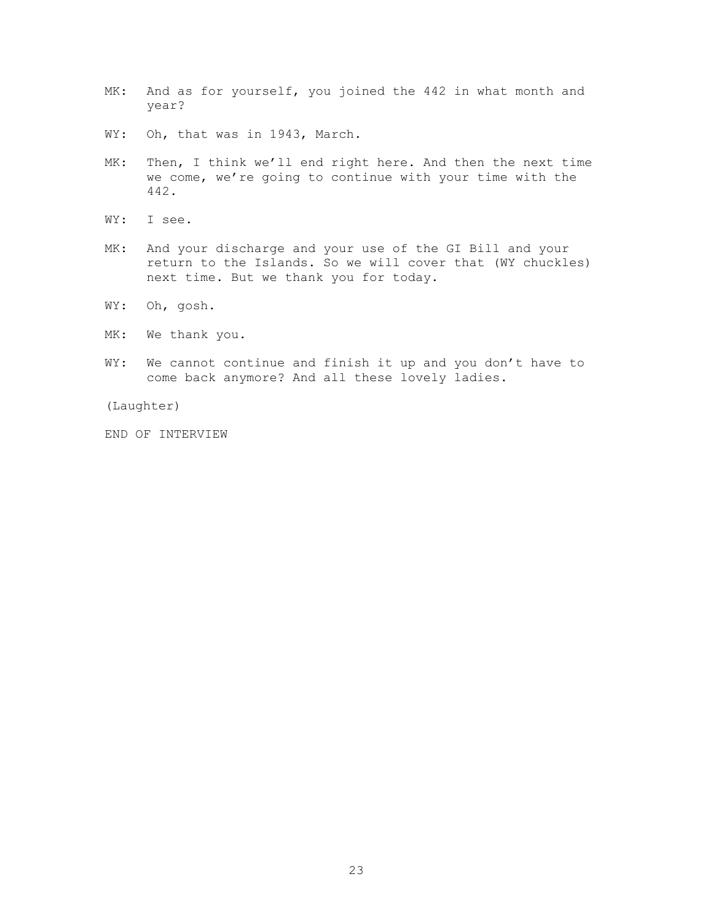- MK: And as for yourself, you joined the 442 in what month and year?
- WY: Oh, that was in 1943, March.
- MK: Then, I think we'll end right here. And then the next time we come, we're going to continue with your time with the 442.
- WY: I see.
- MK: And your discharge and your use of the GI Bill and your return to the Islands. So we will cover that (WY chuckles) next time. But we thank you for today.
- WY: Oh, gosh.
- MK: We thank you.
- WY: We cannot continue and finish it up and you don't have to come back anymore? And all these lovely ladies.

(Laughter)

END OF INTERVIEW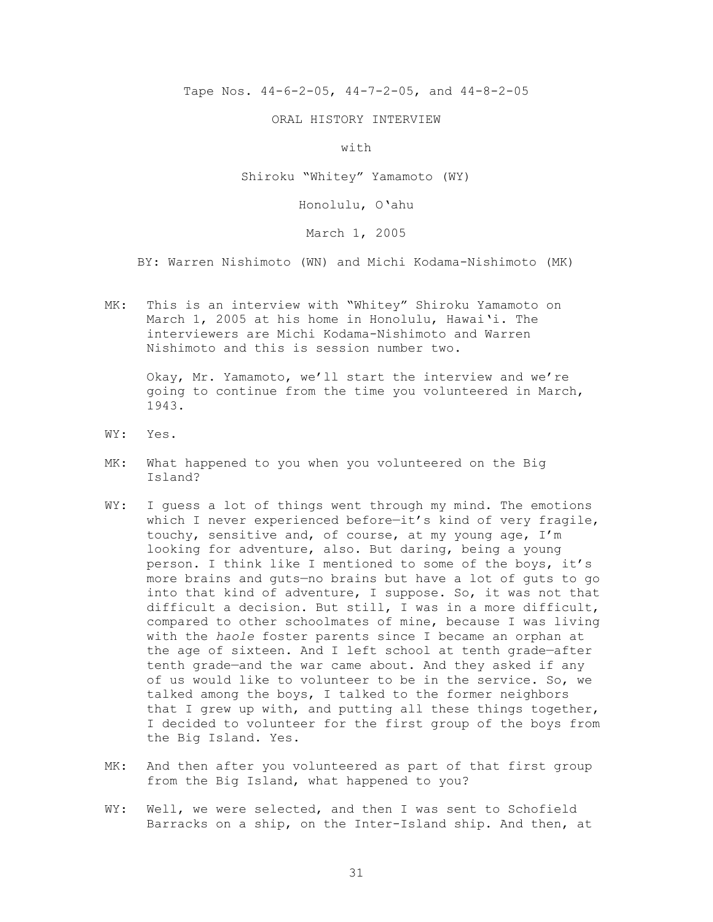Tape Nos. 44-6-2-05, 44-7-2-05, and 44-8-2-05

ORAL HISTORY INTERVIEW

with

Shiroku "Whitey" Yamamoto (WY)

Honolulu, O'ahu

March 1, 2005

BY: Warren Nishimoto (WN) and Michi Kodama-Nishimoto (MK)

MK: This is an interview with "Whitey" Shiroku Yamamoto on March 1, 2005 at his home in Honolulu, Hawai'i. The interviewers are Michi Kodama-Nishimoto and Warren Nishimoto and this is session number two.

 Okay, Mr. Yamamoto, we'll start the interview and we're going to continue from the time you volunteered in March, 1943.

- WY: Yes.
- MK: What happened to you when you volunteered on the Big Island?
- WY: I guess a lot of things went through my mind. The emotions which I never experienced before—it's kind of very fragile, touchy, sensitive and, of course, at my young age, I'm looking for adventure, also. But daring, being a young person. I think like I mentioned to some of the boys, it's more brains and guts—no brains but have a lot of guts to go into that kind of adventure, I suppose. So, it was not that difficult a decision. But still, I was in a more difficult, compared to other schoolmates of mine, because I was living with the *haole* foster parents since I became an orphan at the age of sixteen. And I left school at tenth grade—after tenth grade—and the war came about. And they asked if any of us would like to volunteer to be in the service. So, we talked among the boys, I talked to the former neighbors that I grew up with, and putting all these things together, I decided to volunteer for the first group of the boys from the Big Island. Yes.
- MK: And then after you volunteered as part of that first group from the Big Island, what happened to you?
- WY: Well, we were selected, and then I was sent to Schofield Barracks on a ship, on the Inter-Island ship. And then, at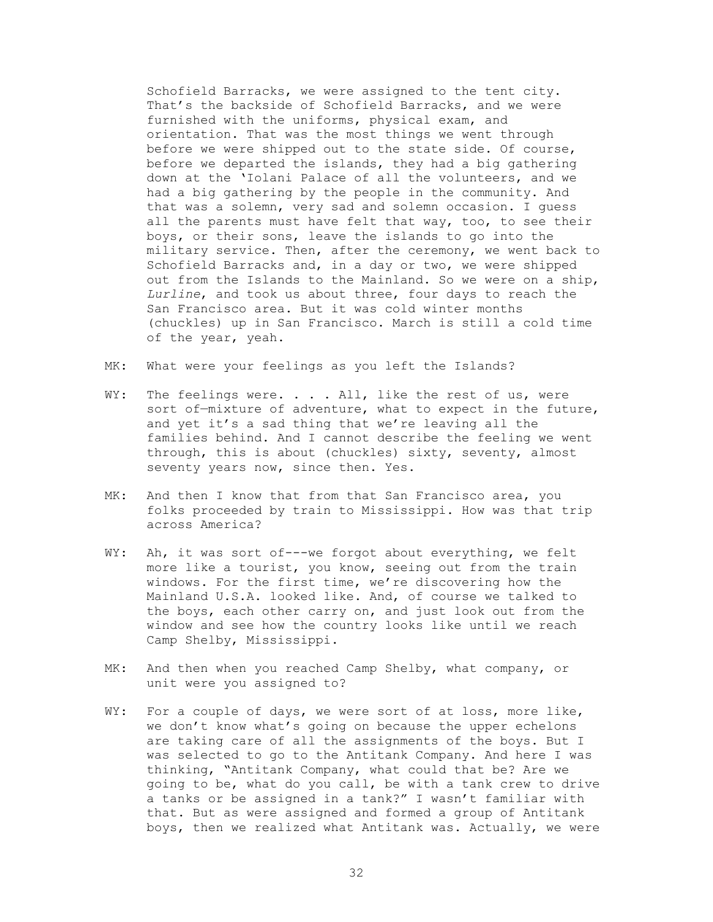Schofield Barracks, we were assigned to the tent city. That's the backside of Schofield Barracks, and we were furnished with the uniforms, physical exam, and orientation. That was the most things we went through before we were shipped out to the state side. Of course, before we departed the islands, they had a big gathering down at the 'Iolani Palace of all the volunteers, and we had a big gathering by the people in the community. And that was a solemn, very sad and solemn occasion. I guess all the parents must have felt that way, too, to see their boys, or their sons, leave the islands to go into the military service. Then, after the ceremony, we went back to Schofield Barracks and, in a day or two, we were shipped out from the Islands to the Mainland. So we were on a ship, *Lurline*, and took us about three, four days to reach the San Francisco area. But it was cold winter months (chuckles) up in San Francisco. March is still a cold time of the year, yeah.

- MK: What were your feelings as you left the Islands?
- WY: The feelings were.  $\ldots$  . All, like the rest of us, were sort of—mixture of adventure, what to expect in the future, and yet it's a sad thing that we're leaving all the families behind. And I cannot describe the feeling we went through, this is about (chuckles) sixty, seventy, almost seventy years now, since then. Yes.
- MK: And then I know that from that San Francisco area, you folks proceeded by train to Mississippi. How was that trip across America?
- WY: Ah, it was sort of---we forgot about everything, we felt more like a tourist, you know, seeing out from the train windows. For the first time, we're discovering how the Mainland U.S.A. looked like. And, of course we talked to the boys, each other carry on, and just look out from the window and see how the country looks like until we reach Camp Shelby, Mississippi.
- MK: And then when you reached Camp Shelby, what company, or unit were you assigned to?
- WY: For a couple of days, we were sort of at loss, more like, we don't know what's going on because the upper echelons are taking care of all the assignments of the boys. But I was selected to go to the Antitank Company. And here I was thinking, "Antitank Company, what could that be? Are we going to be, what do you call, be with a tank crew to drive a tanks or be assigned in a tank?" I wasn't familiar with that. But as were assigned and formed a group of Antitank boys, then we realized what Antitank was. Actually, we were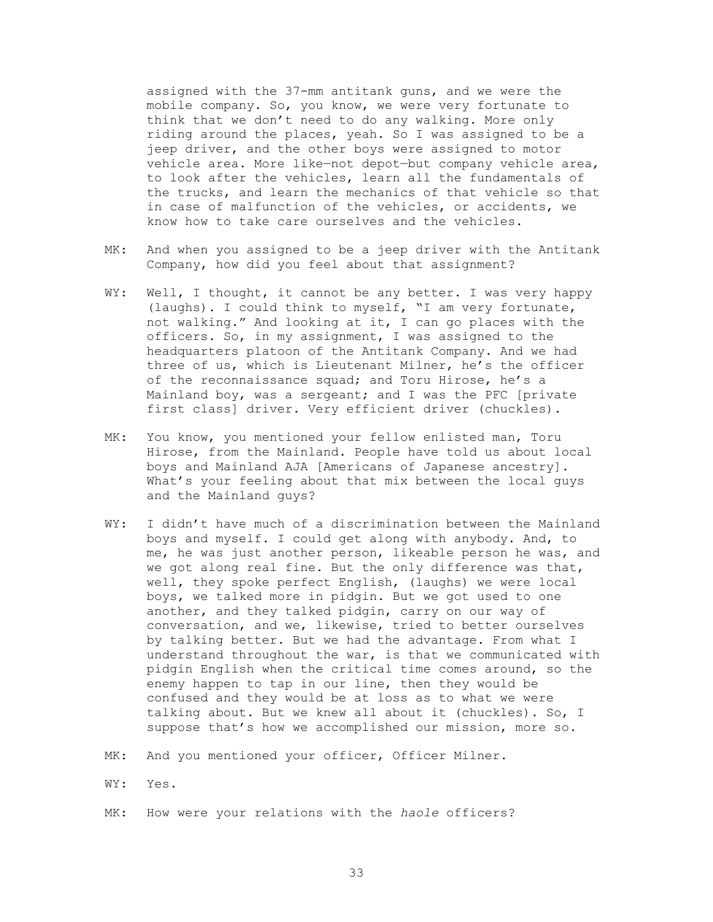assigned with the 37-mm antitank guns, and we were the mobile company. So, you know, we were very fortunate to think that we don't need to do any walking. More only riding around the places, yeah. So I was assigned to be a jeep driver, and the other boys were assigned to motor vehicle area. More like—not depot—but company vehicle area, to look after the vehicles, learn all the fundamentals of the trucks, and learn the mechanics of that vehicle so that in case of malfunction of the vehicles, or accidents, we know how to take care ourselves and the vehicles.

- MK: And when you assigned to be a jeep driver with the Antitank Company, how did you feel about that assignment?
- WY: Well, I thought, it cannot be any better. I was very happy (laughs). I could think to myself, "I am very fortunate, not walking." And looking at it, I can go places with the officers. So, in my assignment, I was assigned to the headquarters platoon of the Antitank Company. And we had three of us, which is Lieutenant Milner, he's the officer of the reconnaissance squad; and Toru Hirose, he's a Mainland boy, was a sergeant; and I was the PFC [private first class] driver. Very efficient driver (chuckles).
- MK: You know, you mentioned your fellow enlisted man, Toru Hirose, from the Mainland. People have told us about local boys and Mainland AJA [Americans of Japanese ancestry]. What's your feeling about that mix between the local guys and the Mainland guys?
- WY: I didn't have much of a discrimination between the Mainland boys and myself. I could get along with anybody. And, to me, he was just another person, likeable person he was, and we got along real fine. But the only difference was that, well, they spoke perfect English, (laughs) we were local boys, we talked more in pidgin. But we got used to one another, and they talked pidgin, carry on our way of conversation, and we, likewise, tried to better ourselves by talking better. But we had the advantage. From what I understand throughout the war, is that we communicated with pidgin English when the critical time comes around, so the enemy happen to tap in our line, then they would be confused and they would be at loss as to what we were talking about. But we knew all about it (chuckles). So, I suppose that's how we accomplished our mission, more so.
- MK: And you mentioned your officer, Officer Milner.
- WY: Yes.
- MK: How were your relations with the *haole* officers?
	- 33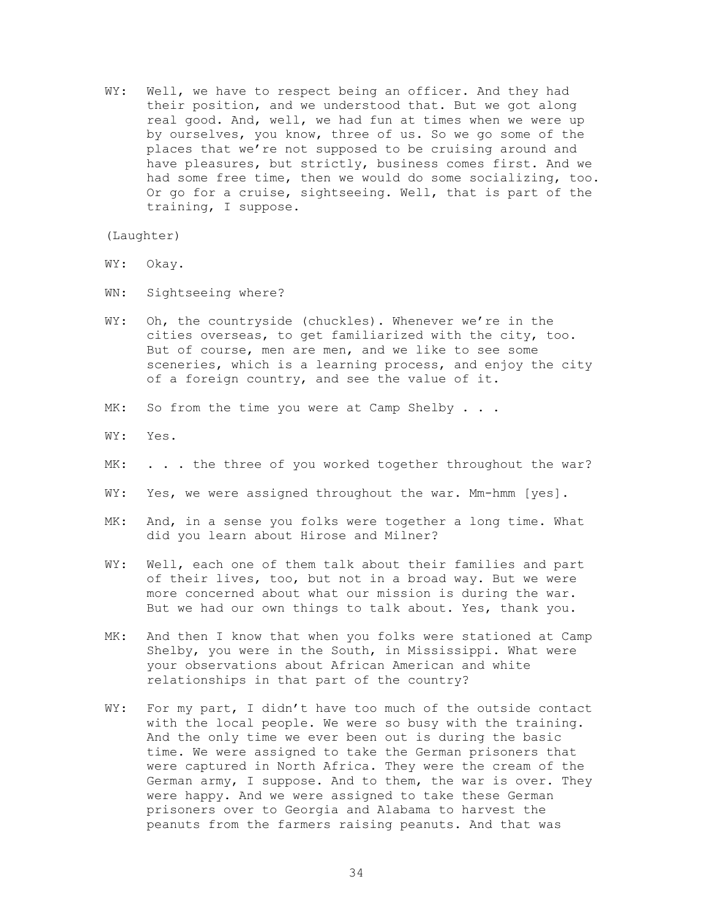WY: Well, we have to respect being an officer. And they had their position, and we understood that. But we got along real good. And, well, we had fun at times when we were up by ourselves, you know, three of us. So we go some of the places that we're not supposed to be cruising around and have pleasures, but strictly, business comes first. And we had some free time, then we would do some socializing, too. Or go for a cruise, sightseeing. Well, that is part of the training, I suppose.

(Laughter)

- WY: Okay.
- WN: Sightseeing where?
- WY: Oh, the countryside (chuckles). Whenever we're in the cities overseas, to get familiarized with the city, too. But of course, men are men, and we like to see some sceneries, which is a learning process, and enjoy the city of a foreign country, and see the value of it.
- MK: So from the time you were at Camp Shelby . . .
- WY: Yes.
- MK: . . . the three of you worked together throughout the war?
- WY: Yes, we were assigned throughout the war. Mm-hmm [yes].
- MK: And, in a sense you folks were together a long time. What did you learn about Hirose and Milner?
- WY: Well, each one of them talk about their families and part of their lives, too, but not in a broad way. But we were more concerned about what our mission is during the war. But we had our own things to talk about. Yes, thank you.
- MK: And then I know that when you folks were stationed at Camp Shelby, you were in the South, in Mississippi. What were your observations about African American and white relationships in that part of the country?
- WY: For my part, I didn't have too much of the outside contact with the local people. We were so busy with the training. And the only time we ever been out is during the basic time. We were assigned to take the German prisoners that were captured in North Africa. They were the cream of the German army, I suppose. And to them, the war is over. They were happy. And we were assigned to take these German prisoners over to Georgia and Alabama to harvest the peanuts from the farmers raising peanuts. And that was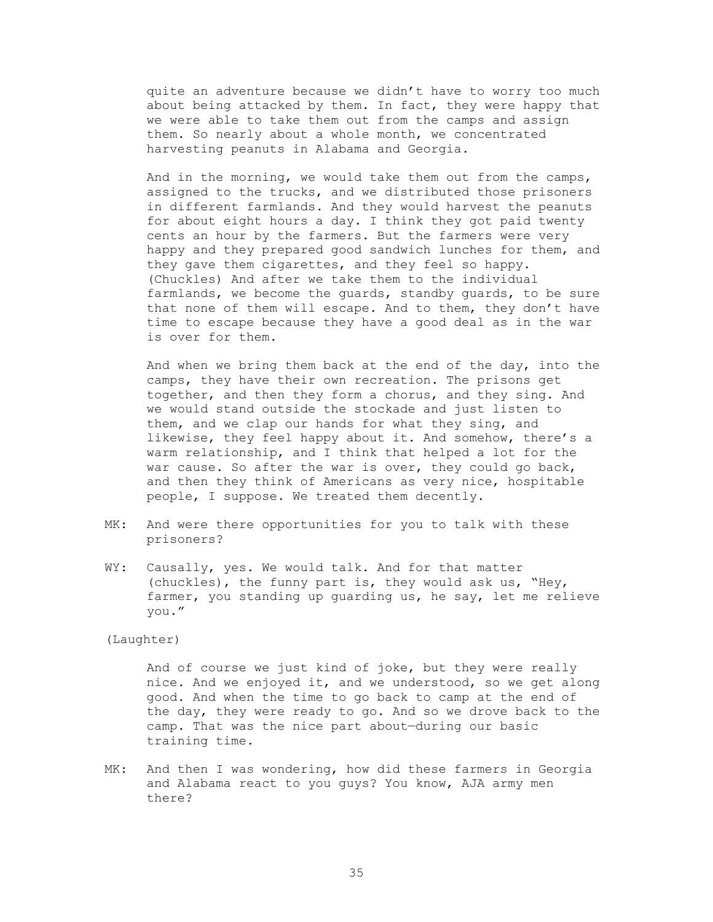quite an adventure because we didn't have to worry too much about being attacked by them. In fact, they were happy that we were able to take them out from the camps and assign them. So nearly about a whole month, we concentrated harvesting peanuts in Alabama and Georgia.

 And in the morning, we would take them out from the camps, assigned to the trucks, and we distributed those prisoners in different farmlands. And they would harvest the peanuts for about eight hours a day. I think they got paid twenty cents an hour by the farmers. But the farmers were very happy and they prepared good sandwich lunches for them, and they gave them cigarettes, and they feel so happy. (Chuckles) And after we take them to the individual farmlands, we become the guards, standby guards, to be sure that none of them will escape. And to them, they don't have time to escape because they have a good deal as in the war is over for them.

 And when we bring them back at the end of the day, into the camps, they have their own recreation. The prisons get together, and then they form a chorus, and they sing. And we would stand outside the stockade and just listen to them, and we clap our hands for what they sing, and likewise, they feel happy about it. And somehow, there's a warm relationship, and I think that helped a lot for the war cause. So after the war is over, they could go back, and then they think of Americans as very nice, hospitable people, I suppose. We treated them decently.

- MK: And were there opportunities for you to talk with these prisoners?
- WY: Causally, yes. We would talk. And for that matter (chuckles), the funny part is, they would ask us, "Hey, farmer, you standing up guarding us, he say, let me relieve you."

(Laughter)

 And of course we just kind of joke, but they were really nice. And we enjoyed it, and we understood, so we get along good. And when the time to go back to camp at the end of the day, they were ready to go. And so we drove back to the camp. That was the nice part about—during our basic training time.

MK: And then I was wondering, how did these farmers in Georgia and Alabama react to you guys? You know, AJA army men there?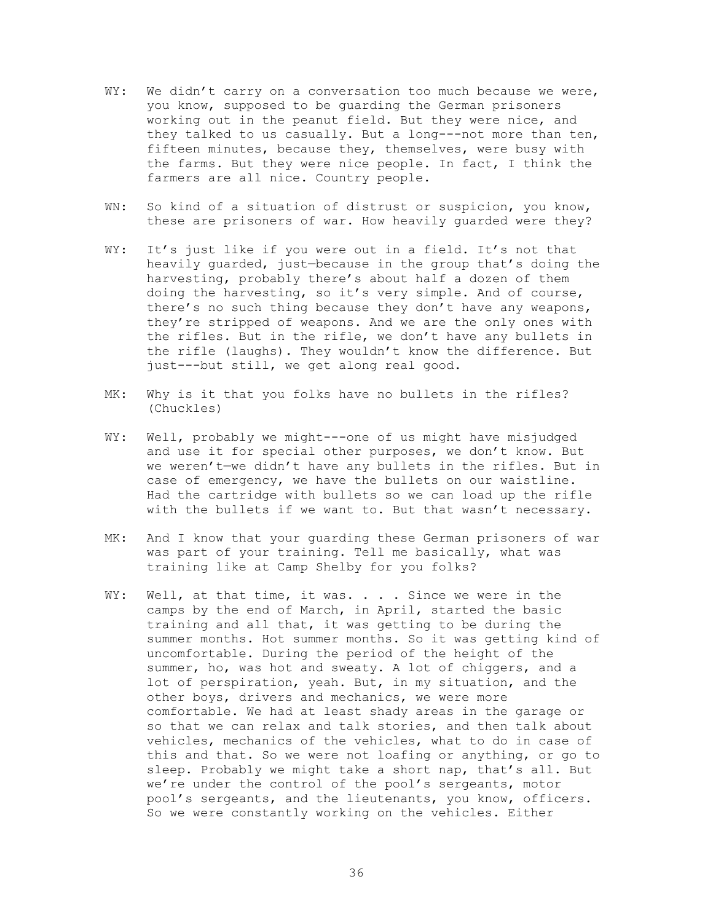- WY: We didn't carry on a conversation too much because we were, you know, supposed to be guarding the German prisoners working out in the peanut field. But they were nice, and they talked to us casually. But a long---not more than ten, fifteen minutes, because they, themselves, were busy with the farms. But they were nice people. In fact, I think the farmers are all nice. Country people.
- WN: So kind of a situation of distrust or suspicion, you know, these are prisoners of war. How heavily guarded were they?
- WY: It's just like if you were out in a field. It's not that heavily guarded, just—because in the group that's doing the harvesting, probably there's about half a dozen of them doing the harvesting, so it's very simple. And of course, there's no such thing because they don't have any weapons, they're stripped of weapons. And we are the only ones with the rifles. But in the rifle, we don't have any bullets in the rifle (laughs). They wouldn't know the difference. But just---but still, we get along real good.
- MK: Why is it that you folks have no bullets in the rifles? (Chuckles)
- WY: Well, probably we might---one of us might have misjudged and use it for special other purposes, we don't know. But we weren't—we didn't have any bullets in the rifles. But in case of emergency, we have the bullets on our waistline. Had the cartridge with bullets so we can load up the rifle with the bullets if we want to. But that wasn't necessary.
- MK: And I know that your guarding these German prisoners of war was part of your training. Tell me basically, what was training like at Camp Shelby for you folks?
- WY: Well, at that time, it was. . . . Since we were in the camps by the end of March, in April, started the basic training and all that, it was getting to be during the summer months. Hot summer months. So it was getting kind of uncomfortable. During the period of the height of the summer, ho, was hot and sweaty. A lot of chiggers, and a lot of perspiration, yeah. But, in my situation, and the other boys, drivers and mechanics, we were more comfortable. We had at least shady areas in the garage or so that we can relax and talk stories, and then talk about vehicles, mechanics of the vehicles, what to do in case of this and that. So we were not loafing or anything, or go to sleep. Probably we might take a short nap, that's all. But we're under the control of the pool's sergeants, motor pool's sergeants, and the lieutenants, you know, officers. So we were constantly working on the vehicles. Either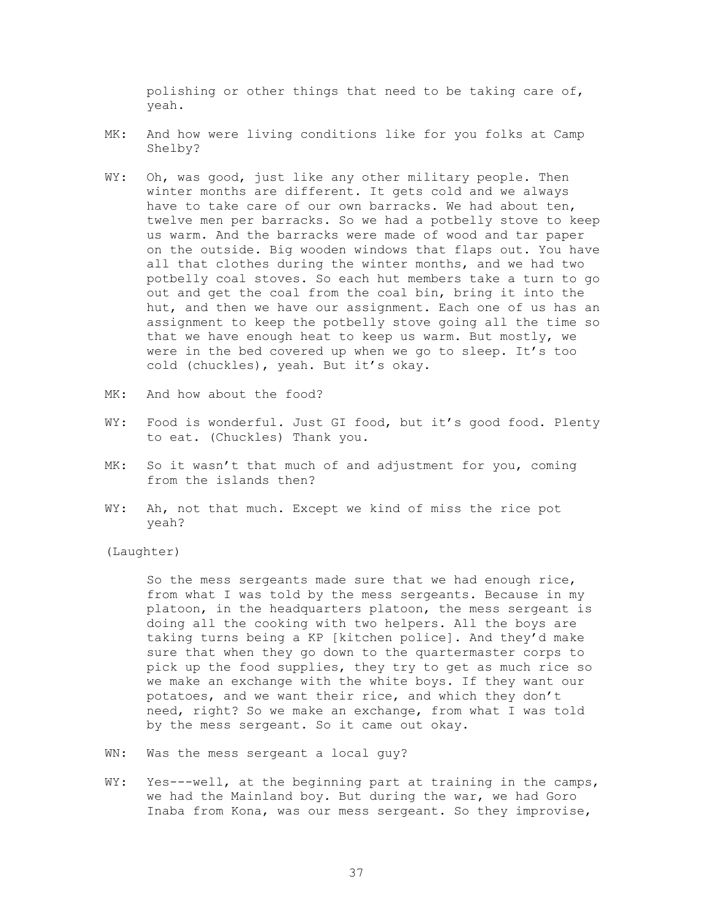polishing or other things that need to be taking care of, yeah.

- MK: And how were living conditions like for you folks at Camp Shelby?
- WY: Oh, was good, just like any other military people. Then winter months are different. It gets cold and we always have to take care of our own barracks. We had about ten, twelve men per barracks. So we had a potbelly stove to keep us warm. And the barracks were made of wood and tar paper on the outside. Big wooden windows that flaps out. You have all that clothes during the winter months, and we had two potbelly coal stoves. So each hut members take a turn to go out and get the coal from the coal bin, bring it into the hut, and then we have our assignment. Each one of us has an assignment to keep the potbelly stove going all the time so that we have enough heat to keep us warm. But mostly, we were in the bed covered up when we go to sleep. It's too cold (chuckles), yeah. But it's okay.
- MK: And how about the food?
- WY: Food is wonderful. Just GI food, but it's good food. Plenty to eat. (Chuckles) Thank you.
- MK: So it wasn't that much of and adjustment for you, coming from the islands then?
- WY: Ah, not that much. Except we kind of miss the rice pot yeah?

(Laughter)

 So the mess sergeants made sure that we had enough rice, from what I was told by the mess sergeants. Because in my platoon, in the headquarters platoon, the mess sergeant is doing all the cooking with two helpers. All the boys are taking turns being a KP [kitchen police]. And they'd make sure that when they go down to the quartermaster corps to pick up the food supplies, they try to get as much rice so we make an exchange with the white boys. If they want our potatoes, and we want their rice, and which they don't need, right? So we make an exchange, from what I was told by the mess sergeant. So it came out okay.

- WN: Was the mess sergeant a local guy?
- WY: Yes---well, at the beginning part at training in the camps, we had the Mainland boy. But during the war, we had Goro Inaba from Kona, was our mess sergeant. So they improvise,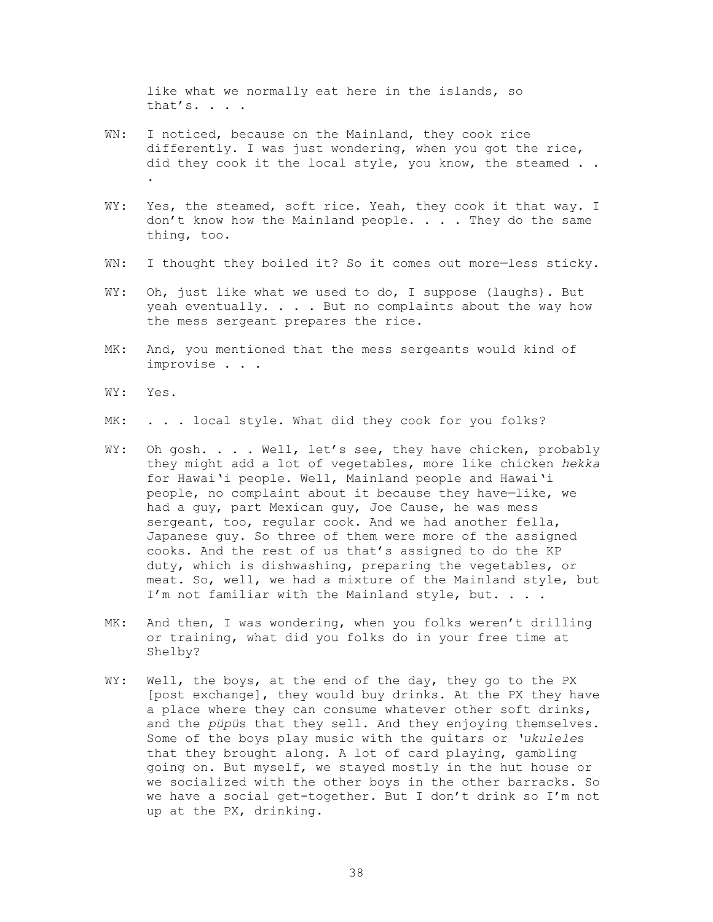like what we normally eat here in the islands, so that's. . . .

- WN: I noticed, because on the Mainland, they cook rice differently. I was just wondering, when you got the rice, did they cook it the local style, you know, the steamed . . .
- WY: Yes, the steamed, soft rice. Yeah, they cook it that way. I don't know how the Mainland people. . . . They do the same thing, too.
- WN: I thought they boiled it? So it comes out more-less sticky.
- WY: Oh, just like what we used to do, I suppose (laughs). But yeah eventually. . . . But no complaints about the way how the mess sergeant prepares the rice.
- MK: And, you mentioned that the mess sergeants would kind of improvise . . .
- WY: Yes.
- MK: . . . local style. What did they cook for you folks?
- WY: Oh gosh. . . . Well, let's see, they have chicken, probably they might add a lot of vegetables, more like chicken *hekka* for Hawai'i people. Well, Mainland people and Hawai'i people, no complaint about it because they have—like, we had a guy, part Mexican guy, Joe Cause, he was mess sergeant, too, regular cook. And we had another fella, Japanese guy. So three of them were more of the assigned cooks. And the rest of us that's assigned to do the KP duty, which is dishwashing, preparing the vegetables, or meat. So, well, we had a mixture of the Mainland style, but I'm not familiar with the Mainland style, but. . . .
- MK: And then, I was wondering, when you folks weren't drilling or training, what did you folks do in your free time at Shelby?
- WY: Well, the boys, at the end of the day, they go to the PX [post exchange], they would buy drinks. At the PX they have a place where they can consume whatever other soft drinks, and the *püpü*s that they sell. And they enjoying themselves. Some of the boys play music with the guitars or *'ukulele*s that they brought along. A lot of card playing, gambling going on. But myself, we stayed mostly in the hut house or we socialized with the other boys in the other barracks. So we have a social get-together. But I don't drink so I'm not up at the PX, drinking.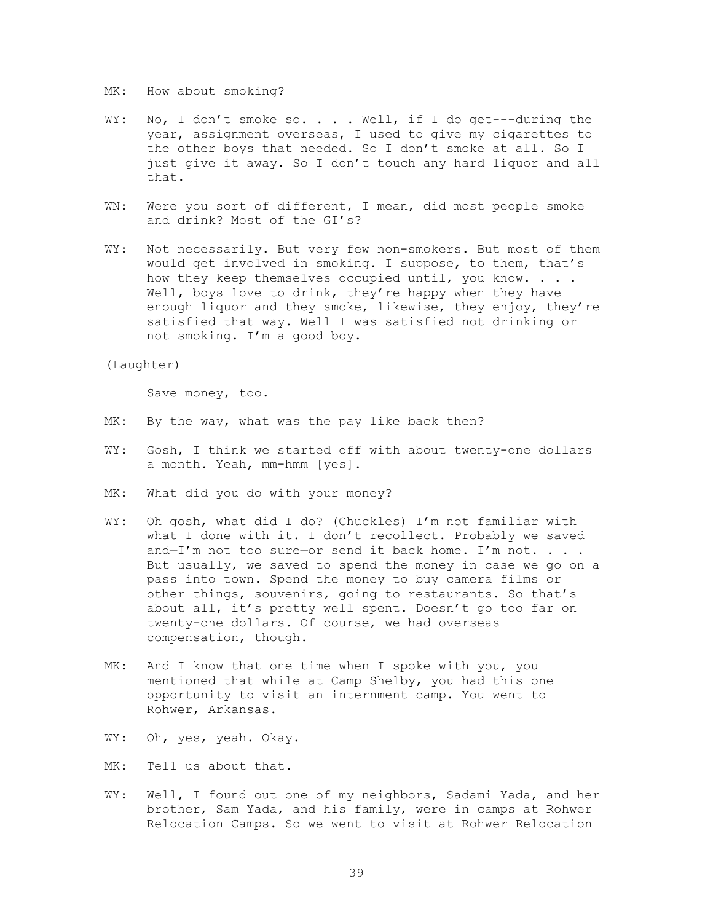MK: How about smoking?

- WY: No, I don't smoke so. . . . Well, if I do get---during the year, assignment overseas, I used to give my cigarettes to the other boys that needed. So I don't smoke at all. So I just give it away. So I don't touch any hard liquor and all that.
- WN: Were you sort of different, I mean, did most people smoke and drink? Most of the GI's?
- WY: Not necessarily. But very few non-smokers. But most of them would get involved in smoking. I suppose, to them, that's how they keep themselves occupied until, you know. . . . Well, boys love to drink, they're happy when they have enough liquor and they smoke, likewise, they enjoy, they're satisfied that way. Well I was satisfied not drinking or not smoking. I'm a good boy.

(Laughter)

Save money, too.

- MK: By the way, what was the pay like back then?
- WY: Gosh, I think we started off with about twenty-one dollars a month. Yeah, mm-hmm [yes].
- MK: What did you do with your money?
- WY: Oh gosh, what did I do? (Chuckles) I'm not familiar with what I done with it. I don't recollect. Probably we saved and-I'm not too sure-or send it back home. I'm not. . . . But usually, we saved to spend the money in case we go on a pass into town. Spend the money to buy camera films or other things, souvenirs, going to restaurants. So that's about all, it's pretty well spent. Doesn't go too far on twenty-one dollars. Of course, we had overseas compensation, though.
- MK: And I know that one time when I spoke with you, you mentioned that while at Camp Shelby, you had this one opportunity to visit an internment camp. You went to Rohwer, Arkansas.
- WY: Oh, yes, yeah. Okay.
- MK: Tell us about that.
- WY: Well, I found out one of my neighbors, Sadami Yada, and her brother, Sam Yada, and his family, were in camps at Rohwer Relocation Camps. So we went to visit at Rohwer Relocation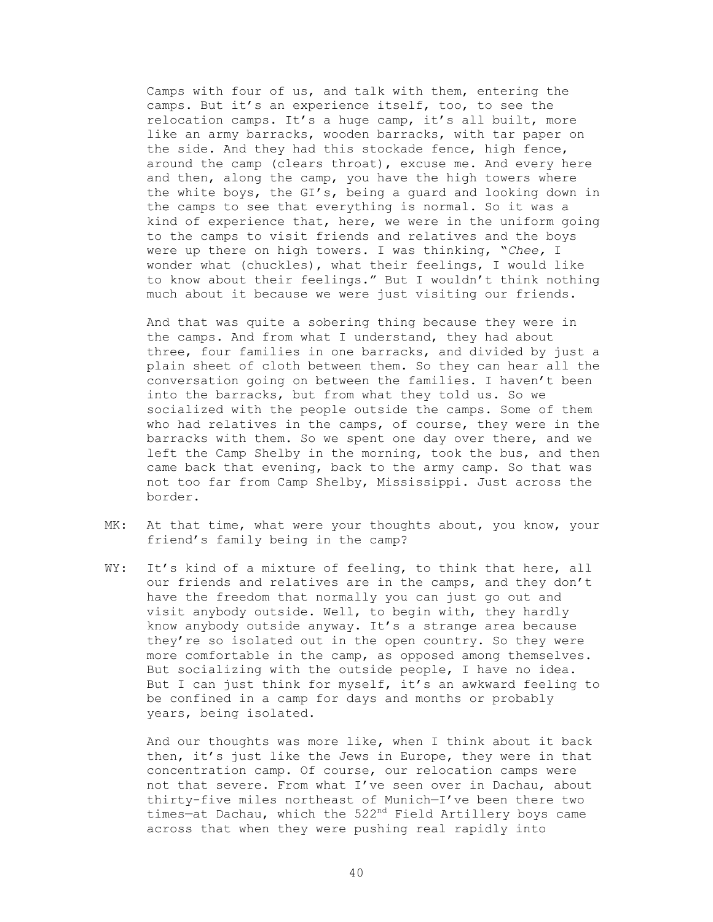Camps with four of us, and talk with them, entering the camps. But it's an experience itself, too, to see the relocation camps. It's a huge camp, it's all built, more like an army barracks, wooden barracks, with tar paper on the side. And they had this stockade fence, high fence, around the camp (clears throat), excuse me. And every here and then, along the camp, you have the high towers where the white boys, the GI's, being a guard and looking down in the camps to see that everything is normal. So it was a kind of experience that, here, we were in the uniform going to the camps to visit friends and relatives and the boys were up there on high towers. I was thinking, "*Chee,* I wonder what (chuckles), what their feelings, I would like to know about their feelings." But I wouldn't think nothing much about it because we were just visiting our friends.

 And that was quite a sobering thing because they were in the camps. And from what I understand, they had about three, four families in one barracks, and divided by just a plain sheet of cloth between them. So they can hear all the conversation going on between the families. I haven't been into the barracks, but from what they told us. So we socialized with the people outside the camps. Some of them who had relatives in the camps, of course, they were in the barracks with them. So we spent one day over there, and we left the Camp Shelby in the morning, took the bus, and then came back that evening, back to the army camp. So that was not too far from Camp Shelby, Mississippi. Just across the border.

- MK: At that time, what were your thoughts about, you know, your friend's family being in the camp?
- WY: It's kind of a mixture of feeling, to think that here, all our friends and relatives are in the camps, and they don't have the freedom that normally you can just go out and visit anybody outside. Well, to begin with, they hardly know anybody outside anyway. It's a strange area because they're so isolated out in the open country. So they were more comfortable in the camp, as opposed among themselves. But socializing with the outside people, I have no idea. But I can just think for myself, it's an awkward feeling to be confined in a camp for days and months or probably years, being isolated.

 And our thoughts was more like, when I think about it back then, it's just like the Jews in Europe, they were in that concentration camp. Of course, our relocation camps were not that severe. From what I've seen over in Dachau, about thirty-five miles northeast of Munich—I've been there two times-at Dachau, which the 522<sup>nd</sup> Field Artillery boys came across that when they were pushing real rapidly into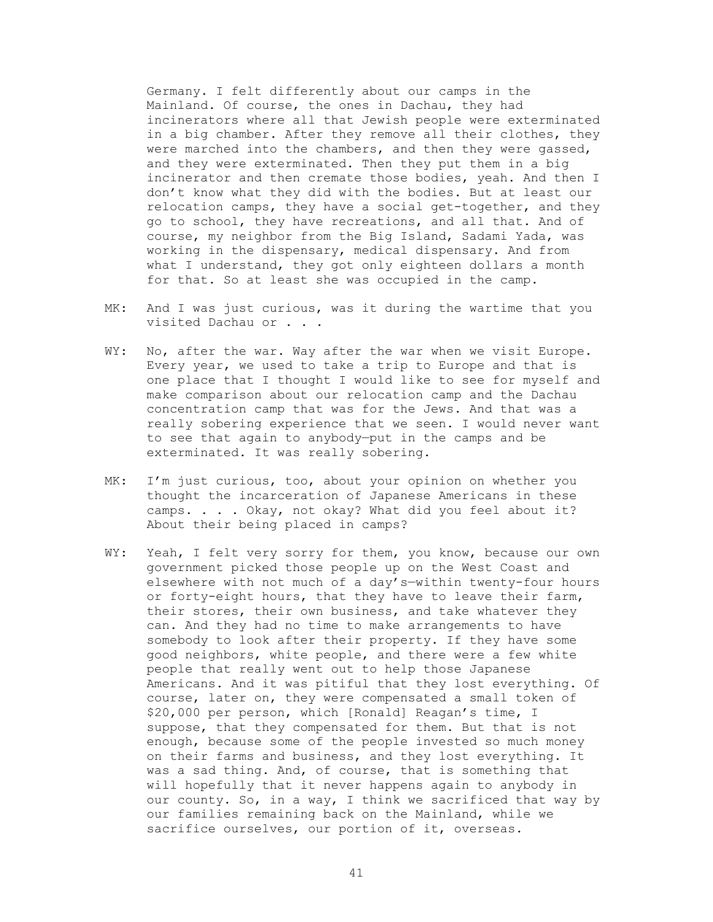Germany. I felt differently about our camps in the Mainland. Of course, the ones in Dachau, they had incinerators where all that Jewish people were exterminated in a big chamber. After they remove all their clothes, they were marched into the chambers, and then they were gassed, and they were exterminated. Then they put them in a big incinerator and then cremate those bodies, yeah. And then I don't know what they did with the bodies. But at least our relocation camps, they have a social get-together, and they go to school, they have recreations, and all that. And of course, my neighbor from the Big Island, Sadami Yada, was working in the dispensary, medical dispensary. And from what I understand, they got only eighteen dollars a month for that. So at least she was occupied in the camp.

- MK: And I was just curious, was it during the wartime that you visited Dachau or . . .
- WY: No, after the war. Way after the war when we visit Europe. Every year, we used to take a trip to Europe and that is one place that I thought I would like to see for myself and make comparison about our relocation camp and the Dachau concentration camp that was for the Jews. And that was a really sobering experience that we seen. I would never want to see that again to anybody—put in the camps and be exterminated. It was really sobering.
- MK: I'm just curious, too, about your opinion on whether you thought the incarceration of Japanese Americans in these camps. . . . Okay, not okay? What did you feel about it? About their being placed in camps?
- WY: Yeah, I felt very sorry for them, you know, because our own government picked those people up on the West Coast and elsewhere with not much of a day's—within twenty-four hours or forty-eight hours, that they have to leave their farm, their stores, their own business, and take whatever they can. And they had no time to make arrangements to have somebody to look after their property. If they have some good neighbors, white people, and there were a few white people that really went out to help those Japanese Americans. And it was pitiful that they lost everything. Of course, later on, they were compensated a small token of \$20,000 per person, which [Ronald] Reagan's time, I suppose, that they compensated for them. But that is not enough, because some of the people invested so much money on their farms and business, and they lost everything. It was a sad thing. And, of course, that is something that will hopefully that it never happens again to anybody in our county. So, in a way, I think we sacrificed that way by our families remaining back on the Mainland, while we sacrifice ourselves, our portion of it, overseas.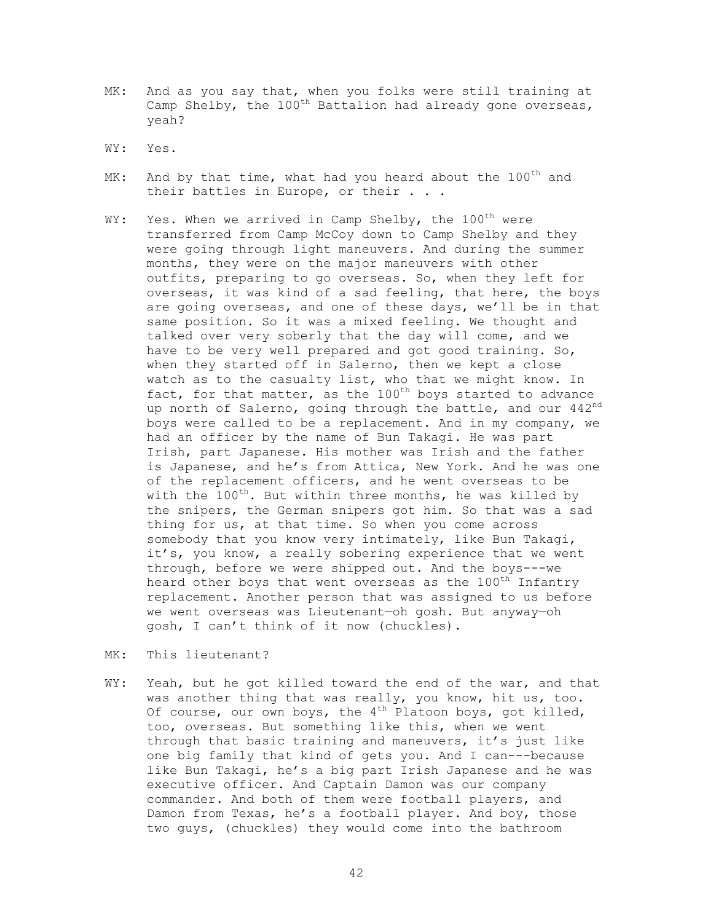- MK: And as you say that, when you folks were still training at Camp Shelby, the  $100^{\text{th}}$  Battalion had already gone overseas, yeah?
- WY: Yes.
- MK: And by that time, what had you heard about the 100<sup>th</sup> and their battles in Europe, or their . . .
- WY: Yes. When we arrived in Camp Shelby, the  $100^{th}$  were transferred from Camp McCoy down to Camp Shelby and they were going through light maneuvers. And during the summer months, they were on the major maneuvers with other outfits, preparing to go overseas. So, when they left for overseas, it was kind of a sad feeling, that here, the boys are going overseas, and one of these days, we'll be in that same position. So it was a mixed feeling. We thought and talked over very soberly that the day will come, and we have to be very well prepared and got good training. So, when they started off in Salerno, then we kept a close watch as to the casualty list, who that we might know. In fact, for that matter, as the  $100^{th}$  boys started to advance up north of Salerno, going through the battle, and our 442nd boys were called to be a replacement. And in my company, we had an officer by the name of Bun Takagi. He was part Irish, part Japanese. His mother was Irish and the father is Japanese, and he's from Attica, New York. And he was one of the replacement officers, and he went overseas to be with the  $100^{th}$ . But within three months, he was killed by the snipers, the German snipers got him. So that was a sad thing for us, at that time. So when you come across somebody that you know very intimately, like Bun Takagi, it's, you know, a really sobering experience that we went through, before we were shipped out. And the boys---we heard other boys that went overseas as the 100<sup>th</sup> Infantry replacement. Another person that was assigned to us before we went overseas was Lieutenant—oh gosh. But anyway—oh gosh, I can't think of it now (chuckles).
- MK: This lieutenant?
- WY: Yeah, but he got killed toward the end of the war, and that was another thing that was really, you know, hit us, too. Of course, our own boys, the  $4^{th}$  Platoon boys, got killed, too, overseas. But something like this, when we went through that basic training and maneuvers, it's just like one big family that kind of gets you. And I can---because like Bun Takagi, he's a big part Irish Japanese and he was executive officer. And Captain Damon was our company commander. And both of them were football players, and Damon from Texas, he's a football player. And boy, those two guys, (chuckles) they would come into the bathroom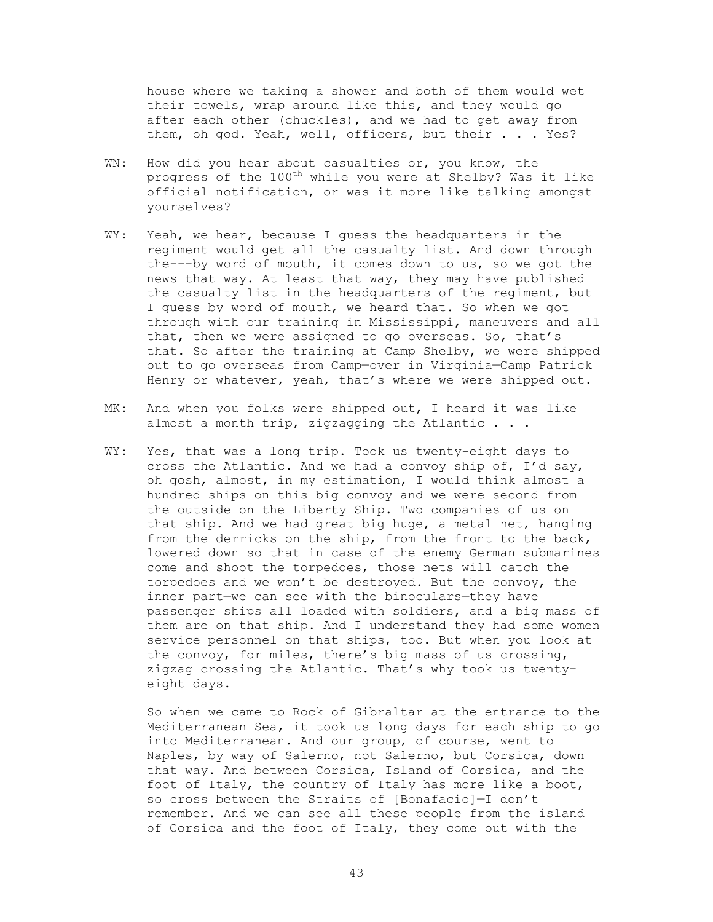house where we taking a shower and both of them would wet their towels, wrap around like this, and they would go after each other (chuckles), and we had to get away from them, oh god. Yeah, well, officers, but their . . . Yes?

- WN: How did you hear about casualties or, you know, the progress of the 100<sup>th</sup> while you were at Shelby? Was it like official notification, or was it more like talking amongst yourselves?
- WY: Yeah, we hear, because I quess the headquarters in the regiment would get all the casualty list. And down through the---by word of mouth, it comes down to us, so we got the news that way. At least that way, they may have published the casualty list in the headquarters of the regiment, but I guess by word of mouth, we heard that. So when we got through with our training in Mississippi, maneuvers and all that, then we were assigned to go overseas. So, that's that. So after the training at Camp Shelby, we were shipped out to go overseas from Camp—over in Virginia—Camp Patrick Henry or whatever, yeah, that's where we were shipped out.
- MK: And when you folks were shipped out, I heard it was like almost a month trip, zigzagging the Atlantic . . .
- WY: Yes, that was a long trip. Took us twenty-eight days to cross the Atlantic. And we had a convoy ship of, I'd say, oh gosh, almost, in my estimation, I would think almost a hundred ships on this big convoy and we were second from the outside on the Liberty Ship. Two companies of us on that ship. And we had great big huge, a metal net, hanging from the derricks on the ship, from the front to the back, lowered down so that in case of the enemy German submarines come and shoot the torpedoes, those nets will catch the torpedoes and we won't be destroyed. But the convoy, the inner part—we can see with the binoculars—they have passenger ships all loaded with soldiers, and a big mass of them are on that ship. And I understand they had some women service personnel on that ships, too. But when you look at the convoy, for miles, there's big mass of us crossing, zigzag crossing the Atlantic. That's why took us twentyeight days.

 So when we came to Rock of Gibraltar at the entrance to the Mediterranean Sea, it took us long days for each ship to go into Mediterranean. And our group, of course, went to Naples, by way of Salerno, not Salerno, but Corsica, down that way. And between Corsica, Island of Corsica, and the foot of Italy, the country of Italy has more like a boot, so cross between the Straits of [Bonafacio]—I don't remember. And we can see all these people from the island of Corsica and the foot of Italy, they come out with the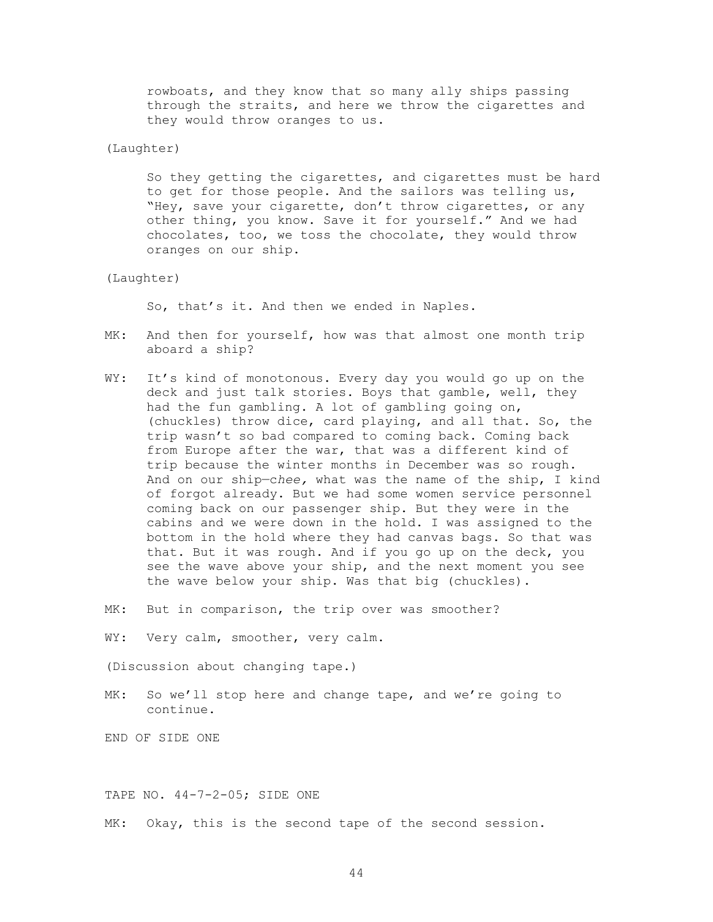rowboats, and they know that so many ally ships passing through the straits, and here we throw the cigarettes and they would throw oranges to us.

# (Laughter)

 So they getting the cigarettes, and cigarettes must be hard to get for those people. And the sailors was telling us, "Hey, save your cigarette, don't throw cigarettes, or any other thing, you know. Save it for yourself." And we had chocolates, too, we toss the chocolate, they would throw oranges on our ship.

### (Laughter)

So, that's it. And then we ended in Naples.

- MK: And then for yourself, how was that almost one month trip aboard a ship?
- WY: It's kind of monotonous. Every day you would go up on the deck and just talk stories. Boys that gamble, well, they had the fun gambling. A lot of gambling going on, (chuckles) throw dice, card playing, and all that. So, the trip wasn't so bad compared to coming back. Coming back from Europe after the war, that was a different kind of trip because the winter months in December was so rough. And on our ship—c*hee,* what was the name of the ship, I kind of forgot already. But we had some women service personnel coming back on our passenger ship. But they were in the cabins and we were down in the hold. I was assigned to the bottom in the hold where they had canvas bags. So that was that. But it was rough. And if you go up on the deck, you see the wave above your ship, and the next moment you see the wave below your ship. Was that big (chuckles).
- MK: But in comparison, the trip over was smoother?
- WY: Very calm, smoother, very calm.

(Discussion about changing tape.)

MK: So we'll stop here and change tape, and we're going to continue.

END OF SIDE ONE

TAPE NO. 44-7-2-05; SIDE ONE

MK: Okay, this is the second tape of the second session.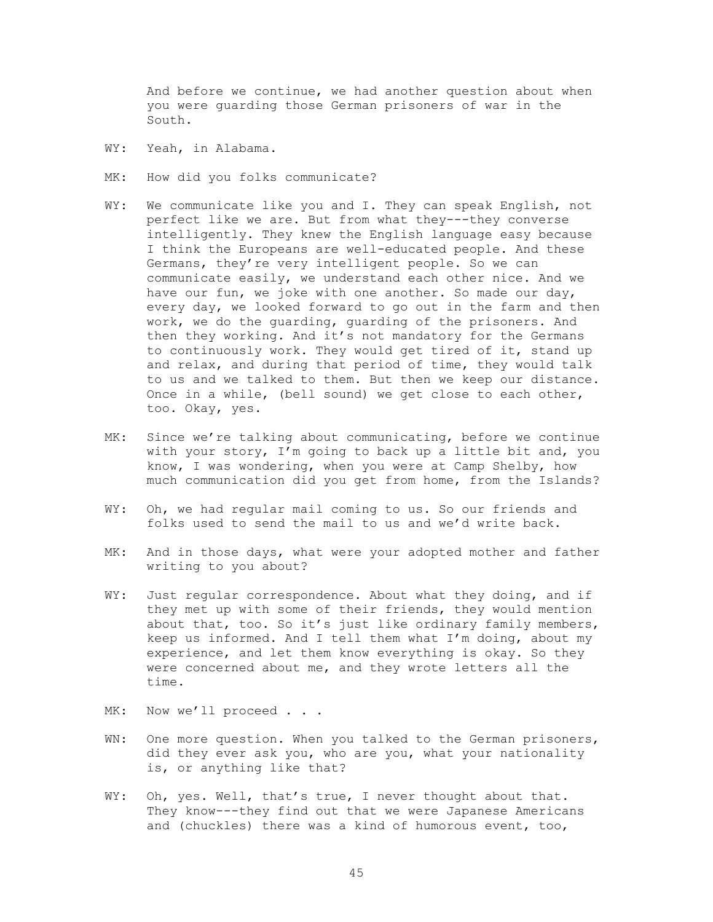And before we continue, we had another question about when you were guarding those German prisoners of war in the South.

- WY: Yeah, in Alabama.
- MK: How did you folks communicate?
- WY: We communicate like you and I. They can speak English, not perfect like we are. But from what they---they converse intelligently. They knew the English language easy because I think the Europeans are well-educated people. And these Germans, they're very intelligent people. So we can communicate easily, we understand each other nice. And we have our fun, we joke with one another. So made our day, every day, we looked forward to go out in the farm and then work, we do the guarding, guarding of the prisoners. And then they working. And it's not mandatory for the Germans to continuously work. They would get tired of it, stand up and relax, and during that period of time, they would talk to us and we talked to them. But then we keep our distance. Once in a while, (bell sound) we get close to each other, too. Okay, yes.
- MK: Since we're talking about communicating, before we continue with your story, I'm going to back up a little bit and, you know, I was wondering, when you were at Camp Shelby, how much communication did you get from home, from the Islands?
- WY: Oh, we had regular mail coming to us. So our friends and folks used to send the mail to us and we'd write back.
- MK: And in those days, what were your adopted mother and father writing to you about?
- WY: Just regular correspondence. About what they doing, and if they met up with some of their friends, they would mention about that, too. So it's just like ordinary family members, keep us informed. And I tell them what I'm doing, about my experience, and let them know everything is okay. So they were concerned about me, and they wrote letters all the time.
- MK: Now we'll proceed . . .
- WN: One more question. When you talked to the German prisoners, did they ever ask you, who are you, what your nationality is, or anything like that?
- WY: Oh, yes. Well, that's true, I never thought about that. They know---they find out that we were Japanese Americans and (chuckles) there was a kind of humorous event, too,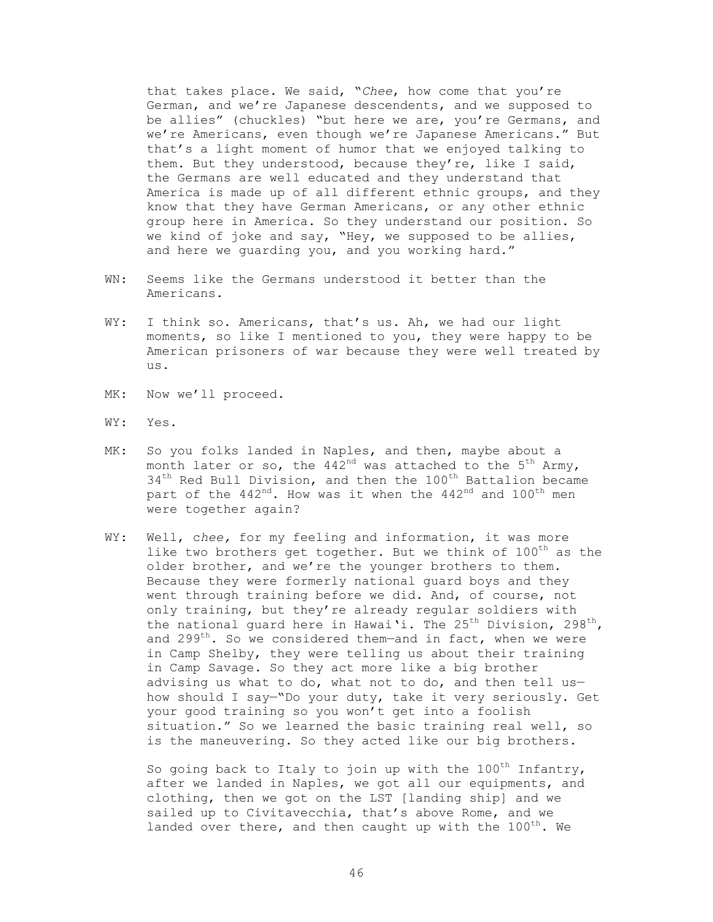that takes place. We said, "*Chee*, how come that you're German, and we're Japanese descendents, and we supposed to be allies" (chuckles) "but here we are, you're Germans, and we're Americans, even though we're Japanese Americans." But that's a light moment of humor that we enjoyed talking to them. But they understood, because they're, like I said, the Germans are well educated and they understand that America is made up of all different ethnic groups, and they know that they have German Americans, or any other ethnic group here in America. So they understand our position. So we kind of joke and say, "Hey, we supposed to be allies, and here we guarding you, and you working hard."

- WN: Seems like the Germans understood it better than the Americans.
- WY: I think so. Americans, that's us. Ah, we had our light moments, so like I mentioned to you, they were happy to be American prisoners of war because they were well treated by us.
- MK: Now we'll proceed.
- WY: Yes.
- MK: So you folks landed in Naples, and then, maybe about a month later or so, the  $442<sup>nd</sup>$  was attached to the  $5<sup>th</sup>$  Army, 34<sup>th</sup> Red Bull Division, and then the 100<sup>th</sup> Battalion became part of the  $442<sup>nd</sup>$ . How was it when the  $442<sup>nd</sup>$  and  $100<sup>th</sup>$  men were together again?
- WY: Well, c*hee,* for my feeling and information, it was more like two brothers get together. But we think of  $100^{th}$  as the older brother, and we're the younger brothers to them. Because they were formerly national guard boys and they went through training before we did. And, of course, not only training, but they're already regular soldiers with the national quard here in Hawai'i. The 25<sup>th</sup> Division, 298<sup>th</sup>, and  $299^{th}$ . So we considered them-and in fact, when we were in Camp Shelby, they were telling us about their training in Camp Savage. So they act more like a big brother advising us what to do, what not to do, and then tell us how should I say—"Do your duty, take it very seriously. Get your good training so you won't get into a foolish situation." So we learned the basic training real well, so is the maneuvering. So they acted like our big brothers.

So going back to Italy to join up with the  $100^{th}$  Infantry, after we landed in Naples, we got all our equipments, and clothing, then we got on the LST [landing ship] and we sailed up to Civitavecchia, that's above Rome, and we landed over there, and then caught up with the  $100^{th}$ . We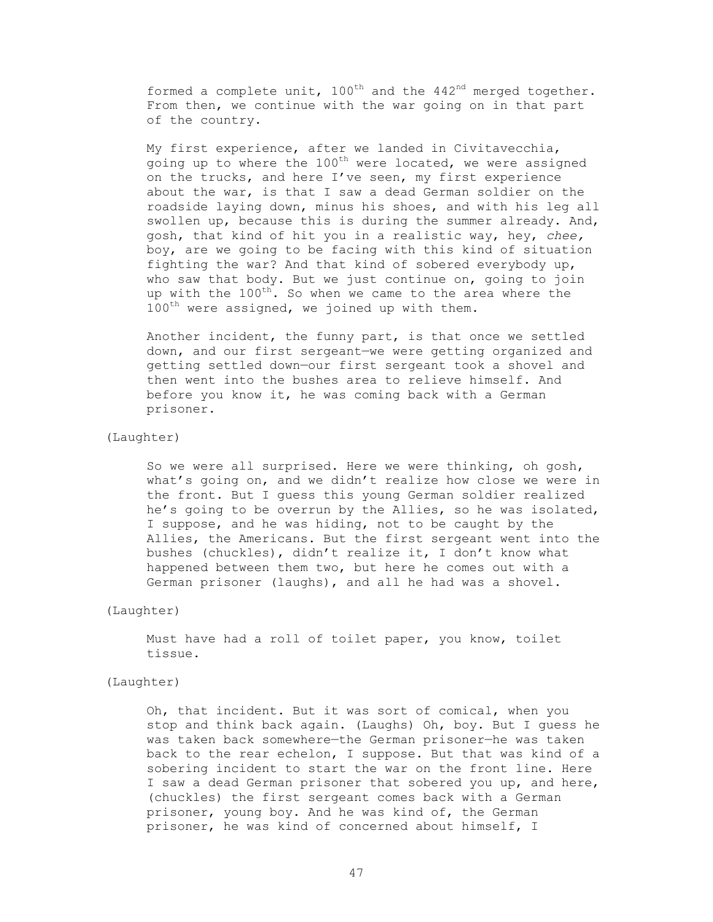formed a complete unit,  $100^{th}$  and the  $442^{nd}$  merged together. From then, we continue with the war going on in that part of the country.

 My first experience, after we landed in Civitavecchia, going up to where the  $100^{th}$  were located, we were assigned on the trucks, and here I've seen, my first experience about the war, is that I saw a dead German soldier on the roadside laying down, minus his shoes, and with his leg all swollen up, because this is during the summer already. And, gosh, that kind of hit you in a realistic way, hey, *chee,*  boy, are we going to be facing with this kind of situation fighting the war? And that kind of sobered everybody up, who saw that body. But we just continue on, going to join up with the 100<sup>th</sup>. So when we came to the area where the  $100^{\text{th}}$  were assigned, we joined up with them.

 Another incident, the funny part, is that once we settled down, and our first sergeant—we were getting organized and getting settled down—our first sergeant took a shovel and then went into the bushes area to relieve himself. And before you know it, he was coming back with a German prisoner.

# (Laughter)

 So we were all surprised. Here we were thinking, oh gosh, what's going on, and we didn't realize how close we were in the front. But I guess this young German soldier realized he's going to be overrun by the Allies, so he was isolated, I suppose, and he was hiding, not to be caught by the Allies, the Americans. But the first sergeant went into the bushes (chuckles), didn't realize it, I don't know what happened between them two, but here he comes out with a German prisoner (laughs), and all he had was a shovel.

#### (Laughter)

 Must have had a roll of toilet paper, you know, toilet tissue.

# (Laughter)

 Oh, that incident. But it was sort of comical, when you stop and think back again. (Laughs) Oh, boy. But I guess he was taken back somewhere—the German prisoner—he was taken back to the rear echelon, I suppose. But that was kind of a sobering incident to start the war on the front line. Here I saw a dead German prisoner that sobered you up, and here, (chuckles) the first sergeant comes back with a German prisoner, young boy. And he was kind of, the German prisoner, he was kind of concerned about himself, I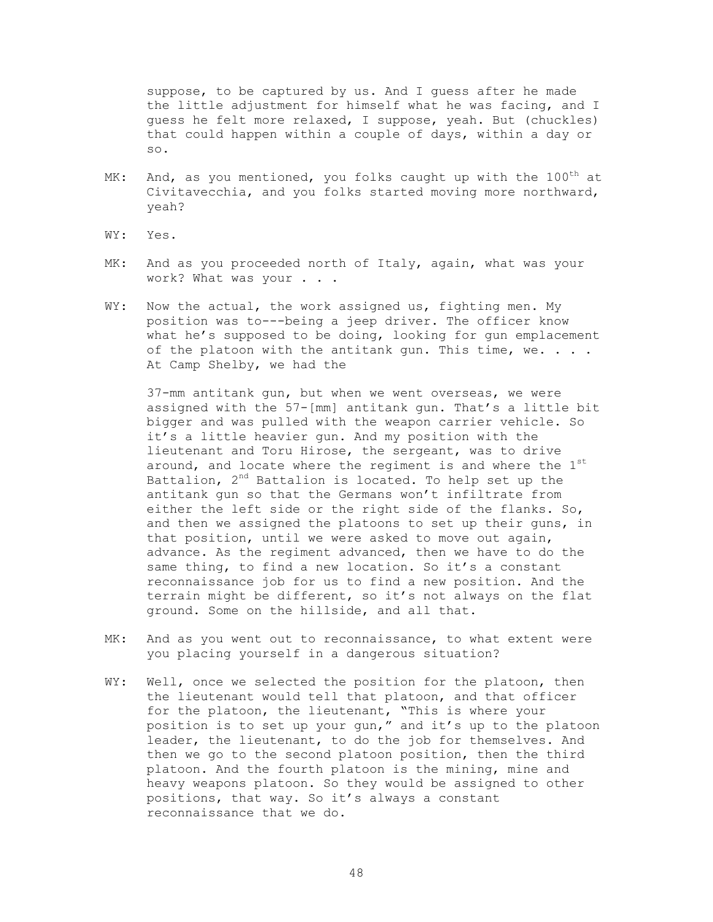suppose, to be captured by us. And I guess after he made the little adjustment for himself what he was facing, and I guess he felt more relaxed, I suppose, yeah. But (chuckles) that could happen within a couple of days, within a day or so.

- MK: And, as you mentioned, you folks caught up with the  $100^{th}$  at Civitavecchia, and you folks started moving more northward, yeah?
- WY: Yes.
- MK: And as you proceeded north of Italy, again, what was your work? What was your . . .
- WY: Now the actual, the work assigned us, fighting men. My position was to---being a jeep driver. The officer know what he's supposed to be doing, looking for gun emplacement of the platoon with the antitank gun. This time, we. . . . At Camp Shelby, we had the

 37-mm antitank gun, but when we went overseas, we were assigned with the 57-[mm] antitank gun. That's a little bit bigger and was pulled with the weapon carrier vehicle. So it's a little heavier gun. And my position with the lieutenant and Toru Hirose, the sergeant, was to drive around, and locate where the regiment is and where the  $1<sup>st</sup>$ Battalion,  $2^{nd}$  Battalion is located. To help set up the antitank gun so that the Germans won't infiltrate from either the left side or the right side of the flanks. So, and then we assigned the platoons to set up their guns, in that position, until we were asked to move out again, advance. As the regiment advanced, then we have to do the same thing, to find a new location. So it's a constant reconnaissance job for us to find a new position. And the terrain might be different, so it's not always on the flat ground. Some on the hillside, and all that.

- MK: And as you went out to reconnaissance, to what extent were you placing yourself in a dangerous situation?
- WY: Well, once we selected the position for the platoon, then the lieutenant would tell that platoon, and that officer for the platoon, the lieutenant, "This is where your position is to set up your gun," and it's up to the platoon leader, the lieutenant, to do the job for themselves. And then we go to the second platoon position, then the third platoon. And the fourth platoon is the mining, mine and heavy weapons platoon. So they would be assigned to other positions, that way. So it's always a constant reconnaissance that we do.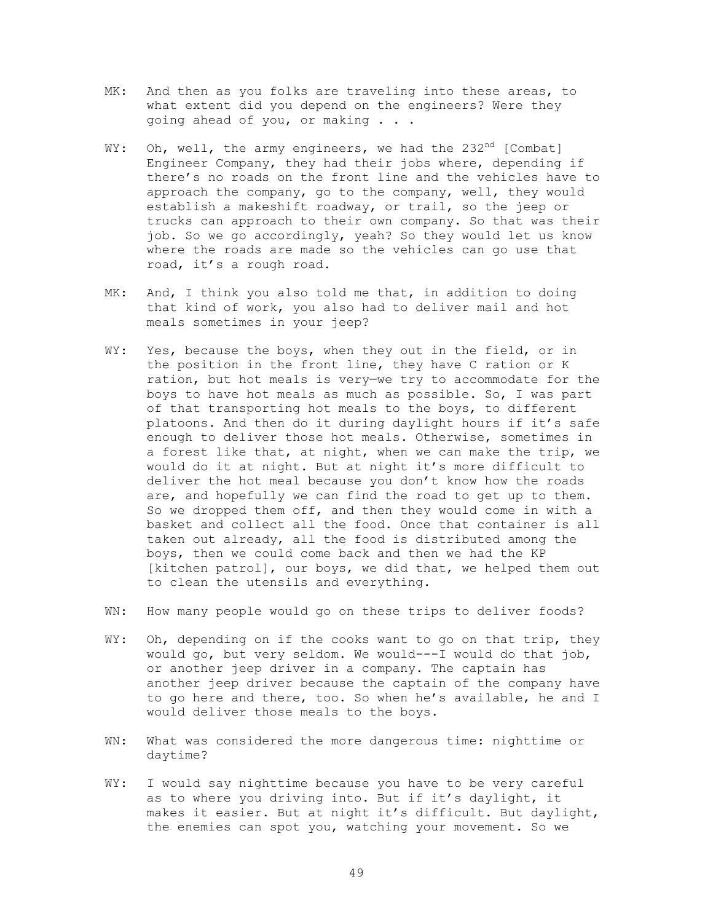- MK: And then as you folks are traveling into these areas, to what extent did you depend on the engineers? Were they going ahead of you, or making . . .
- WY: Oh, well, the army engineers, we had the  $232^{nd}$  [Combat] Engineer Company, they had their jobs where, depending if there's no roads on the front line and the vehicles have to approach the company, go to the company, well, they would establish a makeshift roadway, or trail, so the jeep or trucks can approach to their own company. So that was their job. So we go accordingly, yeah? So they would let us know where the roads are made so the vehicles can go use that road, it's a rough road.
- MK: And, I think you also told me that, in addition to doing that kind of work, you also had to deliver mail and hot meals sometimes in your jeep?
- WY: Yes, because the boys, when they out in the field, or in the position in the front line, they have C ration or K ration, but hot meals is very—we try to accommodate for the boys to have hot meals as much as possible. So, I was part of that transporting hot meals to the boys, to different platoons. And then do it during daylight hours if it's safe enough to deliver those hot meals. Otherwise, sometimes in a forest like that, at night, when we can make the trip, we would do it at night. But at night it's more difficult to deliver the hot meal because you don't know how the roads are, and hopefully we can find the road to get up to them. So we dropped them off, and then they would come in with a basket and collect all the food. Once that container is all taken out already, all the food is distributed among the boys, then we could come back and then we had the KP [kitchen patrol], our boys, we did that, we helped them out to clean the utensils and everything.
- WN: How many people would go on these trips to deliver foods?
- WY: Oh, depending on if the cooks want to go on that trip, they would go, but very seldom. We would---I would do that job, or another jeep driver in a company. The captain has another jeep driver because the captain of the company have to go here and there, too. So when he's available, he and I would deliver those meals to the boys.
- WN: What was considered the more dangerous time: nighttime or daytime?
- WY: I would say nighttime because you have to be very careful as to where you driving into. But if it's daylight, it makes it easier. But at night it's difficult. But daylight, the enemies can spot you, watching your movement. So we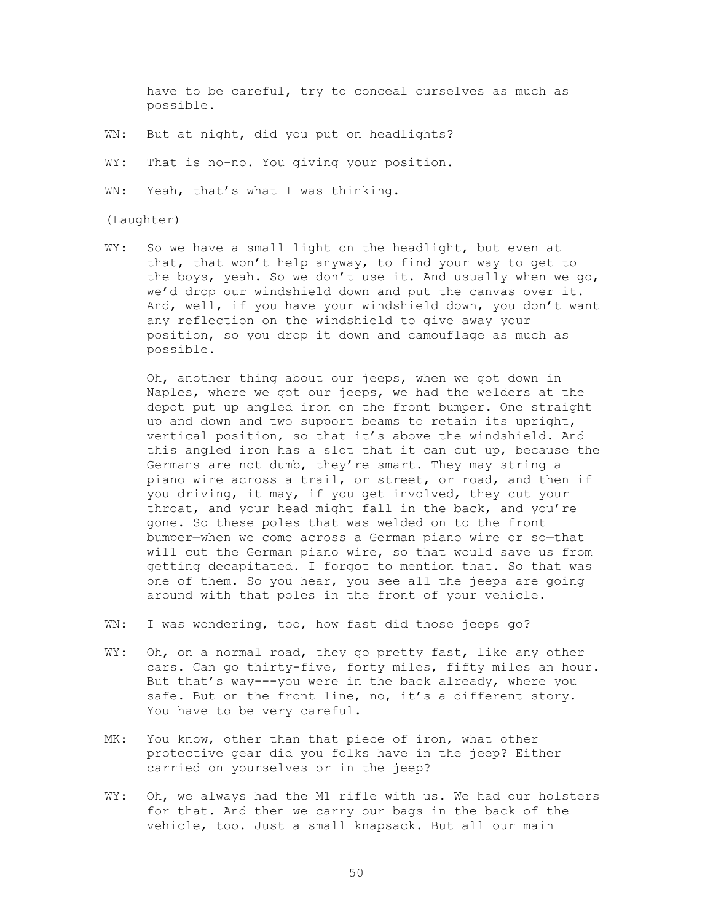have to be careful, try to conceal ourselves as much as possible.

- WN: But at night, did you put on headlights?
- WY: That is no-no. You giving your position.

WN: Yeah, that's what I was thinking.

#### (Laughter)

WY: So we have a small light on the headlight, but even at that, that won't help anyway, to find your way to get to the boys, yeah. So we don't use it. And usually when we go, we'd drop our windshield down and put the canvas over it. And, well, if you have your windshield down, you don't want any reflection on the windshield to give away your position, so you drop it down and camouflage as much as possible.

 Oh, another thing about our jeeps, when we got down in Naples, where we got our jeeps, we had the welders at the depot put up angled iron on the front bumper. One straight up and down and two support beams to retain its upright, vertical position, so that it's above the windshield. And this angled iron has a slot that it can cut up, because the Germans are not dumb, they're smart. They may string a piano wire across a trail, or street, or road, and then if you driving, it may, if you get involved, they cut your throat, and your head might fall in the back, and you're gone. So these poles that was welded on to the front bumper—when we come across a German piano wire or so—that will cut the German piano wire, so that would save us from getting decapitated. I forgot to mention that. So that was one of them. So you hear, you see all the jeeps are going around with that poles in the front of your vehicle.

- WN: I was wondering, too, how fast did those jeeps go?
- WY: Oh, on a normal road, they go pretty fast, like any other cars. Can go thirty-five, forty miles, fifty miles an hour. But that's way---you were in the back already, where you safe. But on the front line, no, it's a different story. You have to be very careful.
- MK: You know, other than that piece of iron, what other protective gear did you folks have in the jeep? Either carried on yourselves or in the jeep?
- WY: Oh, we always had the M1 rifle with us. We had our holsters for that. And then we carry our bags in the back of the vehicle, too. Just a small knapsack. But all our main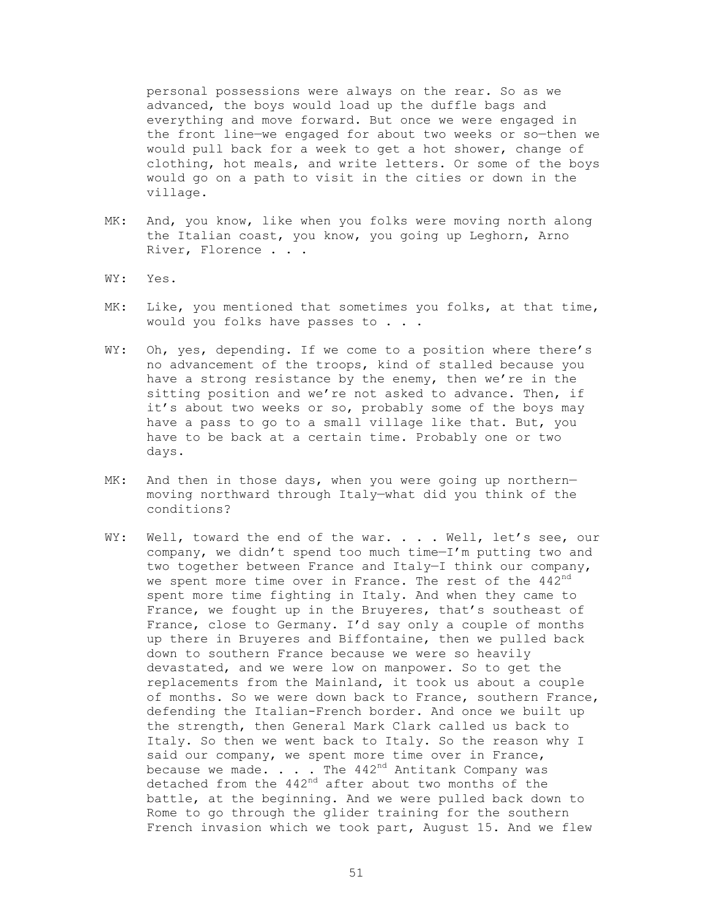personal possessions were always on the rear. So as we advanced, the boys would load up the duffle bags and everything and move forward. But once we were engaged in the front line—we engaged for about two weeks or so—then we would pull back for a week to get a hot shower, change of clothing, hot meals, and write letters. Or some of the boys would go on a path to visit in the cities or down in the village.

- MK: And, you know, like when you folks were moving north along the Italian coast, you know, you going up Leghorn, Arno River, Florence . . .
- WY: Yes.
- MK: Like, you mentioned that sometimes you folks, at that time, would you folks have passes to . . .
- WY: Oh, yes, depending. If we come to a position where there's no advancement of the troops, kind of stalled because you have a strong resistance by the enemy, then we're in the sitting position and we're not asked to advance. Then, if it's about two weeks or so, probably some of the boys may have a pass to go to a small village like that. But, you have to be back at a certain time. Probably one or two days.
- MK: And then in those days, when you were going up northernmoving northward through Italy—what did you think of the conditions?
- WY: Well, toward the end of the war. . . . Well, let's see, our company, we didn't spend too much time—I'm putting two and two together between France and Italy—I think our company, we spent more time over in France. The rest of the 442<sup>nd</sup> spent more time fighting in Italy. And when they came to France, we fought up in the Bruyeres, that's southeast of France, close to Germany. I'd say only a couple of months up there in Bruyeres and Biffontaine, then we pulled back down to southern France because we were so heavily devastated, and we were low on manpower. So to get the replacements from the Mainland, it took us about a couple of months. So we were down back to France, southern France, defending the Italian-French border. And once we built up the strength, then General Mark Clark called us back to Italy. So then we went back to Italy. So the reason why I said our company, we spent more time over in France, because we made.  $\ldots$  . The 442<sup>nd</sup> Antitank Company was detached from the  $442<sup>nd</sup>$  after about two months of the battle, at the beginning. And we were pulled back down to Rome to go through the glider training for the southern French invasion which we took part, August 15. And we flew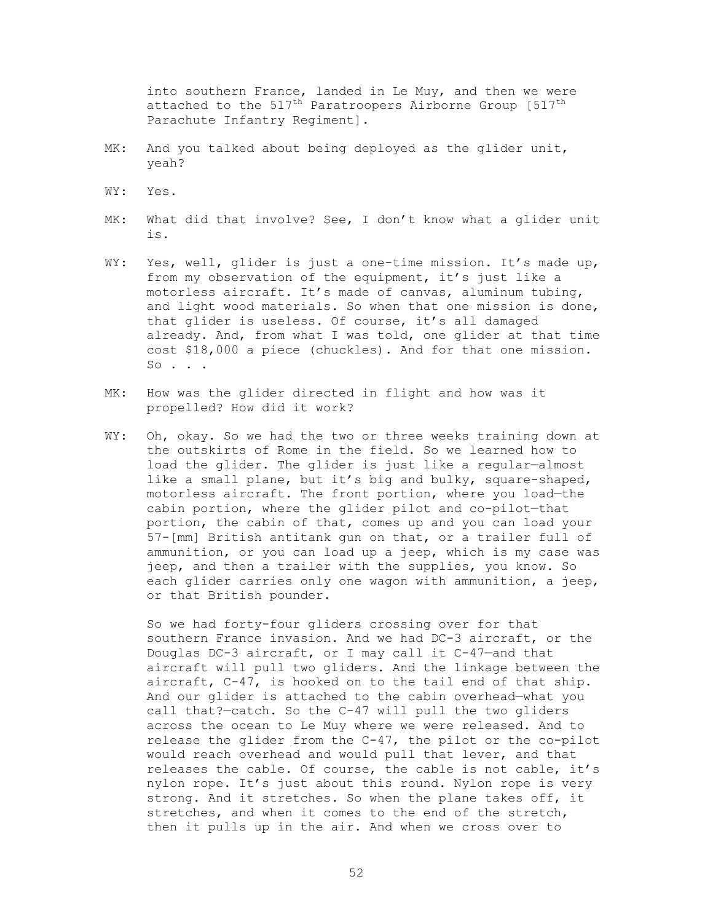into southern France, landed in Le Muy, and then we were attached to the  $517^{\text{th}}$  Paratroopers Airborne Group [ $517^{\text{th}}$ Parachute Infantry Regiment].

- MK: And you talked about being deployed as the glider unit, yeah?
- WY: Yes.
- MK: What did that involve? See, I don't know what a glider unit is.
- WY: Yes, well, glider is just a one-time mission. It's made up, from my observation of the equipment, it's just like a motorless aircraft. It's made of canvas, aluminum tubing, and light wood materials. So when that one mission is done, that glider is useless. Of course, it's all damaged already. And, from what I was told, one glider at that time cost \$18,000 a piece (chuckles). And for that one mission. So . . .
- MK: How was the glider directed in flight and how was it propelled? How did it work?
- WY: Oh, okay. So we had the two or three weeks training down at the outskirts of Rome in the field. So we learned how to load the glider. The glider is just like a regular—almost like a small plane, but it's big and bulky, square-shaped, motorless aircraft. The front portion, where you load—the cabin portion, where the glider pilot and co-pilot—that portion, the cabin of that, comes up and you can load your 57-[mm] British antitank gun on that, or a trailer full of ammunition, or you can load up a jeep, which is my case was jeep, and then a trailer with the supplies, you know. So each glider carries only one wagon with ammunition, a jeep, or that British pounder.

 So we had forty-four gliders crossing over for that southern France invasion. And we had DC-3 aircraft, or the Douglas DC-3 aircraft, or I may call it C-47—and that aircraft will pull two gliders. And the linkage between the aircraft, C-47, is hooked on to the tail end of that ship. And our glider is attached to the cabin overhead—what you call that?—catch. So the C-47 will pull the two gliders across the ocean to Le Muy where we were released. And to release the glider from the C-47, the pilot or the co-pilot would reach overhead and would pull that lever, and that releases the cable. Of course, the cable is not cable, it's nylon rope. It's just about this round. Nylon rope is very strong. And it stretches. So when the plane takes off, it stretches, and when it comes to the end of the stretch, then it pulls up in the air. And when we cross over to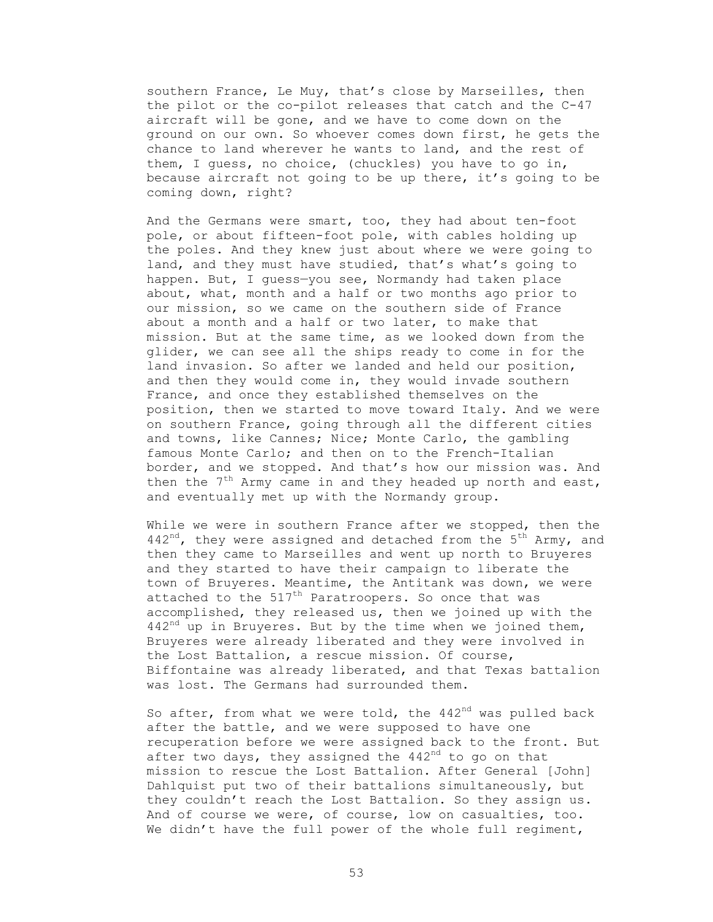southern France, Le Muy, that's close by Marseilles, then the pilot or the co-pilot releases that catch and the C-47 aircraft will be gone, and we have to come down on the ground on our own. So whoever comes down first, he gets the chance to land wherever he wants to land, and the rest of them, I guess, no choice, (chuckles) you have to go in, because aircraft not going to be up there, it's going to be coming down, right?

 And the Germans were smart, too, they had about ten-foot pole, or about fifteen-foot pole, with cables holding up the poles. And they knew just about where we were going to land, and they must have studied, that's what's going to happen. But, I guess—you see, Normandy had taken place about, what, month and a half or two months ago prior to our mission, so we came on the southern side of France about a month and a half or two later, to make that mission. But at the same time, as we looked down from the glider, we can see all the ships ready to come in for the land invasion. So after we landed and held our position, and then they would come in, they would invade southern France, and once they established themselves on the position, then we started to move toward Italy. And we were on southern France, going through all the different cities and towns, like Cannes; Nice; Monte Carlo, the gambling famous Monte Carlo; and then on to the French-Italian border, and we stopped. And that's how our mission was. And then the  $7<sup>th</sup>$  Army came in and they headed up north and east, and eventually met up with the Normandy group.

 While we were in southern France after we stopped, then the 442<sup>nd</sup>, they were assigned and detached from the  $5<sup>th</sup>$  Army, and then they came to Marseilles and went up north to Bruyeres and they started to have their campaign to liberate the town of Bruyeres. Meantime, the Antitank was down, we were attached to the  $517<sup>th</sup>$  Paratroopers. So once that was accomplished, they released us, then we joined up with the  $442<sup>nd</sup>$  up in Bruyeres. But by the time when we joined them, Bruyeres were already liberated and they were involved in the Lost Battalion, a rescue mission. Of course, Biffontaine was already liberated, and that Texas battalion was lost. The Germans had surrounded them.

So after, from what we were told, the  $442<sup>nd</sup>$  was pulled back after the battle, and we were supposed to have one recuperation before we were assigned back to the front. But after two days, they assigned the  $442<sup>nd</sup>$  to go on that mission to rescue the Lost Battalion. After General [John] Dahlquist put two of their battalions simultaneously, but they couldn't reach the Lost Battalion. So they assign us. And of course we were, of course, low on casualties, too. We didn't have the full power of the whole full regiment,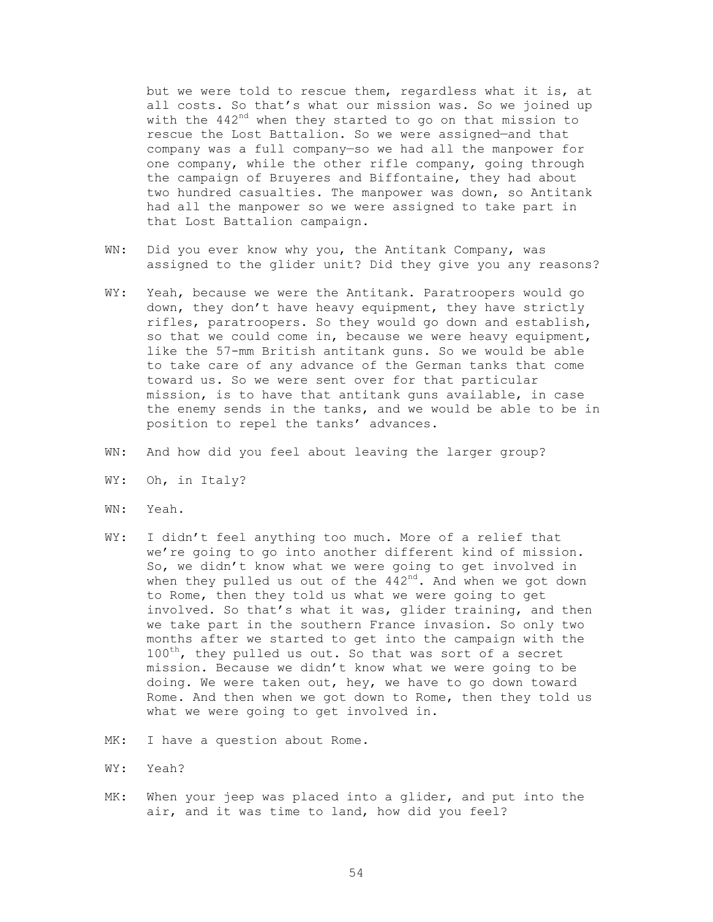but we were told to rescue them, regardless what it is, at all costs. So that's what our mission was. So we joined up with the 442<sup>nd</sup> when they started to go on that mission to rescue the Lost Battalion. So we were assigned—and that company was a full company—so we had all the manpower for one company, while the other rifle company, going through the campaign of Bruyeres and Biffontaine, they had about two hundred casualties. The manpower was down, so Antitank had all the manpower so we were assigned to take part in that Lost Battalion campaign.

- WN: Did you ever know why you, the Antitank Company, was assigned to the glider unit? Did they give you any reasons?
- WY: Yeah, because we were the Antitank. Paratroopers would go down, they don't have heavy equipment, they have strictly rifles, paratroopers. So they would go down and establish, so that we could come in, because we were heavy equipment, like the 57-mm British antitank guns. So we would be able to take care of any advance of the German tanks that come toward us. So we were sent over for that particular mission, is to have that antitank guns available, in case the enemy sends in the tanks, and we would be able to be in position to repel the tanks' advances.
- WN: And how did you feel about leaving the larger group?
- WY: Oh, in Italy?
- WN: Yeah.
- WY: I didn't feel anything too much. More of a relief that we're going to go into another different kind of mission. So, we didn't know what we were going to get involved in when they pulled us out of the  $442<sup>nd</sup>$ . And when we got down to Rome, then they told us what we were going to get involved. So that's what it was, glider training, and then we take part in the southern France invasion. So only two months after we started to get into the campaign with the 100<sup>th</sup>, they pulled us out. So that was sort of a secret mission. Because we didn't know what we were going to be doing. We were taken out, hey, we have to go down toward Rome. And then when we got down to Rome, then they told us what we were going to get involved in.
- MK: I have a question about Rome.
- WY: Yeah?
- MK: When your jeep was placed into a glider, and put into the air, and it was time to land, how did you feel?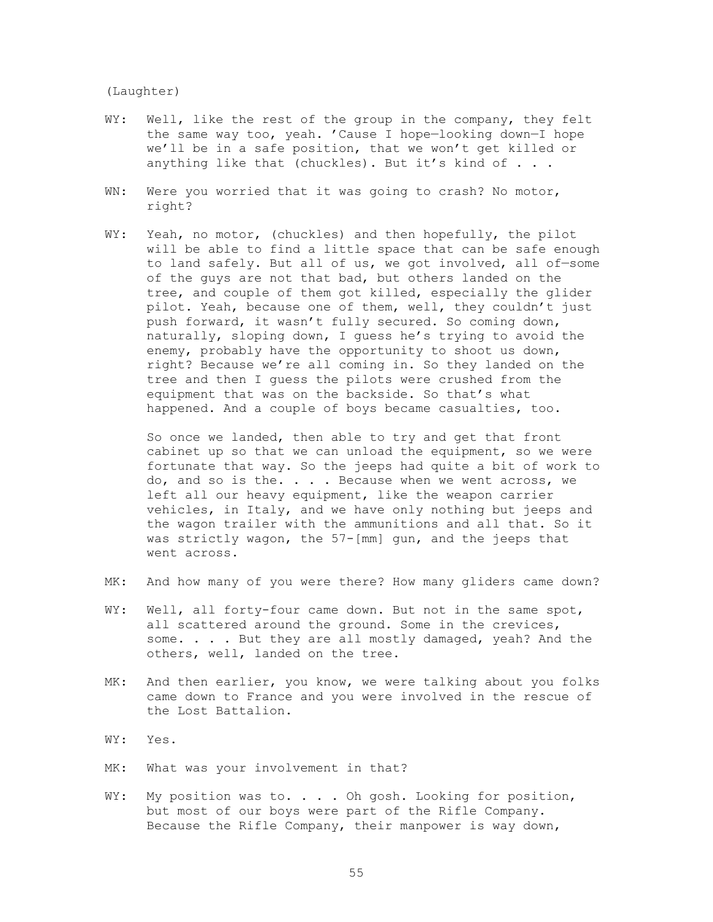(Laughter)

- WY: Well, like the rest of the group in the company, they felt the same way too, yeah. 'Cause I hope—looking down—I hope we'll be in a safe position, that we won't get killed or anything like that (chuckles). But it's kind of . . .
- WN: Were you worried that it was going to crash? No motor, right?
- WY: Yeah, no motor, (chuckles) and then hopefully, the pilot will be able to find a little space that can be safe enough to land safely. But all of us, we got involved, all of—some of the guys are not that bad, but others landed on the tree, and couple of them got killed, especially the glider pilot. Yeah, because one of them, well, they couldn't just push forward, it wasn't fully secured. So coming down, naturally, sloping down, I guess he's trying to avoid the enemy, probably have the opportunity to shoot us down, right? Because we're all coming in. So they landed on the tree and then I guess the pilots were crushed from the equipment that was on the backside. So that's what happened. And a couple of boys became casualties, too.

 So once we landed, then able to try and get that front cabinet up so that we can unload the equipment, so we were fortunate that way. So the jeeps had quite a bit of work to do, and so is the. . . . Because when we went across, we left all our heavy equipment, like the weapon carrier vehicles, in Italy, and we have only nothing but jeeps and the wagon trailer with the ammunitions and all that. So it was strictly wagon, the 57-[mm] gun, and the jeeps that went across.

- MK: And how many of you were there? How many gliders came down?
- WY: Well, all forty-four came down. But not in the same spot, all scattered around the ground. Some in the crevices, some. . . . But they are all mostly damaged, yeah? And the others, well, landed on the tree.
- MK: And then earlier, you know, we were talking about you folks came down to France and you were involved in the rescue of the Lost Battalion.
- WY: Yes.
- MK: What was your involvement in that?
- WY: My position was to. . . . Oh gosh. Looking for position, but most of our boys were part of the Rifle Company. Because the Rifle Company, their manpower is way down,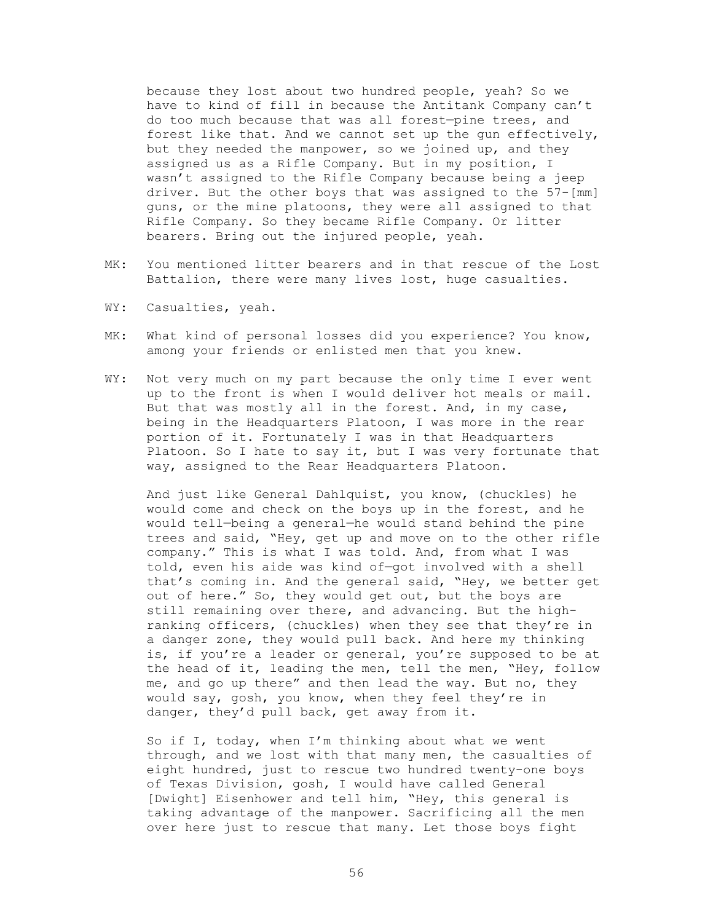because they lost about two hundred people, yeah? So we have to kind of fill in because the Antitank Company can't do too much because that was all forest—pine trees, and forest like that. And we cannot set up the gun effectively, but they needed the manpower, so we joined up, and they assigned us as a Rifle Company. But in my position, I wasn't assigned to the Rifle Company because being a jeep driver. But the other boys that was assigned to the 57-[mm] guns, or the mine platoons, they were all assigned to that Rifle Company. So they became Rifle Company. Or litter bearers. Bring out the injured people, yeah.

- MK: You mentioned litter bearers and in that rescue of the Lost Battalion, there were many lives lost, huge casualties.
- WY: Casualties, yeah.
- MK: What kind of personal losses did you experience? You know, among your friends or enlisted men that you knew.
- WY: Not very much on my part because the only time I ever went up to the front is when I would deliver hot meals or mail. But that was mostly all in the forest. And, in my case, being in the Headquarters Platoon, I was more in the rear portion of it. Fortunately I was in that Headquarters Platoon. So I hate to say it, but I was very fortunate that way, assigned to the Rear Headquarters Platoon.

 And just like General Dahlquist, you know, (chuckles) he would come and check on the boys up in the forest, and he would tell—being a general—he would stand behind the pine trees and said, "Hey, get up and move on to the other rifle company." This is what I was told. And, from what I was told, even his aide was kind of—got involved with a shell that's coming in. And the general said, "Hey, we better get out of here." So, they would get out, but the boys are still remaining over there, and advancing. But the highranking officers, (chuckles) when they see that they're in a danger zone, they would pull back. And here my thinking is, if you're a leader or general, you're supposed to be at the head of it, leading the men, tell the men, "Hey, follow me, and go up there" and then lead the way. But no, they would say, gosh, you know, when they feel they're in danger, they'd pull back, get away from it.

 So if I, today, when I'm thinking about what we went through, and we lost with that many men, the casualties of eight hundred, just to rescue two hundred twenty-one boys of Texas Division, gosh, I would have called General [Dwight] Eisenhower and tell him, "Hey, this general is taking advantage of the manpower. Sacrificing all the men over here just to rescue that many. Let those boys fight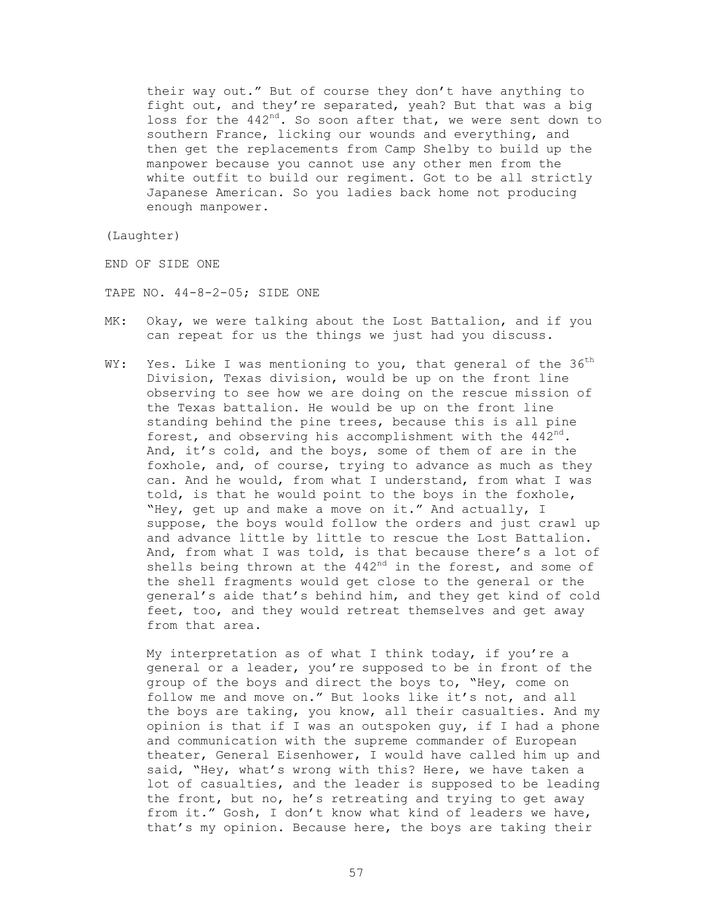their way out." But of course they don't have anything to fight out, and they're separated, yeah? But that was a big loss for the  $442^{nd}$ . So soon after that, we were sent down to southern France, licking our wounds and everything, and then get the replacements from Camp Shelby to build up the manpower because you cannot use any other men from the white outfit to build our regiment. Got to be all strictly Japanese American. So you ladies back home not producing enough manpower.

(Laughter)

END OF SIDE ONE

TAPE NO. 44-8-2-05; SIDE ONE

- MK: Okay, we were talking about the Lost Battalion, and if you can repeat for us the things we just had you discuss.
- WY: Yes. Like I was mentioning to you, that general of the  $36<sup>th</sup>$ Division, Texas division, would be up on the front line observing to see how we are doing on the rescue mission of the Texas battalion. He would be up on the front line standing behind the pine trees, because this is all pine forest, and observing his accomplishment with the  $442^{nd}$ . And, it's cold, and the boys, some of them of are in the foxhole, and, of course, trying to advance as much as they can. And he would, from what I understand, from what I was told, is that he would point to the boys in the foxhole, "Hey, get up and make a move on it." And actually, I suppose, the boys would follow the orders and just crawl up and advance little by little to rescue the Lost Battalion. And, from what I was told, is that because there's a lot of shells being thrown at the  $442<sup>nd</sup>$  in the forest, and some of the shell fragments would get close to the general or the general's aide that's behind him, and they get kind of cold feet, too, and they would retreat themselves and get away from that area.

 My interpretation as of what I think today, if you're a general or a leader, you're supposed to be in front of the group of the boys and direct the boys to, "Hey, come on follow me and move on." But looks like it's not, and all the boys are taking, you know, all their casualties. And my opinion is that if I was an outspoken guy, if I had a phone and communication with the supreme commander of European theater, General Eisenhower, I would have called him up and said, "Hey, what's wrong with this? Here, we have taken a lot of casualties, and the leader is supposed to be leading the front, but no, he's retreating and trying to get away from it." Gosh, I don't know what kind of leaders we have, that's my opinion. Because here, the boys are taking their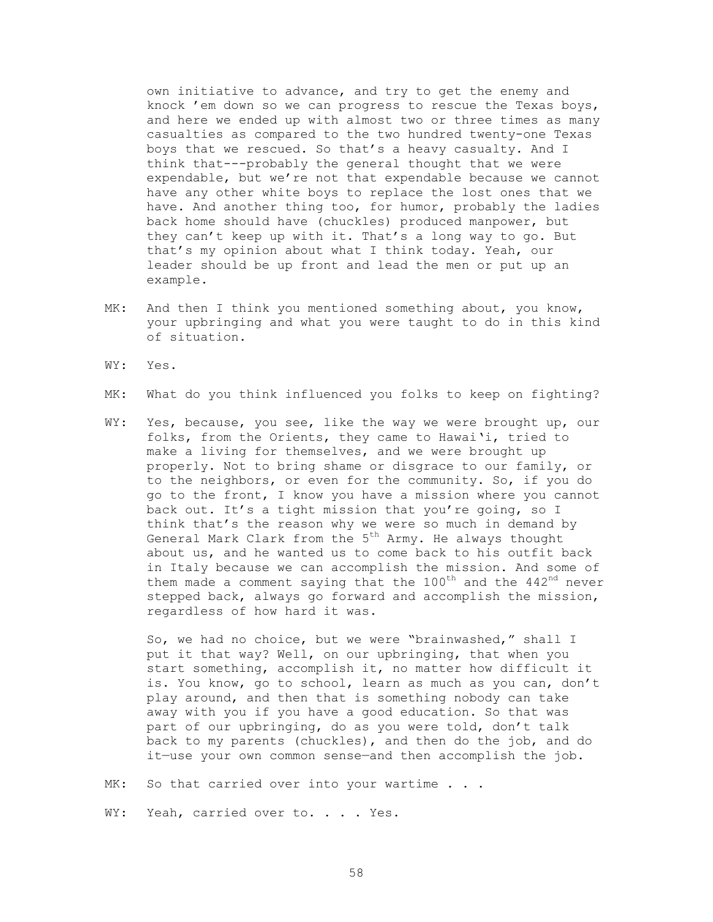own initiative to advance, and try to get the enemy and knock 'em down so we can progress to rescue the Texas boys, and here we ended up with almost two or three times as many casualties as compared to the two hundred twenty-one Texas boys that we rescued. So that's a heavy casualty. And I think that---probably the general thought that we were expendable, but we're not that expendable because we cannot have any other white boys to replace the lost ones that we have. And another thing too, for humor, probably the ladies back home should have (chuckles) produced manpower, but they can't keep up with it. That's a long way to go. But that's my opinion about what I think today. Yeah, our leader should be up front and lead the men or put up an example.

- MK: And then I think you mentioned something about, you know, your upbringing and what you were taught to do in this kind of situation.
- WY: Yes.
- MK: What do you think influenced you folks to keep on fighting?
- WY: Yes, because, you see, like the way we were brought up, our folks, from the Orients, they came to Hawai'i, tried to make a living for themselves, and we were brought up properly. Not to bring shame or disgrace to our family, or to the neighbors, or even for the community. So, if you do go to the front, I know you have a mission where you cannot back out. It's a tight mission that you're going, so I think that's the reason why we were so much in demand by General Mark Clark from the 5<sup>th</sup> Army. He always thought about us, and he wanted us to come back to his outfit back in Italy because we can accomplish the mission. And some of them made a comment saying that the  $100<sup>th</sup>$  and the  $442<sup>nd</sup>$  never stepped back, always go forward and accomplish the mission, regardless of how hard it was.

 So, we had no choice, but we were "brainwashed," shall I put it that way? Well, on our upbringing, that when you start something, accomplish it, no matter how difficult it is. You know, go to school, learn as much as you can, don't play around, and then that is something nobody can take away with you if you have a good education. So that was part of our upbringing, do as you were told, don't talk back to my parents (chuckles), and then do the job, and do it—use your own common sense—and then accomplish the job.

MK: So that carried over into your wartime . . .

WY: Yeah, carried over to. . . . Yes.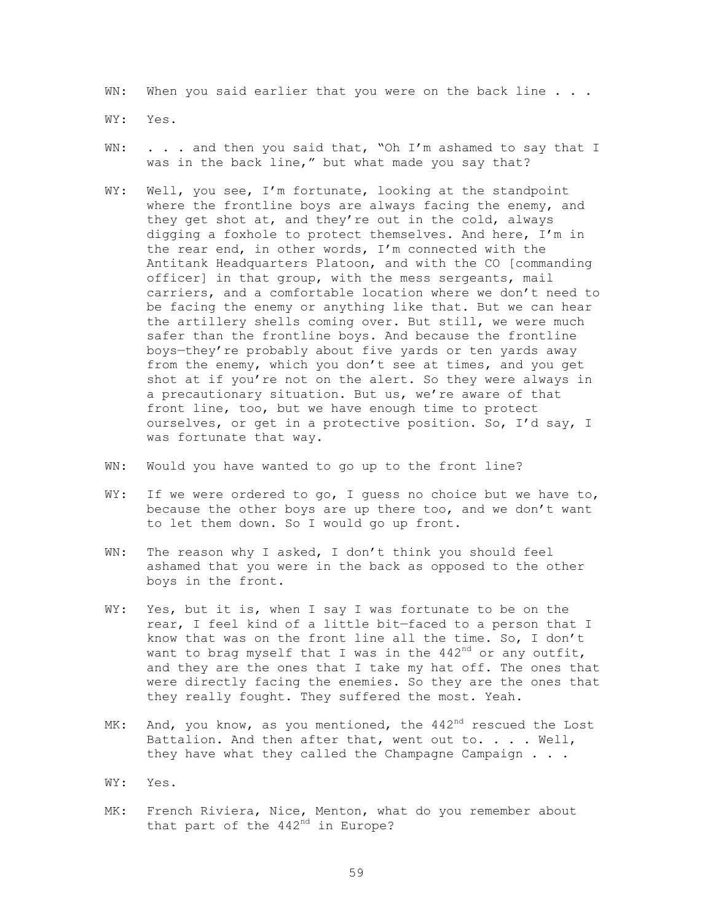WN: When you said earlier that you were on the back line . . .

WY: Yes.

- WN: . . . and then you said that, "Oh I'm ashamed to say that I was in the back line," but what made you say that?
- WY: Well, you see, I'm fortunate, looking at the standpoint where the frontline boys are always facing the enemy, and they get shot at, and they're out in the cold, always digging a foxhole to protect themselves. And here, I'm in the rear end, in other words, I'm connected with the Antitank Headquarters Platoon, and with the CO [commanding officer] in that group, with the mess sergeants, mail carriers, and a comfortable location where we don't need to be facing the enemy or anything like that. But we can hear the artillery shells coming over. But still, we were much safer than the frontline boys. And because the frontline boys—they're probably about five yards or ten yards away from the enemy, which you don't see at times, and you get shot at if you're not on the alert. So they were always in a precautionary situation. But us, we're aware of that front line, too, but we have enough time to protect ourselves, or get in a protective position. So, I'd say, I was fortunate that way.
- WN: Would you have wanted to go up to the front line?
- WY: If we were ordered to go, I guess no choice but we have to, because the other boys are up there too, and we don't want to let them down. So I would go up front.
- WN: The reason why I asked, I don't think you should feel ashamed that you were in the back as opposed to the other boys in the front.
- WY: Yes, but it is, when I say I was fortunate to be on the rear, I feel kind of a little bit—faced to a person that I know that was on the front line all the time. So, I don't want to brag myself that I was in the  $442<sup>nd</sup>$  or any outfit, and they are the ones that I take my hat off. The ones that were directly facing the enemies. So they are the ones that they really fought. They suffered the most. Yeah.
- MK: And, you know, as you mentioned, the  $442<sup>nd</sup>$  rescued the Lost Battalion. And then after that, went out to. . . . Well, they have what they called the Champagne Campaign . . .
- WY: Yes.
- MK: French Riviera, Nice, Menton, what do you remember about that part of the 442<sup>nd</sup> in Europe?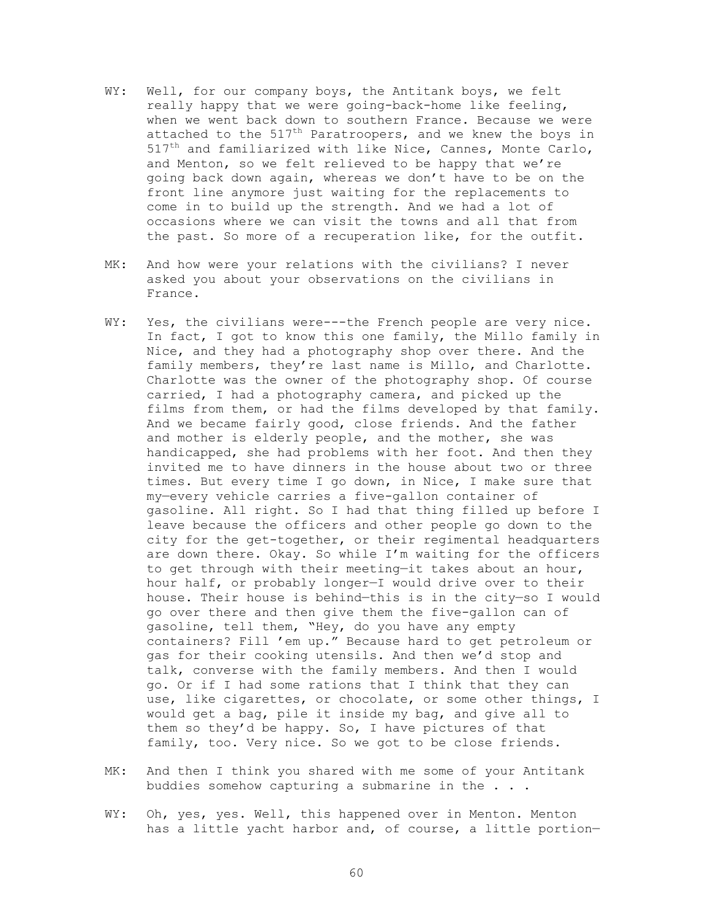- WY: Well, for our company boys, the Antitank boys, we felt really happy that we were going-back-home like feeling, when we went back down to southern France. Because we were attached to the  $517<sup>th</sup>$  Paratroopers, and we knew the boys in  $517<sup>th</sup>$  and familiarized with like Nice, Cannes, Monte Carlo, and Menton, so we felt relieved to be happy that we're going back down again, whereas we don't have to be on the front line anymore just waiting for the replacements to come in to build up the strength. And we had a lot of occasions where we can visit the towns and all that from the past. So more of a recuperation like, for the outfit.
- MK: And how were your relations with the civilians? I never asked you about your observations on the civilians in France.
- WY: Yes, the civilians were---the French people are very nice. In fact, I got to know this one family, the Millo family in Nice, and they had a photography shop over there. And the family members, they're last name is Millo, and Charlotte. Charlotte was the owner of the photography shop. Of course carried, I had a photography camera, and picked up the films from them, or had the films developed by that family. And we became fairly good, close friends. And the father and mother is elderly people, and the mother, she was handicapped, she had problems with her foot. And then they invited me to have dinners in the house about two or three times. But every time I go down, in Nice, I make sure that my—every vehicle carries a five-gallon container of gasoline. All right. So I had that thing filled up before I leave because the officers and other people go down to the city for the get-together, or their regimental headquarters are down there. Okay. So while I'm waiting for the officers to get through with their meeting—it takes about an hour, hour half, or probably longer—I would drive over to their house. Their house is behind—this is in the city—so I would go over there and then give them the five-gallon can of gasoline, tell them, "Hey, do you have any empty containers? Fill 'em up." Because hard to get petroleum or gas for their cooking utensils. And then we'd stop and talk, converse with the family members. And then I would go. Or if I had some rations that I think that they can use, like cigarettes, or chocolate, or some other things, I would get a bag, pile it inside my bag, and give all to them so they'd be happy. So, I have pictures of that family, too. Very nice. So we got to be close friends.
- MK: And then I think you shared with me some of your Antitank buddies somehow capturing a submarine in the . . .
- WY: Oh, yes, yes. Well, this happened over in Menton. Menton has a little yacht harbor and, of course, a little portion—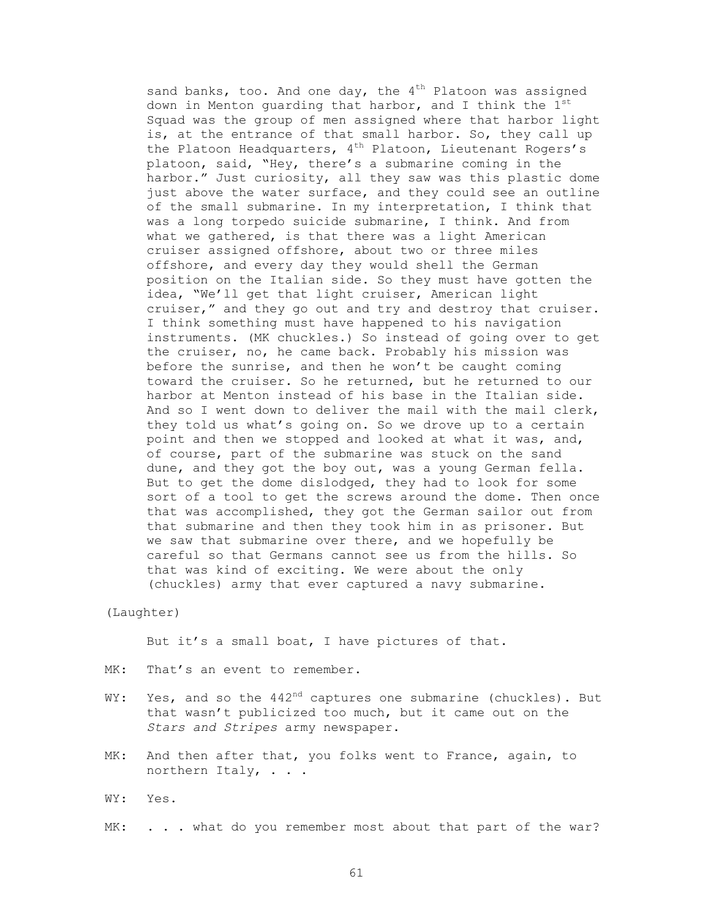sand banks, too. And one day, the  $4^{th}$  Platoon was assigned down in Menton guarding that harbor, and I think the  $1^{st}$ Squad was the group of men assigned where that harbor light is, at the entrance of that small harbor. So, they call up the Platoon Headquarters, 4<sup>th</sup> Platoon, Lieutenant Rogers's platoon, said, "Hey, there's a submarine coming in the harbor." Just curiosity, all they saw was this plastic dome just above the water surface, and they could see an outline of the small submarine. In my interpretation, I think that was a long torpedo suicide submarine, I think. And from what we gathered, is that there was a light American cruiser assigned offshore, about two or three miles offshore, and every day they would shell the German position on the Italian side. So they must have gotten the idea, "We'll get that light cruiser, American light cruiser," and they go out and try and destroy that cruiser. I think something must have happened to his navigation instruments. (MK chuckles.) So instead of going over to get the cruiser, no, he came back. Probably his mission was before the sunrise, and then he won't be caught coming toward the cruiser. So he returned, but he returned to our harbor at Menton instead of his base in the Italian side. And so I went down to deliver the mail with the mail clerk, they told us what's going on. So we drove up to a certain point and then we stopped and looked at what it was, and, of course, part of the submarine was stuck on the sand dune, and they got the boy out, was a young German fella. But to get the dome dislodged, they had to look for some sort of a tool to get the screws around the dome. Then once that was accomplished, they got the German sailor out from that submarine and then they took him in as prisoner. But we saw that submarine over there, and we hopefully be careful so that Germans cannot see us from the hills. So that was kind of exciting. We were about the only (chuckles) army that ever captured a navy submarine.

### (Laughter)

But it's a small boat, I have pictures of that.

- MK: That's an event to remember.
- WY: Yes, and so the  $442<sup>nd</sup>$  captures one submarine (chuckles). But that wasn't publicized too much, but it came out on the *Stars and Stripes* army newspaper.
- MK: And then after that, you folks went to France, again, to northern Italy, . . .
- WY: Yes.
- MK: . . . what do you remember most about that part of the war?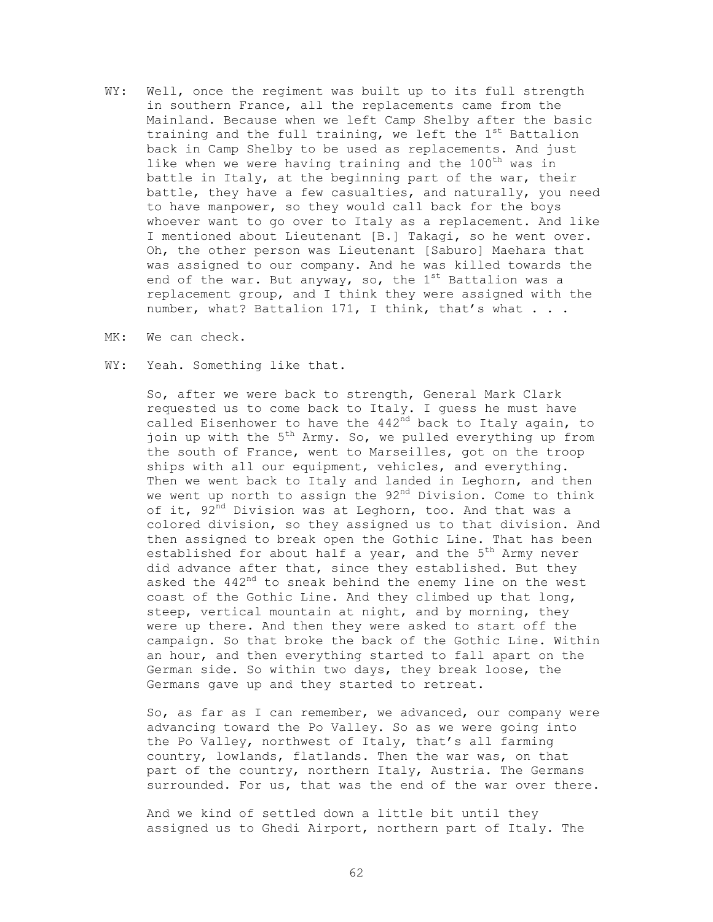- WY: Well, once the regiment was built up to its full strength in southern France, all the replacements came from the Mainland. Because when we left Camp Shelby after the basic training and the full training, we left the  $1^{st}$  Battalion back in Camp Shelby to be used as replacements. And just like when we were having training and the 100<sup>th</sup> was in battle in Italy, at the beginning part of the war, their battle, they have a few casualties, and naturally, you need to have manpower, so they would call back for the boys whoever want to go over to Italy as a replacement. And like I mentioned about Lieutenant [B.] Takagi, so he went over. Oh, the other person was Lieutenant [Saburo] Maehara that was assigned to our company. And he was killed towards the end of the war. But anyway, so, the  $1^{st}$  Battalion was a replacement group, and I think they were assigned with the number, what? Battalion 171, I think, that's what . . .
- MK: We can check.
- WY: Yeah. Something like that.

 So, after we were back to strength, General Mark Clark requested us to come back to Italy. I guess he must have called Eisenhower to have the  $442<sup>nd</sup>$  back to Italy again, to join up with the  $5^{th}$  Army. So, we pulled everything up from the south of France, went to Marseilles, got on the troop ships with all our equipment, vehicles, and everything. Then we went back to Italy and landed in Leghorn, and then we went up north to assign the 92<sup>nd</sup> Division. Come to think of it, 92<sup>nd</sup> Division was at Leghorn, too. And that was a colored division, so they assigned us to that division. And then assigned to break open the Gothic Line. That has been established for about half a year, and the  $5<sup>th</sup>$  Army never did advance after that, since they established. But they asked the 442<sup>nd</sup> to sneak behind the enemy line on the west coast of the Gothic Line. And they climbed up that long, steep, vertical mountain at night, and by morning, they were up there. And then they were asked to start off the campaign. So that broke the back of the Gothic Line. Within an hour, and then everything started to fall apart on the German side. So within two days, they break loose, the Germans gave up and they started to retreat.

 So, as far as I can remember, we advanced, our company were advancing toward the Po Valley. So as we were going into the Po Valley, northwest of Italy, that's all farming country, lowlands, flatlands. Then the war was, on that part of the country, northern Italy, Austria. The Germans surrounded. For us, that was the end of the war over there.

 And we kind of settled down a little bit until they assigned us to Ghedi Airport, northern part of Italy. The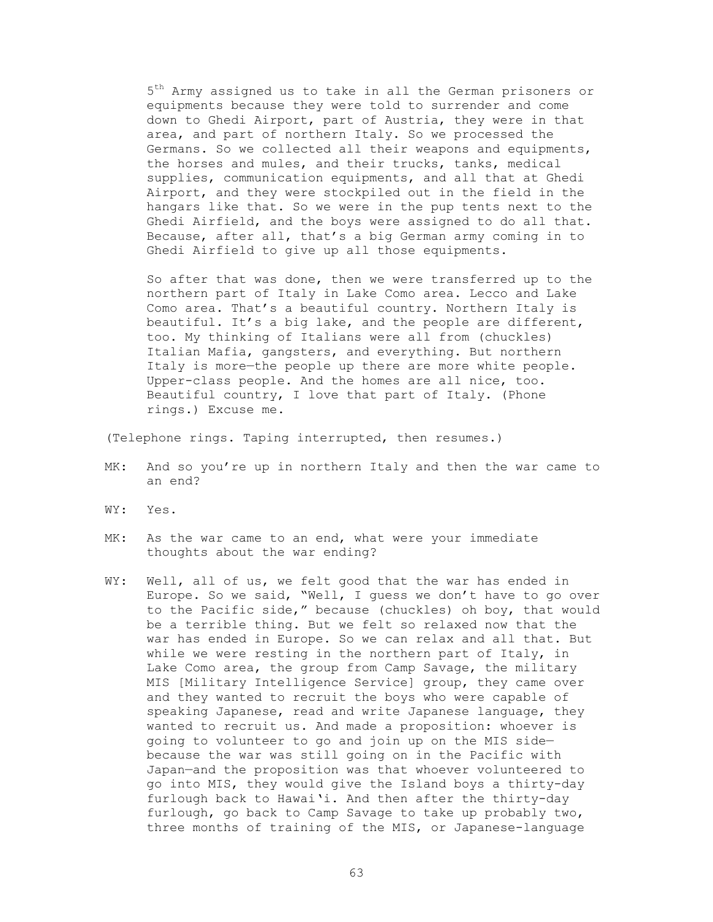$5<sup>th</sup>$  Army assigned us to take in all the German prisoners or equipments because they were told to surrender and come down to Ghedi Airport, part of Austria, they were in that area, and part of northern Italy. So we processed the Germans. So we collected all their weapons and equipments, the horses and mules, and their trucks, tanks, medical supplies, communication equipments, and all that at Ghedi Airport, and they were stockpiled out in the field in the hangars like that. So we were in the pup tents next to the Ghedi Airfield, and the boys were assigned to do all that. Because, after all, that's a big German army coming in to Ghedi Airfield to give up all those equipments.

 So after that was done, then we were transferred up to the northern part of Italy in Lake Como area. Lecco and Lake Como area. That's a beautiful country. Northern Italy is beautiful. It's a big lake, and the people are different, too. My thinking of Italians were all from (chuckles) Italian Mafia, gangsters, and everything. But northern Italy is more—the people up there are more white people. Upper-class people. And the homes are all nice, too. Beautiful country, I love that part of Italy. (Phone rings.) Excuse me.

(Telephone rings. Taping interrupted, then resumes.)

- MK: And so you're up in northern Italy and then the war came to an end?
- WY: Yes.
- MK: As the war came to an end, what were your immediate thoughts about the war ending?
- WY: Well, all of us, we felt good that the war has ended in Europe. So we said, "Well, I guess we don't have to go over to the Pacific side," because (chuckles) oh boy, that would be a terrible thing. But we felt so relaxed now that the war has ended in Europe. So we can relax and all that. But while we were resting in the northern part of Italy, in Lake Como area, the group from Camp Savage, the military MIS [Military Intelligence Service] group, they came over and they wanted to recruit the boys who were capable of speaking Japanese, read and write Japanese language, they wanted to recruit us. And made a proposition: whoever is going to volunteer to go and join up on the MIS side because the war was still going on in the Pacific with Japan—and the proposition was that whoever volunteered to go into MIS, they would give the Island boys a thirty-day furlough back to Hawai'i. And then after the thirty-day furlough, go back to Camp Savage to take up probably two, three months of training of the MIS, or Japanese-language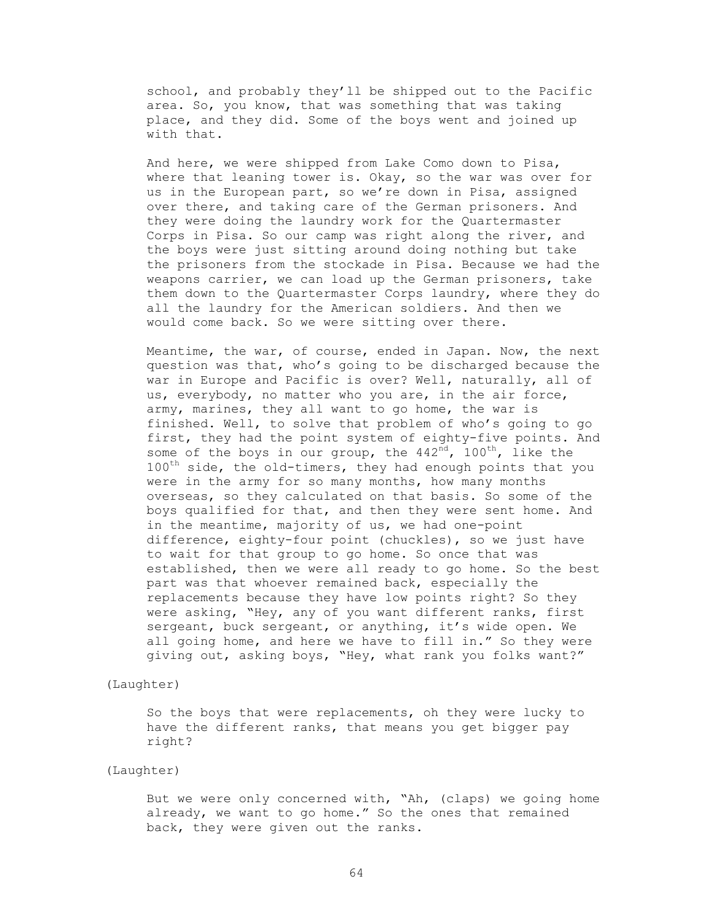school, and probably they'll be shipped out to the Pacific area. So, you know, that was something that was taking place, and they did. Some of the boys went and joined up with that.

 And here, we were shipped from Lake Como down to Pisa, where that leaning tower is. Okay, so the war was over for us in the European part, so we're down in Pisa, assigned over there, and taking care of the German prisoners. And they were doing the laundry work for the Quartermaster Corps in Pisa. So our camp was right along the river, and the boys were just sitting around doing nothing but take the prisoners from the stockade in Pisa. Because we had the weapons carrier, we can load up the German prisoners, take them down to the Quartermaster Corps laundry, where they do all the laundry for the American soldiers. And then we would come back. So we were sitting over there.

 Meantime, the war, of course, ended in Japan. Now, the next question was that, who's going to be discharged because the war in Europe and Pacific is over? Well, naturally, all of us, everybody, no matter who you are, in the air force, army, marines, they all want to go home, the war is finished. Well, to solve that problem of who's going to go first, they had the point system of eighty-five points. And some of the boys in our group, the  $442<sup>nd</sup>$ ,  $100<sup>th</sup>$ , like the  $100^{th}$  side, the old-timers, they had enough points that you were in the army for so many months, how many months overseas, so they calculated on that basis. So some of the boys qualified for that, and then they were sent home. And in the meantime, majority of us, we had one-point difference, eighty-four point (chuckles), so we just have to wait for that group to go home. So once that was established, then we were all ready to go home. So the best part was that whoever remained back, especially the replacements because they have low points right? So they were asking, "Hey, any of you want different ranks, first sergeant, buck sergeant, or anything, it's wide open. We all going home, and here we have to fill in." So they were giving out, asking boys, "Hey, what rank you folks want?"

### (Laughter)

 So the boys that were replacements, oh they were lucky to have the different ranks, that means you get bigger pay right?

# (Laughter)

 But we were only concerned with, "Ah, (claps) we going home already, we want to go home." So the ones that remained back, they were given out the ranks.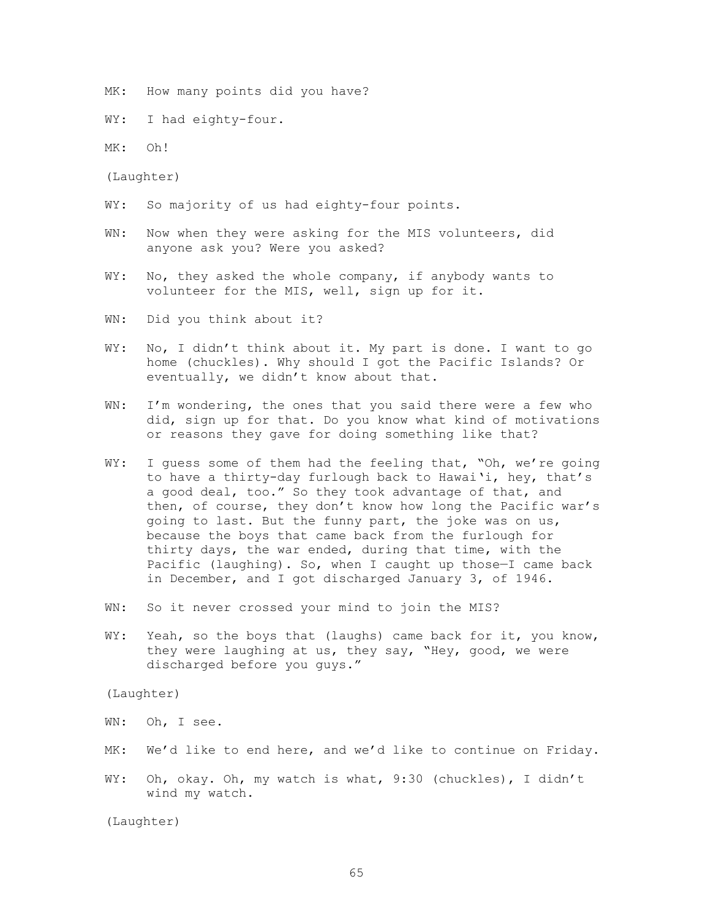MK: How many points did you have?

WY: I had eighty-four.

MK: Oh!

(Laughter)

- WY: So majority of us had eighty-four points.
- WN: Now when they were asking for the MIS volunteers, did anyone ask you? Were you asked?
- WY: No, they asked the whole company, if anybody wants to volunteer for the MIS, well, sign up for it.
- WN: Did you think about it?
- WY: No, I didn't think about it. My part is done. I want to go home (chuckles). Why should I got the Pacific Islands? Or eventually, we didn't know about that.
- WN: I'm wondering, the ones that you said there were a few who did, sign up for that. Do you know what kind of motivations or reasons they gave for doing something like that?
- WY: I quess some of them had the feeling that, "Oh, we're going to have a thirty-day furlough back to Hawai'i, hey, that's a good deal, too." So they took advantage of that, and then, of course, they don't know how long the Pacific war's going to last. But the funny part, the joke was on us, because the boys that came back from the furlough for thirty days, the war ended, during that time, with the Pacific (laughing). So, when I caught up those—I came back in December, and I got discharged January 3, of 1946.
- WN: So it never crossed your mind to join the MIS?
- WY: Yeah, so the boys that (laughs) came back for it, you know, they were laughing at us, they say, "Hey, good, we were discharged before you guys."

(Laughter)

WN: Oh, I see.

- MK: We'd like to end here, and we'd like to continue on Friday.
- WY: Oh, okay. Oh, my watch is what, 9:30 (chuckles), I didn't wind my watch.

(Laughter)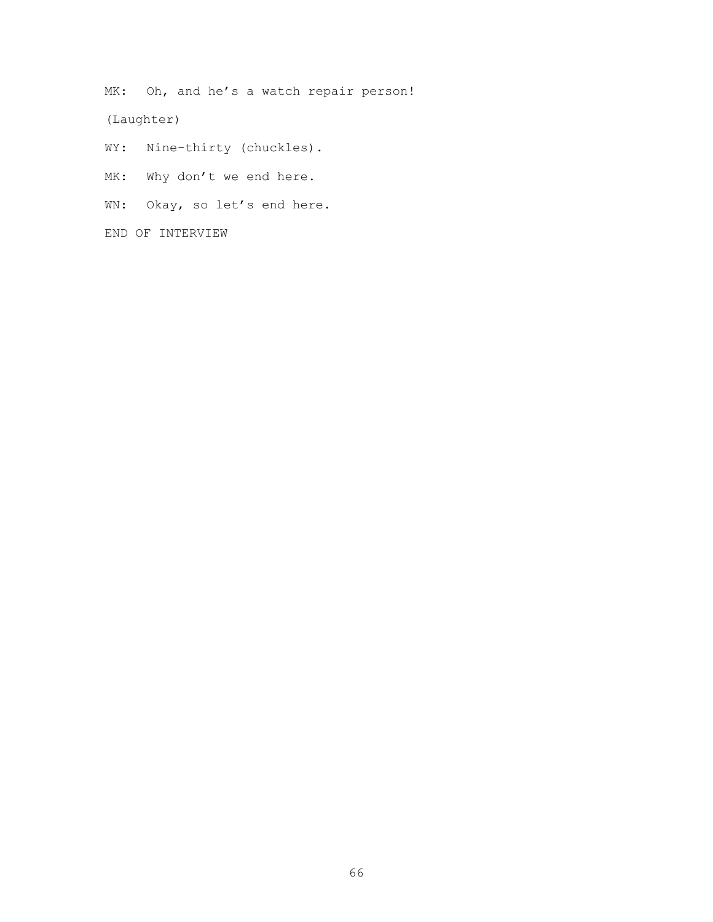MK: Oh, and he's a watch repair person!

(Laughter)

WY: Nine-thirty (chuckles).

MK: Why don't we end here.

WN: Okay, so let's end here.

END OF INTERVIEW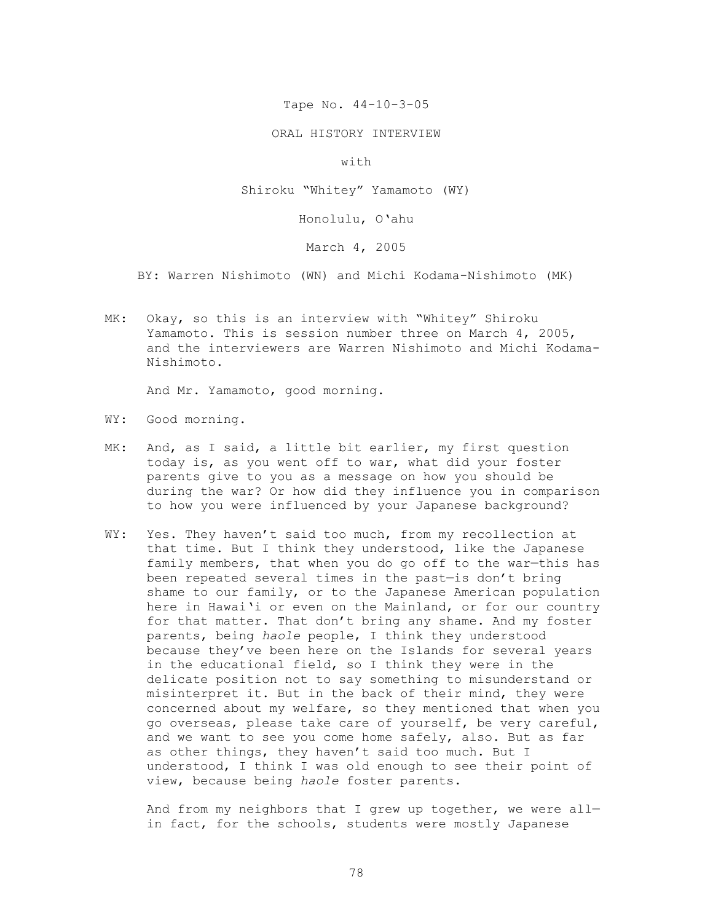Tape No. 44-10-3-05

ORAL HISTORY INTERVIEW

with

Shiroku "Whitey" Yamamoto (WY)

Honolulu, O'ahu

March 4, 2005

BY: Warren Nishimoto (WN) and Michi Kodama-Nishimoto (MK)

MK: Okay, so this is an interview with "Whitey" Shiroku Yamamoto. This is session number three on March 4, 2005, and the interviewers are Warren Nishimoto and Michi Kodama-Nishimoto.

And Mr. Yamamoto, good morning.

- WY: Good morning.
- MK: And, as I said, a little bit earlier, my first question today is, as you went off to war, what did your foster parents give to you as a message on how you should be during the war? Or how did they influence you in comparison to how you were influenced by your Japanese background?
- WY: Yes. They haven't said too much, from my recollection at that time. But I think they understood, like the Japanese family members, that when you do go off to the war—this has been repeated several times in the past—is don't bring shame to our family, or to the Japanese American population here in Hawai'i or even on the Mainland, or for our country for that matter. That don't bring any shame. And my foster parents, being *haole* people, I think they understood because they've been here on the Islands for several years in the educational field, so I think they were in the delicate position not to say something to misunderstand or misinterpret it. But in the back of their mind, they were concerned about my welfare, so they mentioned that when you go overseas, please take care of yourself, be very careful, and we want to see you come home safely, also. But as far as other things, they haven't said too much. But I understood, I think I was old enough to see their point of view, because being *haole* foster parents.

And from my neighbors that I grew up together, we were allin fact, for the schools, students were mostly Japanese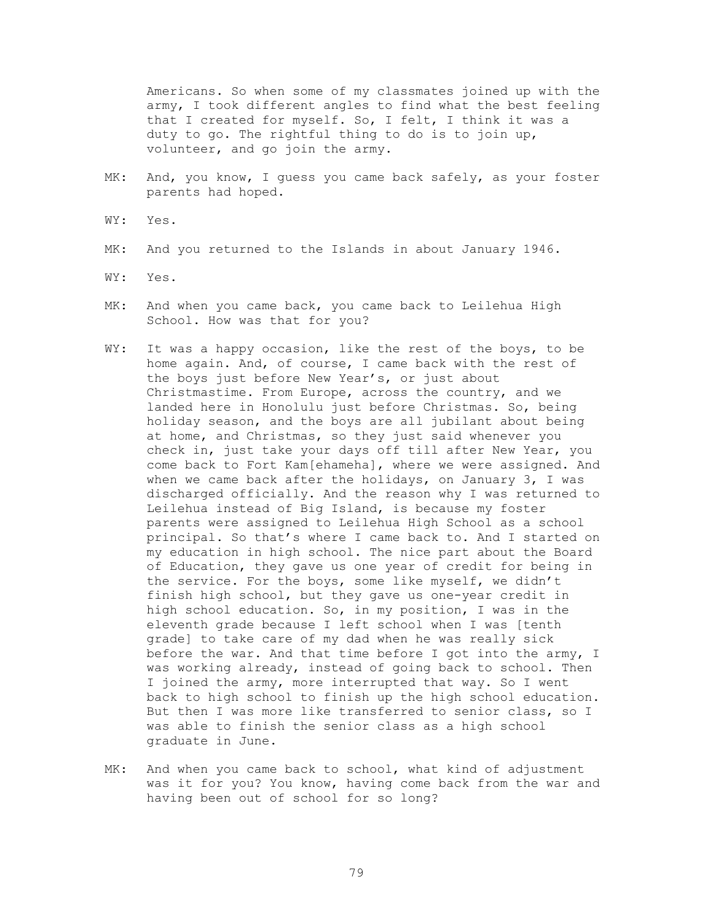Americans. So when some of my classmates joined up with the army, I took different angles to find what the best feeling that I created for myself. So, I felt, I think it was a duty to go. The rightful thing to do is to join up, volunteer, and go join the army.

- MK: And, you know, I guess you came back safely, as your foster parents had hoped.
- WY: Yes.
- MK: And you returned to the Islands in about January 1946.
- WY: Yes.
- MK: And when you came back, you came back to Leilehua High School. How was that for you?
- WY: It was a happy occasion, like the rest of the boys, to be home again. And, of course, I came back with the rest of the boys just before New Year's, or just about Christmastime. From Europe, across the country, and we landed here in Honolulu just before Christmas. So, being holiday season, and the boys are all jubilant about being at home, and Christmas, so they just said whenever you check in, just take your days off till after New Year, you come back to Fort Kam[ehameha], where we were assigned. And when we came back after the holidays, on January 3, I was discharged officially. And the reason why I was returned to Leilehua instead of Big Island, is because my foster parents were assigned to Leilehua High School as a school principal. So that's where I came back to. And I started on my education in high school. The nice part about the Board of Education, they gave us one year of credit for being in the service. For the boys, some like myself, we didn't finish high school, but they gave us one-year credit in high school education. So, in my position, I was in the eleventh grade because I left school when I was [tenth grade] to take care of my dad when he was really sick before the war. And that time before I got into the army, I was working already, instead of going back to school. Then I joined the army, more interrupted that way. So I went back to high school to finish up the high school education. But then I was more like transferred to senior class, so I was able to finish the senior class as a high school graduate in June.
- MK: And when you came back to school, what kind of adjustment was it for you? You know, having come back from the war and having been out of school for so long?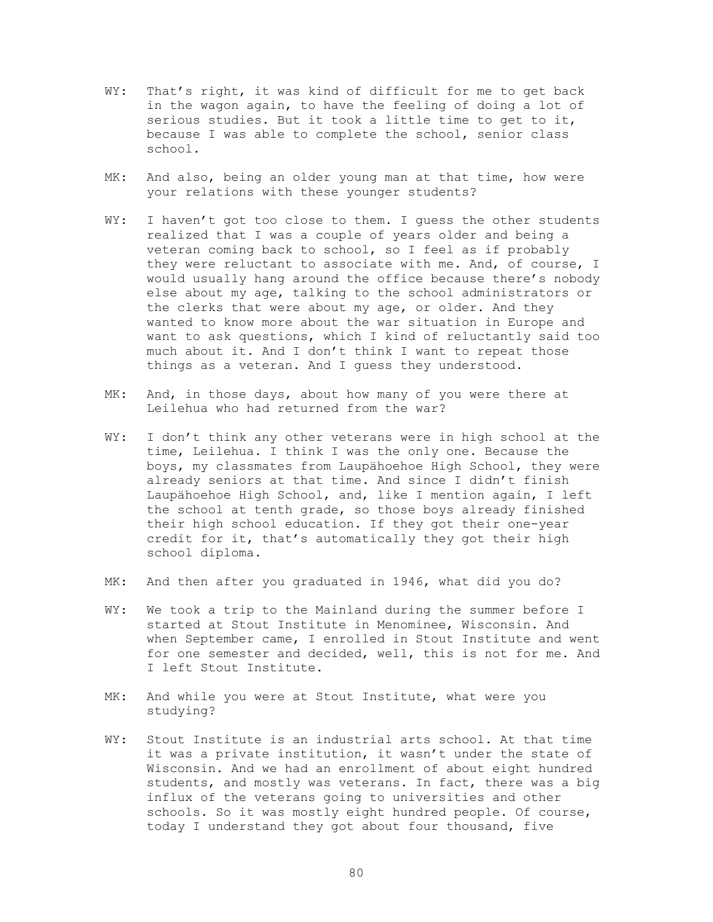- WY: That's right, it was kind of difficult for me to get back in the wagon again, to have the feeling of doing a lot of serious studies. But it took a little time to get to it, because I was able to complete the school, senior class school.
- MK: And also, being an older young man at that time, how were your relations with these younger students?
- WY: I haven't got too close to them. I quess the other students realized that I was a couple of years older and being a veteran coming back to school, so I feel as if probably they were reluctant to associate with me. And, of course, I would usually hang around the office because there's nobody else about my age, talking to the school administrators or the clerks that were about my age, or older. And they wanted to know more about the war situation in Europe and want to ask questions, which I kind of reluctantly said too much about it. And I don't think I want to repeat those things as a veteran. And I guess they understood.
- MK: And, in those days, about how many of you were there at Leilehua who had returned from the war?
- WY: I don't think any other veterans were in high school at the time, Leilehua. I think I was the only one. Because the boys, my classmates from Laupähoehoe High School, they were already seniors at that time. And since I didn't finish Laupähoehoe High School, and, like I mention again, I left the school at tenth grade, so those boys already finished their high school education. If they got their one-year credit for it, that's automatically they got their high school diploma.
- MK: And then after you graduated in 1946, what did you do?
- WY: We took a trip to the Mainland during the summer before I started at Stout Institute in Menominee, Wisconsin. And when September came, I enrolled in Stout Institute and went for one semester and decided, well, this is not for me. And I left Stout Institute.
- MK: And while you were at Stout Institute, what were you studying?
- WY: Stout Institute is an industrial arts school. At that time it was a private institution, it wasn't under the state of Wisconsin. And we had an enrollment of about eight hundred students, and mostly was veterans. In fact, there was a big influx of the veterans going to universities and other schools. So it was mostly eight hundred people. Of course, today I understand they got about four thousand, five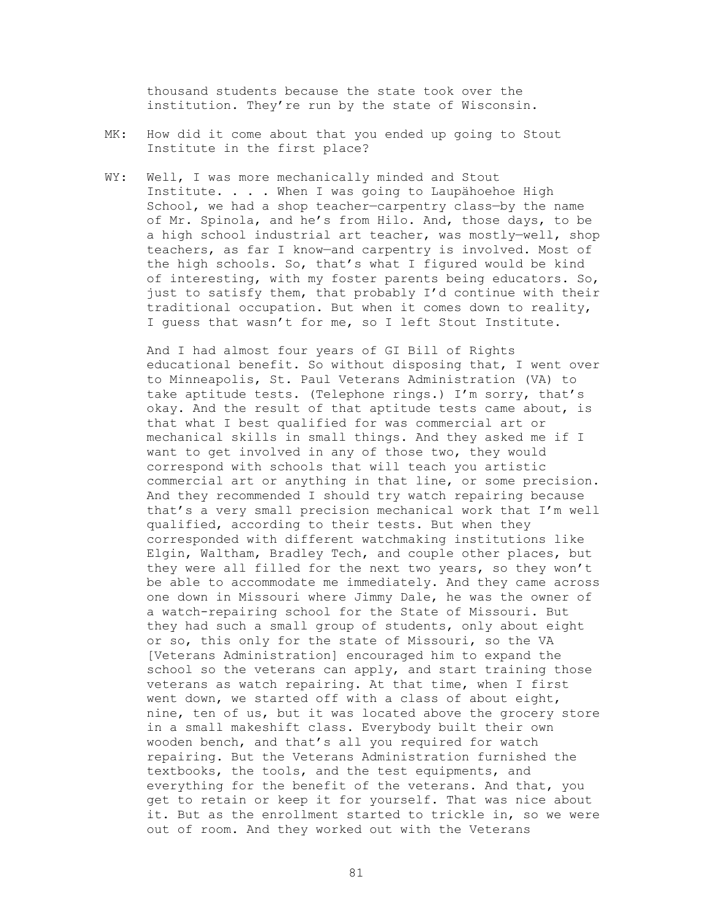thousand students because the state took over the institution. They're run by the state of Wisconsin.

- MK: How did it come about that you ended up going to Stout Institute in the first place?
- WY: Well, I was more mechanically minded and Stout Institute. . . . When I was going to Laupähoehoe High School, we had a shop teacher—carpentry class—by the name of Mr. Spinola, and he's from Hilo. And, those days, to be a high school industrial art teacher, was mostly—well, shop teachers, as far I know—and carpentry is involved. Most of the high schools. So, that's what I figured would be kind of interesting, with my foster parents being educators. So, just to satisfy them, that probably I'd continue with their traditional occupation. But when it comes down to reality, I guess that wasn't for me, so I left Stout Institute.

And I had almost four years of GI Bill of Rights educational benefit. So without disposing that, I went over to Minneapolis, St. Paul Veterans Administration (VA) to take aptitude tests. (Telephone rings.) I'm sorry, that's okay. And the result of that aptitude tests came about, is that what I best qualified for was commercial art or mechanical skills in small things. And they asked me if I want to get involved in any of those two, they would correspond with schools that will teach you artistic commercial art or anything in that line, or some precision. And they recommended I should try watch repairing because that's a very small precision mechanical work that I'm well qualified, according to their tests. But when they corresponded with different watchmaking institutions like Elgin, Waltham, Bradley Tech, and couple other places, but they were all filled for the next two years, so they won't be able to accommodate me immediately. And they came across one down in Missouri where Jimmy Dale, he was the owner of a watch-repairing school for the State of Missouri. But they had such a small group of students, only about eight or so, this only for the state of Missouri, so the VA [Veterans Administration] encouraged him to expand the school so the veterans can apply, and start training those veterans as watch repairing. At that time, when I first went down, we started off with a class of about eight, nine, ten of us, but it was located above the grocery store in a small makeshift class. Everybody built their own wooden bench, and that's all you required for watch repairing. But the Veterans Administration furnished the textbooks, the tools, and the test equipments, and everything for the benefit of the veterans. And that, you get to retain or keep it for yourself. That was nice about it. But as the enrollment started to trickle in, so we were out of room. And they worked out with the Veterans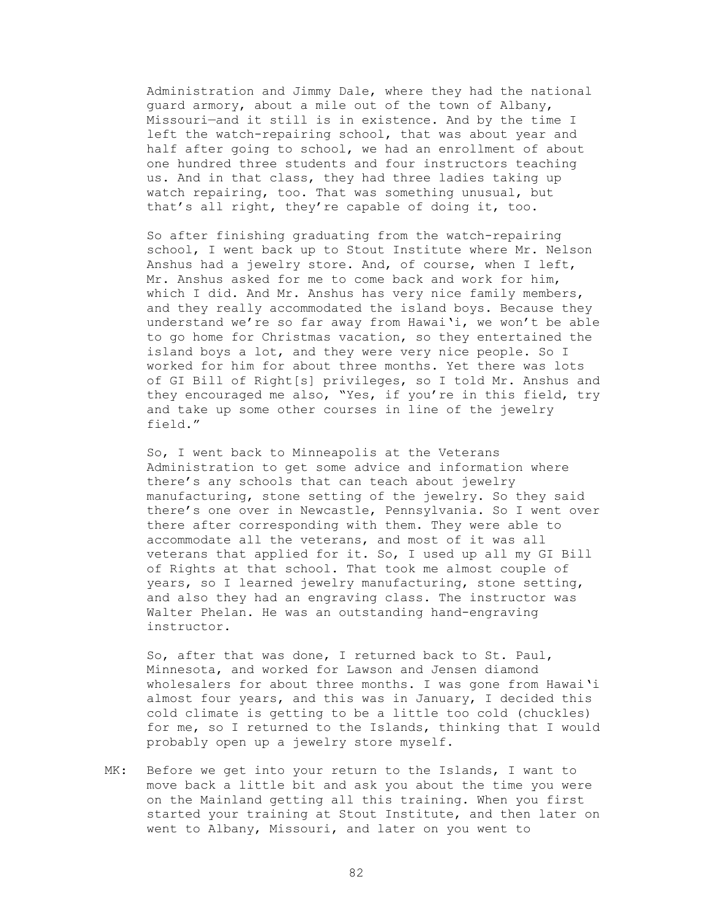Administration and Jimmy Dale, where they had the national guard armory, about a mile out of the town of Albany, Missouri—and it still is in existence. And by the time I left the watch-repairing school, that was about year and half after going to school, we had an enrollment of about one hundred three students and four instructors teaching us. And in that class, they had three ladies taking up watch repairing, too. That was something unusual, but that's all right, they're capable of doing it, too.

So after finishing graduating from the watch-repairing school, I went back up to Stout Institute where Mr. Nelson Anshus had a jewelry store. And, of course, when I left, Mr. Anshus asked for me to come back and work for him, which I did. And Mr. Anshus has very nice family members, and they really accommodated the island boys. Because they understand we're so far away from Hawai'i, we won't be able to go home for Christmas vacation, so they entertained the island boys a lot, and they were very nice people. So I worked for him for about three months. Yet there was lots of GI Bill of Right[s] privileges, so I told Mr. Anshus and they encouraged me also, "Yes, if you're in this field, try and take up some other courses in line of the jewelry field."

So, I went back to Minneapolis at the Veterans Administration to get some advice and information where there's any schools that can teach about jewelry manufacturing, stone setting of the jewelry. So they said there's one over in Newcastle, Pennsylvania. So I went over there after corresponding with them. They were able to accommodate all the veterans, and most of it was all veterans that applied for it. So, I used up all my GI Bill of Rights at that school. That took me almost couple of years, so I learned jewelry manufacturing, stone setting, and also they had an engraving class. The instructor was Walter Phelan. He was an outstanding hand-engraving instructor.

So, after that was done, I returned back to St. Paul, Minnesota, and worked for Lawson and Jensen diamond wholesalers for about three months. I was gone from Hawai'i almost four years, and this was in January, I decided this cold climate is getting to be a little too cold (chuckles) for me, so I returned to the Islands, thinking that I would probably open up a jewelry store myself.

MK: Before we get into your return to the Islands, I want to move back a little bit and ask you about the time you were on the Mainland getting all this training. When you first started your training at Stout Institute, and then later on went to Albany, Missouri, and later on you went to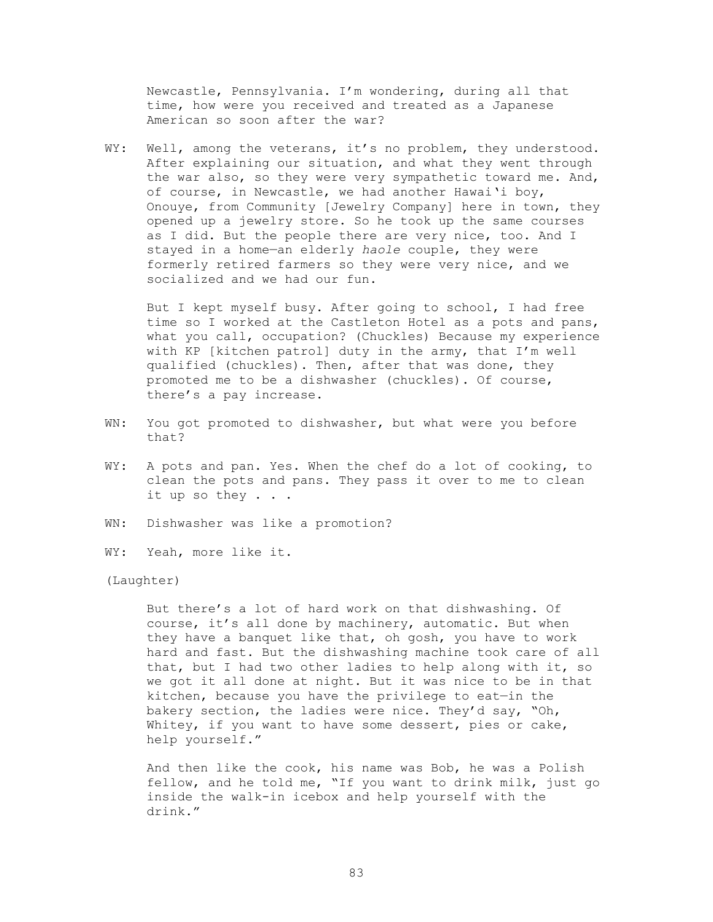Newcastle, Pennsylvania. I'm wondering, during all that time, how were you received and treated as a Japanese American so soon after the war?

WY: Well, among the veterans, it's no problem, they understood. After explaining our situation, and what they went through the war also, so they were very sympathetic toward me. And, of course, in Newcastle, we had another Hawai'i boy, Onouye, from Community [Jewelry Company] here in town, they opened up a jewelry store. So he took up the same courses as I did. But the people there are very nice, too. And I stayed in a home—an elderly *haole* couple, they were formerly retired farmers so they were very nice, and we socialized and we had our fun.

 But I kept myself busy. After going to school, I had free time so I worked at the Castleton Hotel as a pots and pans, what you call, occupation? (Chuckles) Because my experience with KP [kitchen patrol] duty in the army, that I'm well qualified (chuckles). Then, after that was done, they promoted me to be a dishwasher (chuckles). Of course, there's a pay increase.

- WN: You got promoted to dishwasher, but what were you before that?
- WY: A pots and pan. Yes. When the chef do a lot of cooking, to clean the pots and pans. They pass it over to me to clean it up so they . . .
- WN: Dishwasher was like a promotion?
- WY: Yeah, more like it.

(Laughter)

 But there's a lot of hard work on that dishwashing. Of course, it's all done by machinery, automatic. But when they have a banquet like that, oh gosh, you have to work hard and fast. But the dishwashing machine took care of all that, but I had two other ladies to help along with it, so we got it all done at night. But it was nice to be in that kitchen, because you have the privilege to eat—in the bakery section, the ladies were nice. They'd say, "Oh, Whitey, if you want to have some dessert, pies or cake, help yourself."

 And then like the cook, his name was Bob, he was a Polish fellow, and he told me, "If you want to drink milk, just go inside the walk-in icebox and help yourself with the drink."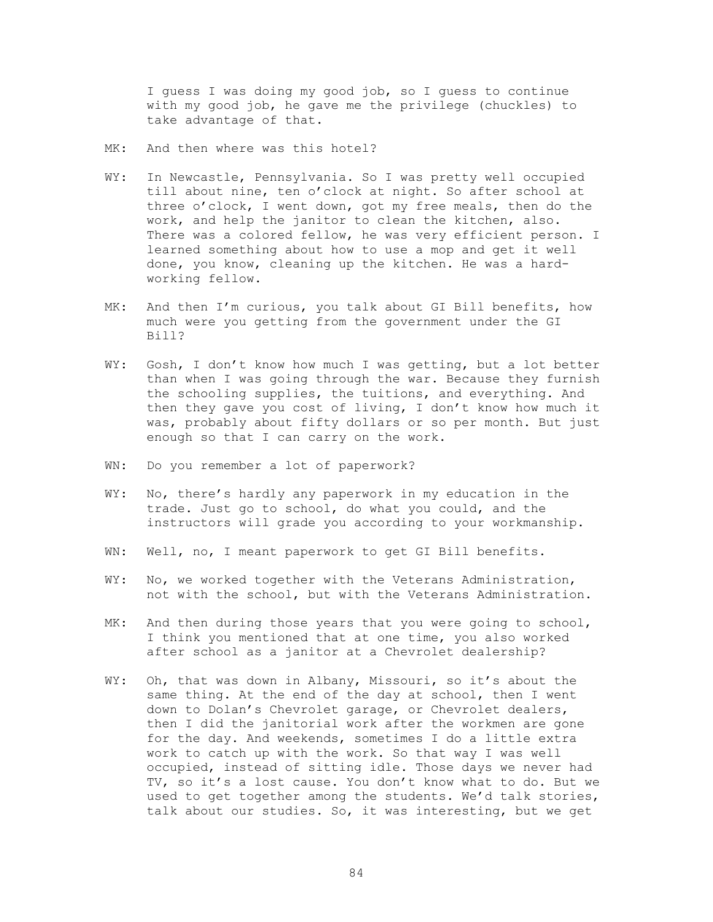I guess I was doing my good job, so I guess to continue with my good job, he gave me the privilege (chuckles) to take advantage of that.

- MK: And then where was this hotel?
- WY: In Newcastle, Pennsylvania. So I was pretty well occupied till about nine, ten o'clock at night. So after school at three o'clock, I went down, got my free meals, then do the work, and help the janitor to clean the kitchen, also. There was a colored fellow, he was very efficient person. I learned something about how to use a mop and get it well done, you know, cleaning up the kitchen. He was a hardworking fellow.
- MK: And then I'm curious, you talk about GI Bill benefits, how much were you getting from the government under the GI Bill?
- WY: Gosh, I don't know how much I was getting, but a lot better than when I was going through the war. Because they furnish the schooling supplies, the tuitions, and everything. And then they gave you cost of living, I don't know how much it was, probably about fifty dollars or so per month. But just enough so that I can carry on the work.
- WN: Do you remember a lot of paperwork?
- WY: No, there's hardly any paperwork in my education in the trade. Just go to school, do what you could, and the instructors will grade you according to your workmanship.
- WN: Well, no, I meant paperwork to get GI Bill benefits.
- WY: No, we worked together with the Veterans Administration, not with the school, but with the Veterans Administration.
- MK: And then during those years that you were going to school, I think you mentioned that at one time, you also worked after school as a janitor at a Chevrolet dealership?
- WY: Oh, that was down in Albany, Missouri, so it's about the same thing. At the end of the day at school, then I went down to Dolan's Chevrolet garage, or Chevrolet dealers, then I did the janitorial work after the workmen are gone for the day. And weekends, sometimes I do a little extra work to catch up with the work. So that way I was well occupied, instead of sitting idle. Those days we never had TV, so it's a lost cause. You don't know what to do. But we used to get together among the students. We'd talk stories, talk about our studies. So, it was interesting, but we get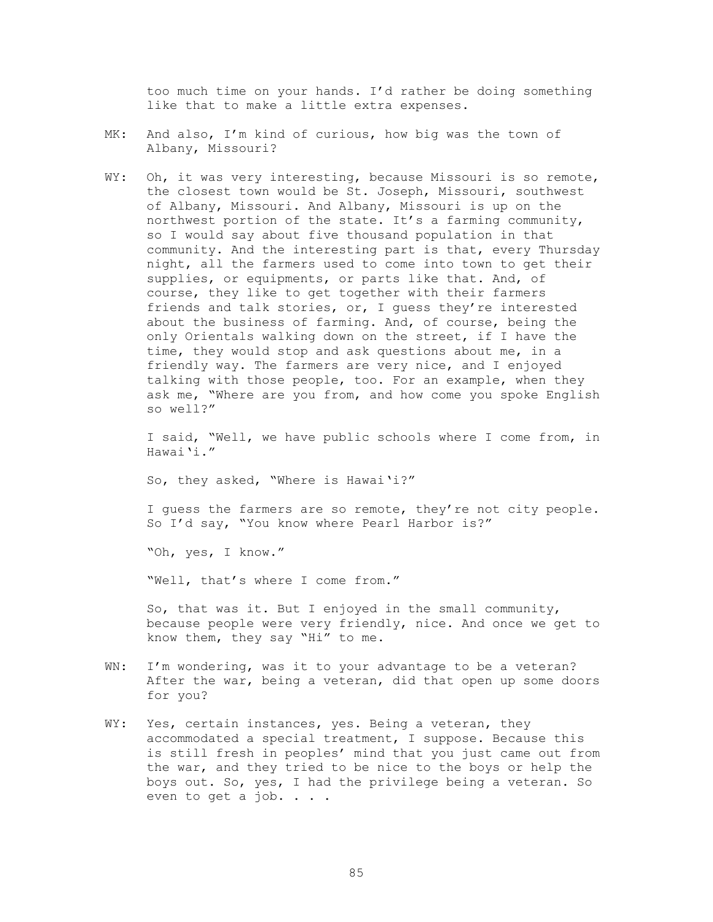too much time on your hands. I'd rather be doing something like that to make a little extra expenses.

- MK: And also, I'm kind of curious, how big was the town of Albany, Missouri?
- WY: Oh, it was very interesting, because Missouri is so remote, the closest town would be St. Joseph, Missouri, southwest of Albany, Missouri. And Albany, Missouri is up on the northwest portion of the state. It's a farming community, so I would say about five thousand population in that community. And the interesting part is that, every Thursday night, all the farmers used to come into town to get their supplies, or equipments, or parts like that. And, of course, they like to get together with their farmers friends and talk stories, or, I guess they're interested about the business of farming. And, of course, being the only Orientals walking down on the street, if I have the time, they would stop and ask questions about me, in a friendly way. The farmers are very nice, and I enjoyed talking with those people, too. For an example, when they ask me, "Where are you from, and how come you spoke English so well?"

 I said, "Well, we have public schools where I come from, in Hawai'i."

So, they asked, "Where is Hawai'i?"

 I guess the farmers are so remote, they're not city people. So I'd say, "You know where Pearl Harbor is?"

"Oh, yes, I know."

"Well, that's where I come from."

 So, that was it. But I enjoyed in the small community, because people were very friendly, nice. And once we get to know them, they say "Hi" to me.

- WN: I'm wondering, was it to your advantage to be a veteran? After the war, being a veteran, did that open up some doors for you?
- WY: Yes, certain instances, yes. Being a veteran, they accommodated a special treatment, I suppose. Because this is still fresh in peoples' mind that you just came out from the war, and they tried to be nice to the boys or help the boys out. So, yes, I had the privilege being a veteran. So even to get a job. . . .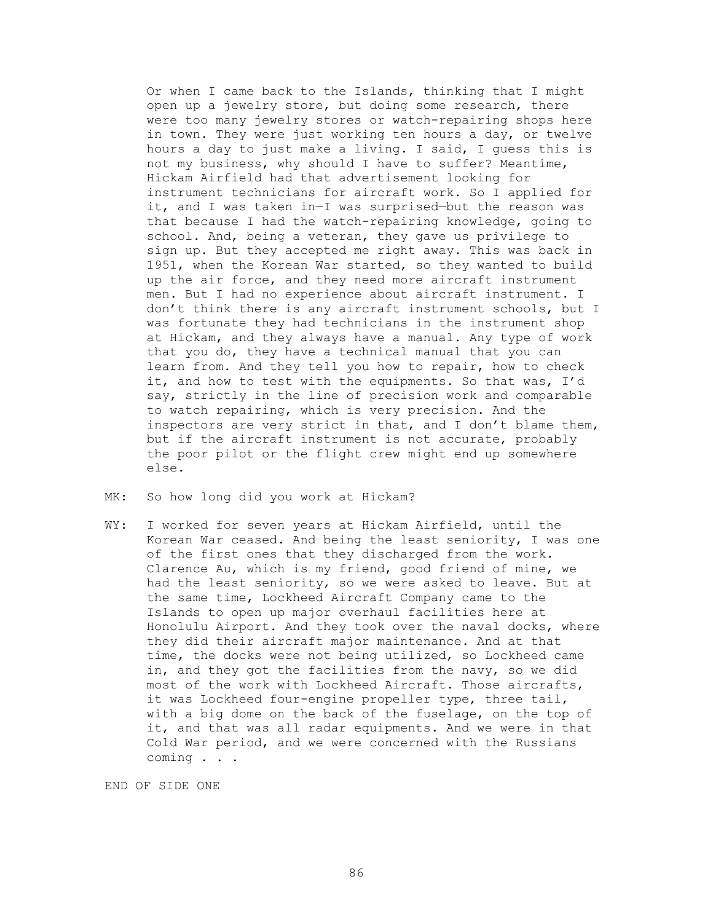Or when I came back to the Islands, thinking that I might open up a jewelry store, but doing some research, there were too many jewelry stores or watch-repairing shops here in town. They were just working ten hours a day, or twelve hours a day to just make a living. I said, I guess this is not my business, why should I have to suffer? Meantime, Hickam Airfield had that advertisement looking for instrument technicians for aircraft work. So I applied for it, and I was taken in—I was surprised—but the reason was that because I had the watch-repairing knowledge, going to school. And, being a veteran, they gave us privilege to sign up. But they accepted me right away. This was back in 1951, when the Korean War started, so they wanted to build up the air force, and they need more aircraft instrument men. But I had no experience about aircraft instrument. I don't think there is any aircraft instrument schools, but I was fortunate they had technicians in the instrument shop at Hickam, and they always have a manual. Any type of work that you do, they have a technical manual that you can learn from. And they tell you how to repair, how to check it, and how to test with the equipments. So that was, I'd say, strictly in the line of precision work and comparable to watch repairing, which is very precision. And the inspectors are very strict in that, and I don't blame them, but if the aircraft instrument is not accurate, probably the poor pilot or the flight crew might end up somewhere else.

- MK: So how long did you work at Hickam?
- WY: I worked for seven years at Hickam Airfield, until the Korean War ceased. And being the least seniority, I was one of the first ones that they discharged from the work. Clarence Au, which is my friend, good friend of mine, we had the least seniority, so we were asked to leave. But at the same time, Lockheed Aircraft Company came to the Islands to open up major overhaul facilities here at Honolulu Airport. And they took over the naval docks, where they did their aircraft major maintenance. And at that time, the docks were not being utilized, so Lockheed came in, and they got the facilities from the navy, so we did most of the work with Lockheed Aircraft. Those aircrafts, it was Lockheed four-engine propeller type, three tail, with a big dome on the back of the fuselage, on the top of it, and that was all radar equipments. And we were in that Cold War period, and we were concerned with the Russians coming . . .

END OF SIDE ONE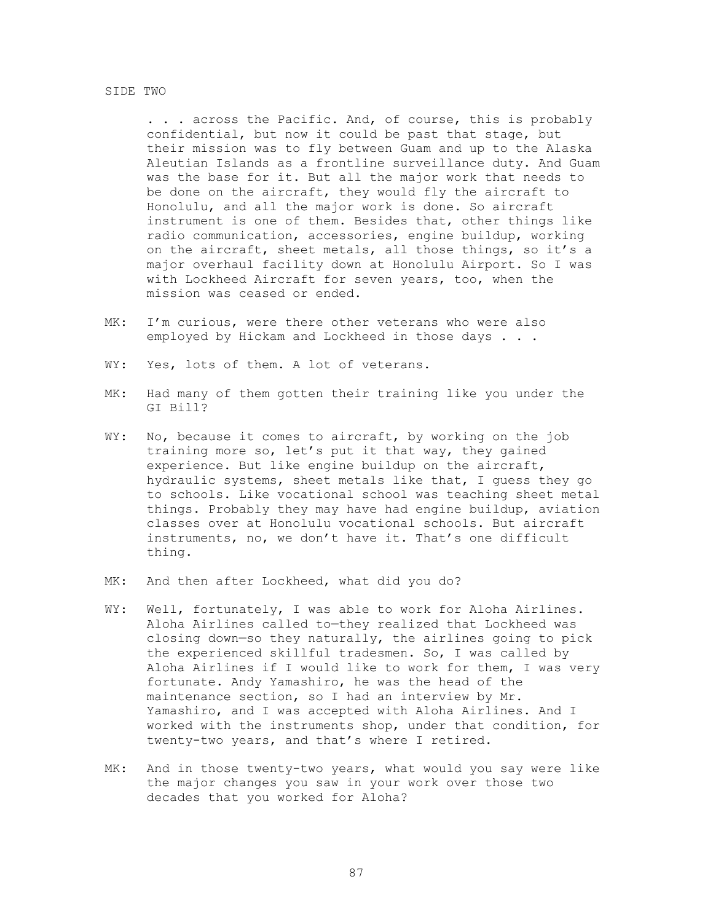#### SIDE TWO

 . . . across the Pacific. And, of course, this is probably confidential, but now it could be past that stage, but their mission was to fly between Guam and up to the Alaska Aleutian Islands as a frontline surveillance duty. And Guam was the base for it. But all the major work that needs to be done on the aircraft, they would fly the aircraft to Honolulu, and all the major work is done. So aircraft instrument is one of them. Besides that, other things like radio communication, accessories, engine buildup, working on the aircraft, sheet metals, all those things, so it's a major overhaul facility down at Honolulu Airport. So I was with Lockheed Aircraft for seven years, too, when the mission was ceased or ended.

- MK: I'm curious, were there other veterans who were also employed by Hickam and Lockheed in those days . . .
- WY: Yes, lots of them. A lot of veterans.
- MK: Had many of them gotten their training like you under the GI Bill?
- WY: No, because it comes to aircraft, by working on the job training more so, let's put it that way, they gained experience. But like engine buildup on the aircraft, hydraulic systems, sheet metals like that, I guess they go to schools. Like vocational school was teaching sheet metal things. Probably they may have had engine buildup, aviation classes over at Honolulu vocational schools. But aircraft instruments, no, we don't have it. That's one difficult thing.
- MK: And then after Lockheed, what did you do?
- WY: Well, fortunately, I was able to work for Aloha Airlines. Aloha Airlines called to—they realized that Lockheed was closing down—so they naturally, the airlines going to pick the experienced skillful tradesmen. So, I was called by Aloha Airlines if I would like to work for them, I was very fortunate. Andy Yamashiro, he was the head of the maintenance section, so I had an interview by Mr. Yamashiro, and I was accepted with Aloha Airlines. And I worked with the instruments shop, under that condition, for twenty-two years, and that's where I retired.
- MK: And in those twenty-two years, what would you say were like the major changes you saw in your work over those two decades that you worked for Aloha?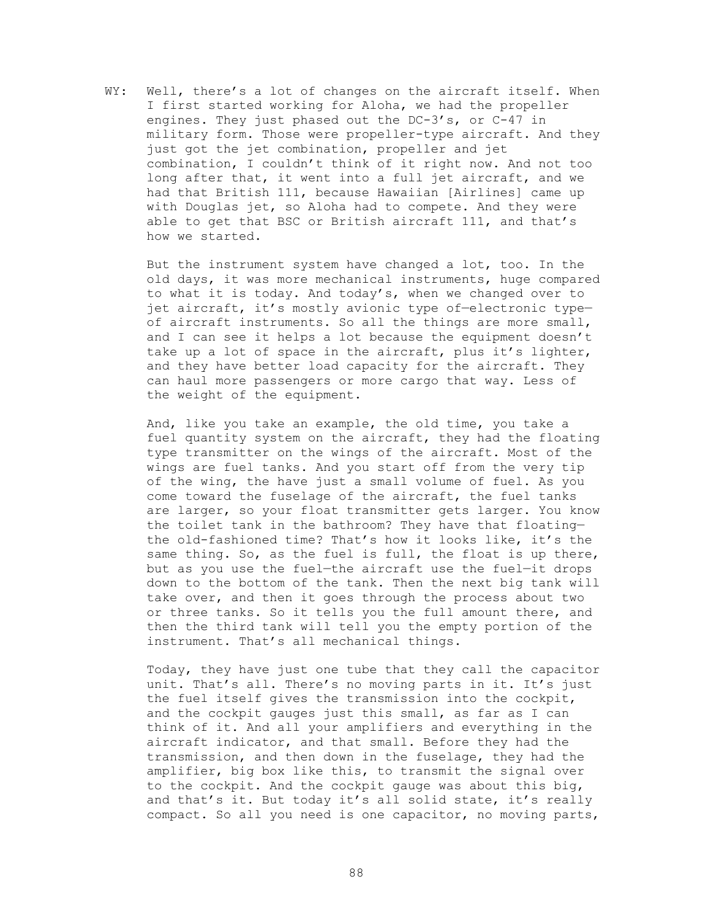WY: Well, there's a lot of changes on the aircraft itself. When I first started working for Aloha, we had the propeller engines. They just phased out the DC-3's, or C-47 in military form. Those were propeller-type aircraft. And they just got the jet combination, propeller and jet combination, I couldn't think of it right now. And not too long after that, it went into a full jet aircraft, and we had that British 111, because Hawaiian [Airlines] came up with Douglas jet, so Aloha had to compete. And they were able to get that BSC or British aircraft 111, and that's how we started.

 But the instrument system have changed a lot, too. In the old days, it was more mechanical instruments, huge compared to what it is today. And today's, when we changed over to jet aircraft, it's mostly avionic type of-electronic typeof aircraft instruments. So all the things are more small, and I can see it helps a lot because the equipment doesn't take up a lot of space in the aircraft, plus it's lighter, and they have better load capacity for the aircraft. They can haul more passengers or more cargo that way. Less of the weight of the equipment.

And, like you take an example, the old time, you take a fuel quantity system on the aircraft, they had the floating type transmitter on the wings of the aircraft. Most of the wings are fuel tanks. And you start off from the very tip of the wing, the have just a small volume of fuel. As you come toward the fuselage of the aircraft, the fuel tanks are larger, so your float transmitter gets larger. You know the toilet tank in the bathroom? They have that floating the old-fashioned time? That's how it looks like, it's the same thing. So, as the fuel is full, the float is up there, but as you use the fuel—the aircraft use the fuel—it drops down to the bottom of the tank. Then the next big tank will take over, and then it goes through the process about two or three tanks. So it tells you the full amount there, and then the third tank will tell you the empty portion of the instrument. That's all mechanical things.

Today, they have just one tube that they call the capacitor unit. That's all. There's no moving parts in it. It's just the fuel itself gives the transmission into the cockpit, and the cockpit gauges just this small, as far as I can think of it. And all your amplifiers and everything in the aircraft indicator, and that small. Before they had the transmission, and then down in the fuselage, they had the amplifier, big box like this, to transmit the signal over to the cockpit. And the cockpit gauge was about this big, and that's it. But today it's all solid state, it's really compact. So all you need is one capacitor, no moving parts,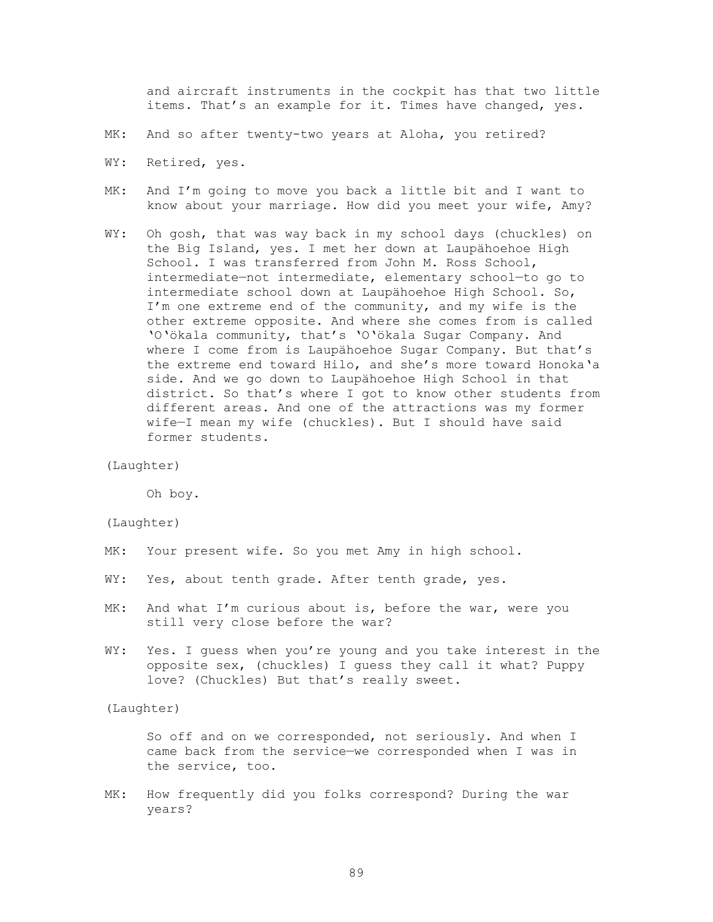and aircraft instruments in the cockpit has that two little items. That's an example for it. Times have changed, yes.

- MK: And so after twenty-two years at Aloha, you retired?
- WY: Retired, yes.
- MK: And I'm going to move you back a little bit and I want to know about your marriage. How did you meet your wife, Amy?
- WY: Oh gosh, that was way back in my school days (chuckles) on the Big Island, yes. I met her down at Laupähoehoe High School. I was transferred from John M. Ross School, intermediate—not intermediate, elementary school—to go to intermediate school down at Laupähoehoe High School. So, I'm one extreme end of the community, and my wife is the other extreme opposite. And where she comes from is called 'O'ökala community, that's 'O'ökala Sugar Company. And where I come from is Laupähoehoe Sugar Company. But that's the extreme end toward Hilo, and she's more toward Honoka'a side. And we go down to Laupähoehoe High School in that district. So that's where I got to know other students from different areas. And one of the attractions was my former wife—I mean my wife (chuckles). But I should have said former students.

```
(Laughter)
```
Oh boy.

# (Laughter)

- MK: Your present wife. So you met Amy in high school.
- WY: Yes, about tenth grade. After tenth grade, yes.
- MK: And what I'm curious about is, before the war, were you still very close before the war?
- WY: Yes. I guess when you're young and you take interest in the opposite sex, (chuckles) I guess they call it what? Puppy love? (Chuckles) But that's really sweet.

# (Laughter)

 So off and on we corresponded, not seriously. And when I came back from the service—we corresponded when I was in the service, too.

MK: How frequently did you folks correspond? During the war years?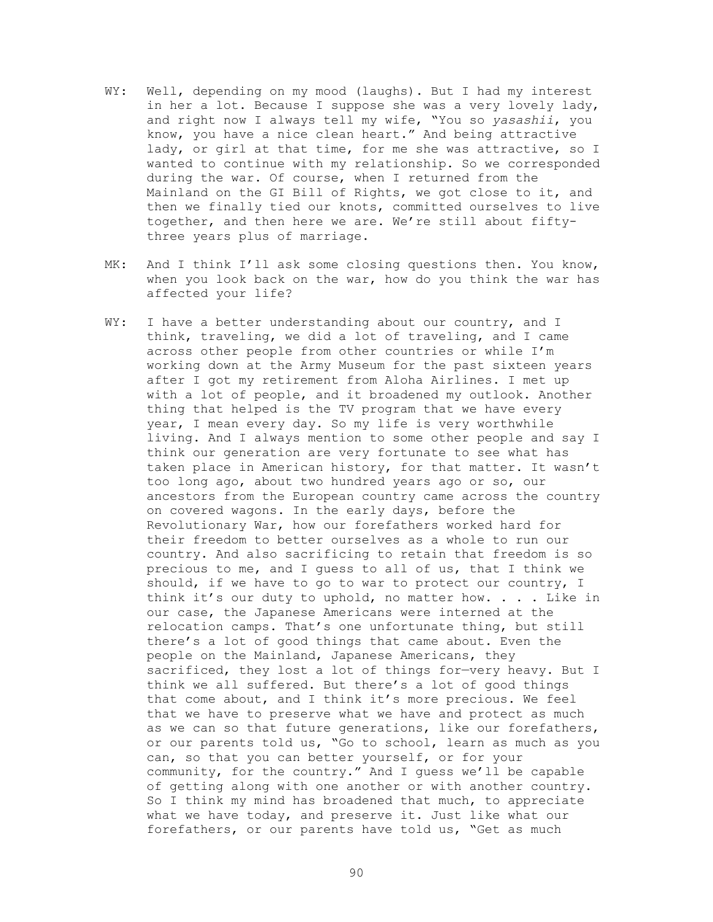- WY: Well, depending on my mood (laughs). But I had my interest in her a lot. Because I suppose she was a very lovely lady, and right now I always tell my wife, "You so *yasashii*, you know, you have a nice clean heart." And being attractive lady, or girl at that time, for me she was attractive, so I wanted to continue with my relationship. So we corresponded during the war. Of course, when I returned from the Mainland on the GI Bill of Rights, we got close to it, and then we finally tied our knots, committed ourselves to live together, and then here we are. We're still about fiftythree years plus of marriage.
- MK: And I think I'll ask some closing questions then. You know, when you look back on the war, how do you think the war has affected your life?
- WY: I have a better understanding about our country, and I think, traveling, we did a lot of traveling, and I came across other people from other countries or while I'm working down at the Army Museum for the past sixteen years after I got my retirement from Aloha Airlines. I met up with a lot of people, and it broadened my outlook. Another thing that helped is the TV program that we have every year, I mean every day. So my life is very worthwhile living. And I always mention to some other people and say I think our generation are very fortunate to see what has taken place in American history, for that matter. It wasn't too long ago, about two hundred years ago or so, our ancestors from the European country came across the country on covered wagons. In the early days, before the Revolutionary War, how our forefathers worked hard for their freedom to better ourselves as a whole to run our country. And also sacrificing to retain that freedom is so precious to me, and I guess to all of us, that I think we should, if we have to go to war to protect our country, I think it's our duty to uphold, no matter how. . . . Like in our case, the Japanese Americans were interned at the relocation camps. That's one unfortunate thing, but still there's a lot of good things that came about. Even the people on the Mainland, Japanese Americans, they sacrificed, they lost a lot of things for—very heavy. But I think we all suffered. But there's a lot of good things that come about, and I think it's more precious. We feel that we have to preserve what we have and protect as much as we can so that future generations, like our forefathers, or our parents told us, "Go to school, learn as much as you can, so that you can better yourself, or for your community, for the country." And I guess we'll be capable of getting along with one another or with another country. So I think my mind has broadened that much, to appreciate what we have today, and preserve it. Just like what our forefathers, or our parents have told us, "Get as much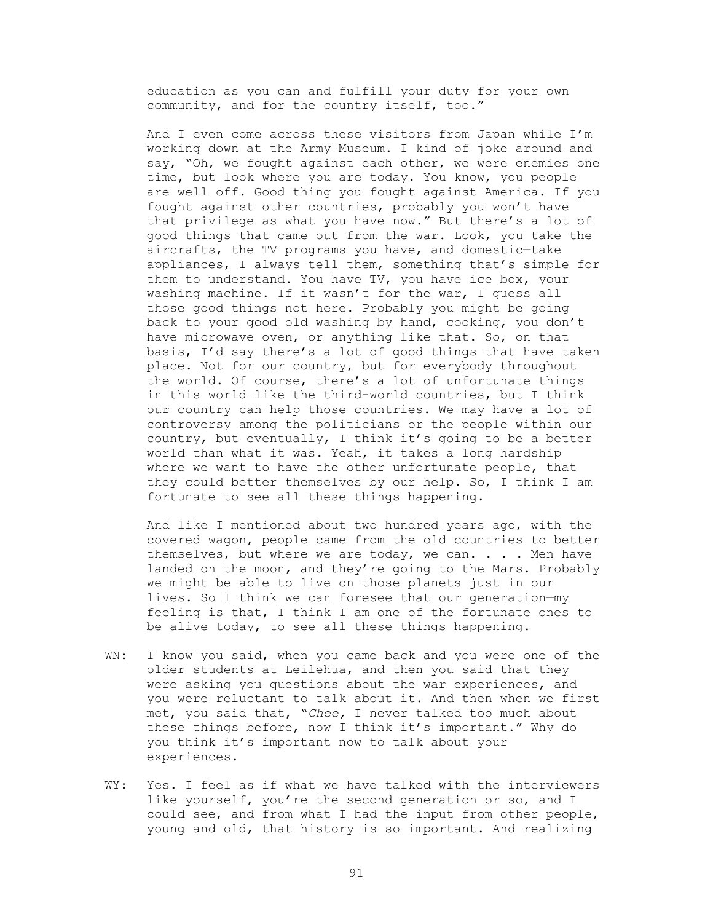education as you can and fulfill your duty for your own community, and for the country itself, too."

And I even come across these visitors from Japan while I'm working down at the Army Museum. I kind of joke around and say, "Oh, we fought against each other, we were enemies one time, but look where you are today. You know, you people are well off. Good thing you fought against America. If you fought against other countries, probably you won't have that privilege as what you have now." But there's a lot of good things that came out from the war. Look, you take the aircrafts, the TV programs you have, and domestic—take appliances, I always tell them, something that's simple for them to understand. You have TV, you have ice box, your washing machine. If it wasn't for the war, I guess all those good things not here. Probably you might be going back to your good old washing by hand, cooking, you don't have microwave oven, or anything like that. So, on that basis, I'd say there's a lot of good things that have taken place. Not for our country, but for everybody throughout the world. Of course, there's a lot of unfortunate things in this world like the third-world countries, but I think our country can help those countries. We may have a lot of controversy among the politicians or the people within our country, but eventually, I think it's going to be a better world than what it was. Yeah, it takes a long hardship where we want to have the other unfortunate people, that they could better themselves by our help. So, I think I am fortunate to see all these things happening.

And like I mentioned about two hundred years ago, with the covered wagon, people came from the old countries to better themselves, but where we are today, we can. . . . Men have landed on the moon, and they're going to the Mars. Probably we might be able to live on those planets just in our lives. So I think we can foresee that our generation—my feeling is that, I think I am one of the fortunate ones to be alive today, to see all these things happening.

- WN: I know you said, when you came back and you were one of the older students at Leilehua, and then you said that they were asking you questions about the war experiences, and you were reluctant to talk about it. And then when we first met, you said that, "*Chee,* I never talked too much about these things before, now I think it's important." Why do you think it's important now to talk about your experiences.
- WY: Yes. I feel as if what we have talked with the interviewers like yourself, you're the second generation or so, and I could see, and from what I had the input from other people, young and old, that history is so important. And realizing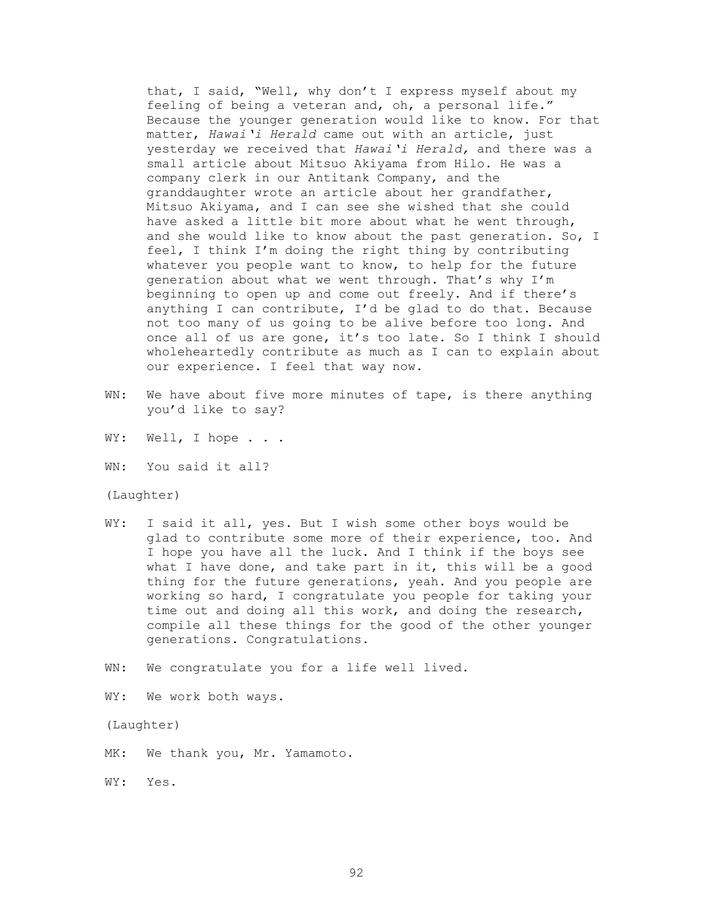that, I said, "Well, why don't I express myself about my feeling of being a veteran and, oh, a personal life." Because the younger generation would like to know. For that matter, *Hawai'i Herald* came out with an article, just yesterday we received that *Hawai'i Herald,* and there was a small article about Mitsuo Akiyama from Hilo. He was a company clerk in our Antitank Company, and the granddaughter wrote an article about her grandfather, Mitsuo Akiyama, and I can see she wished that she could have asked a little bit more about what he went through, and she would like to know about the past generation. So, I feel, I think I'm doing the right thing by contributing whatever you people want to know, to help for the future generation about what we went through. That's why I'm beginning to open up and come out freely. And if there's anything I can contribute, I'd be glad to do that. Because not too many of us going to be alive before too long. And once all of us are gone, it's too late. So I think I should wholeheartedly contribute as much as I can to explain about our experience. I feel that way now.

- WN: We have about five more minutes of tape, is there anything you'd like to say?
- WY: Well, I hope . . .
- WN: You said it all?

## (Laughter)

- WY: I said it all, yes. But I wish some other boys would be glad to contribute some more of their experience, too. And I hope you have all the luck. And I think if the boys see what I have done, and take part in it, this will be a good thing for the future generations, yeah. And you people are working so hard, I congratulate you people for taking your time out and doing all this work, and doing the research, compile all these things for the good of the other younger generations. Congratulations.
- WN: We congratulate you for a life well lived.
- WY: We work both ways.

## (Laughter)

- MK: We thank you, Mr. Yamamoto.
- WY: Yes.